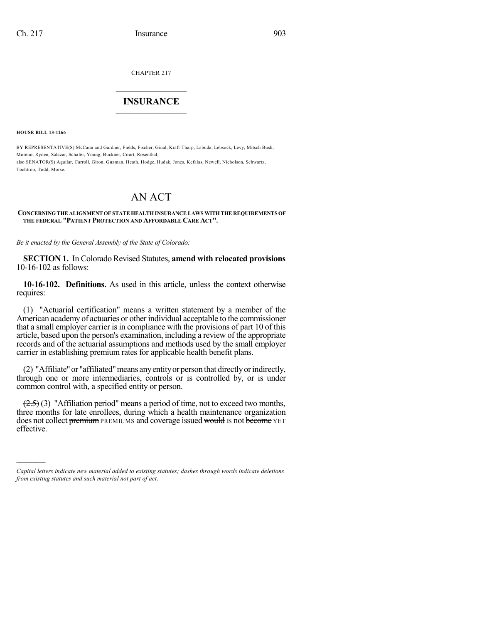CHAPTER 217

# $\overline{\phantom{a}}$  . The set of the set of the set of the set of the set of the set of the set of the set of the set of the set of the set of the set of the set of the set of the set of the set of the set of the set of the set o **INSURANCE**  $\frac{1}{2}$  ,  $\frac{1}{2}$  ,  $\frac{1}{2}$  ,  $\frac{1}{2}$  ,  $\frac{1}{2}$  ,  $\frac{1}{2}$  ,  $\frac{1}{2}$

**HOUSE BILL 13-1266**

)))))

BY REPRESENTATIVE(S) McCann and Gardner, Fields, Fischer, Ginal, Kraft-Tharp, Labuda, Lebsock, Levy, Mitsch Bush, Moreno, Ryden, Salazar, Schafer, Young, Buckner, Court, Rosenthal; also SENATOR(S) Aguilar, Carroll, Giron, Guzman, Heath, Hodge, Hudak, Jones, Kefalas, Newell, Nicholson, Schwartz, Tochtrop, Todd, Morse.

# AN ACT

#### **CONCERNINGTHE ALIGNMENT OF STATE HEALTH INSURANCE LAWS WITH THE REQUIREMENTSOF THE FEDERAL "PATIENT PROTECTION AND AFFORDABLE CARE ACT".**

*Be it enacted by the General Assembly of the State of Colorado:*

**SECTION 1.** In Colorado Revised Statutes, **amend with relocated provisions** 10-16-102 as follows:

**10-16-102. Definitions.** As used in this article, unless the context otherwise requires:

(1) "Actuarial certification" means a written statement by a member of the American academy of actuaries or other individual acceptable to the commissioner that a small employer carrier is in compliance with the provisions of part 10 of this article, based upon the person's examination, including a review of the appropriate records and of the actuarial assumptions and methods used by the small employer carrier in establishing premium rates for applicable health benefit plans.

(2) "Affiliate"or "affiliated"means anyentityor person that directlyorindirectly, through one or more intermediaries, controls or is controlled by, or is under common control with, a specified entity or person.

 $(2.5)$  (3) "Affiliation period" means a period of time, not to exceed two months, three months for late enrollees, during which a health maintenance organization does not collect premium PREMIUMS and coverage issued would IS not become YET effective.

*Capital letters indicate new material added to existing statutes; dashes through words indicate deletions from existing statutes and such material not part of act.*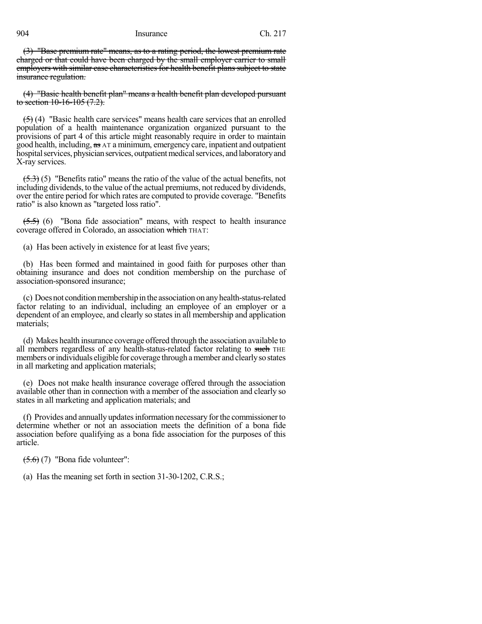(3) "Base premium rate" means, as to a rating period, the lowest premium rate charged or that could have been charged by the small employer carrier to small employers with similar case characteristics for health benefit plans subject to state insurance regulation.

(4) "Basic health benefit plan" means a health benefit plan developed pursuant to section  $10-16-105(7.2)$ .

(5) (4) "Basic health care services" means health care services that an enrolled population of a health maintenance organization organized pursuant to the provisions of part 4 of this article might reasonably require in order to maintain good health, including, as AT a minimum, emergency care, inpatient and outpatient hospital services, physician services, outpatient medical services, and laboratory and X-ray services.

 $(5.3)$  (5) "Benefits ratio" means the ratio of the value of the actual benefits, not including dividends, to the value of the actual premiums, not reduced by dividends, over the entire period for which rates are computed to provide coverage. "Benefits ratio" is also known as "targeted loss ratio".

 $(5.5)$  (6) "Bona fide association" means, with respect to health insurance coverage offered in Colorado, an association which THAT:

(a) Has been actively in existence for at least five years;

(b) Has been formed and maintained in good faith for purposes other than obtaining insurance and does not condition membership on the purchase of association-sponsored insurance;

(c) Doesnot conditionmembershipin the association on anyhealth-status-related factor relating to an individual, including an employee of an employer or a dependent of an employee, and clearly so states in all membership and application materials;

(d) Makes health insurance coverage offered through the association available to all members regardless of any health-status-related factor relating to such THE members orindividuals eligible for coverage through amember and clearlyso states in all marketing and application materials;

(e) Does not make health insurance coverage offered through the association available other than in connection with a member of the association and clearly so states in all marketing and application materials; and

(f) Provides and annually updatesinformation necessary forthe commissionerto determine whether or not an association meets the definition of a bona fide association before qualifying as a bona fide association for the purposes of this article.

 $(5.6)$  (7) "Bona fide volunteer":

(a) Has the meaning set forth in section 31-30-1202, C.R.S.;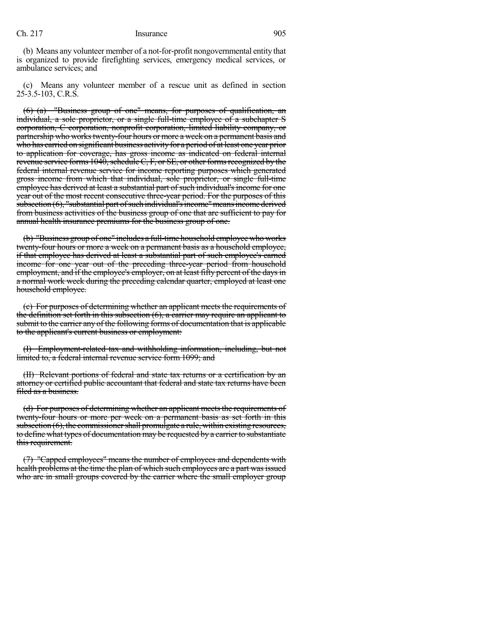(b) Means any volunteer member of a not-for-profit nongovernmental entity that is organized to provide firefighting services, emergency medical services, or ambulance services; and

(c) Means any volunteer member of a rescue unit as defined in section 25-3.5-103, C.R.S.

(6) (a) "Business group of one" means, for purposes of qualification, an individual, a sole proprietor, or a single full-time employee of a subchapter S corporation, C corporation, nonprofit corporation, limited liability company, or partnership who works twenty-four hours or more a week on a permanent basis and who has carried on significant business activity for a period of at least one year prior to application for coverage, has gross income as indicated on federal internal revenue service forms  $1040$ , schedule C, F, or SE, or other forms recognized by the federal internal revenue service for income reporting purposes which generated gross income from which that individual, sole proprietor, or single full-time employee has derived at least a substantial part of such individual's income for one year out of the most recent consecutive three-year period. For the purposes of this subsection (6), "substantial part of such individual's income" means income derived from business activities of the business group of one that are sufficient to pay for annual health insurance premiums for the business group of one.

(b) "Business group of one" includes a full-time household employee who works twenty-four hours or more a week on a permanent basis as a household employee, if that employee has derived at least a substantial part of such employee's earned income for one year out of the preceding three-year period from household employment, and if the employee's employer, on at least fifty percent of the days in a normal work week during the preceding calendar quarter, employed at least one household employee.

(c) For purposes of determining whether an applicant meets the requirements of the definition set forth in this subsection (6), a carrier may require an applicant to submit to the carrier any of the following forms of documentation that is applicable to the applicant's current business or employment:

(I) Employment-related tax and withholding information, including, but not limited to, a federal internal revenue service form 1099; and

(II) Relevant portions of federal and state tax returns or a certification by an attorney or certified public accountant that federal and state tax returns have been filed as a business.

(d) For purposes of determining whether an applicant meetsthe requirements of twenty-four hours or more per week on a permanent basis as set forth in this subsection  $(6)$ , the commissioner shall promulgate a rule, within existing resources, to define what types of documentation may be requested by a carrier to substantiate this requirement.

(7) "Capped employees" means the number of employees and dependents with health problems at the time the plan of which such employees are a part was issued who are in small groups covered by the carrier where the small employer group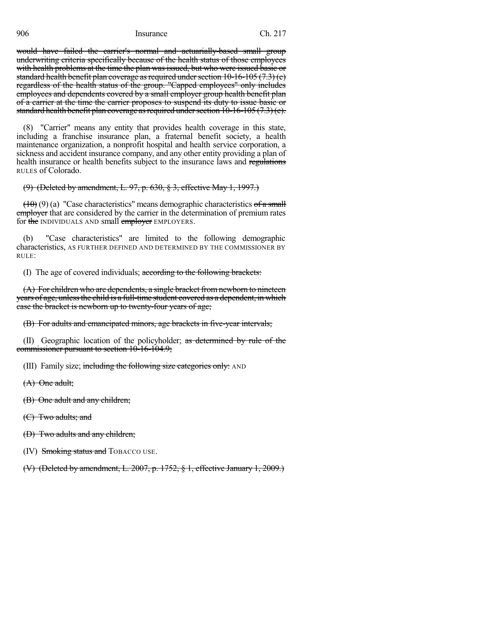would have failed the carrier's normal and actuarially-based small group underwriting criteria specifically because of the health status of those employees with health problems at the time the plan was issued, but who were issued basic or standard health benefit plan coverage as required under section  $10-16-105$  (7.3) (e) regardless of the health status of the group. "Capped employees" only includes employees and dependents covered by a small employer group health benefit plan of a carrier at the time the carrier proposes to suspend its duty to issue basic or standard health benefit plan coverage as required under section  $10-16-105(7.3)(e)$ .

(8) "Carrier" means any entity that provides health coverage in this state, including a franchise insurance plan, a fraternal benefit society, a health maintenance organization, a nonprofit hospital and health service corporation, a sickness and accident insurance company, and any other entity providing a plan of health insurance or health benefits subject to the insurance laws and regulations RULES of Colorado.

# (9) (Deleted by amendment, L. 97, p. 630, § 3, effective May 1, 1997.)

 $(10)(9)$  (a) "Case characteristics" means demographic characteristics of a small employer that are considered by the carrier in the determination of premium rates for the INDIVIDUALS AND small employer EMPLOYERS.

(b) "Case characteristics" are limited to the following demographic characteristics, AS FURTHER DEFINED AND DETERMINED BY THE COMMISSIONER BY RULE:

(I) The age of covered individuals; according to the following brackets:

(A) For children who are dependents, a single bracket from newborn to nineteen years of age, unless the child is a full-time student covered as a dependent, in which case the bracket is newborn up to twenty-four years of age;

(B) For adults and emancipated minors, age brackets in five-year intervals;

(II) Geographic location of the policyholder; as determined by rule of the commissioner pursuant to section 10-16-104.9;

(III) Family size; including the following size categories only: AND

(A) One adult;

(B) One adult and any children;

(C) Two adults; and

(D) Two adults and any children;

(IV) Smoking status and TOBACCO USE.

(V) (Deleted by amendment, L. 2007, p. 1752, § 1, effective January 1, 2009.)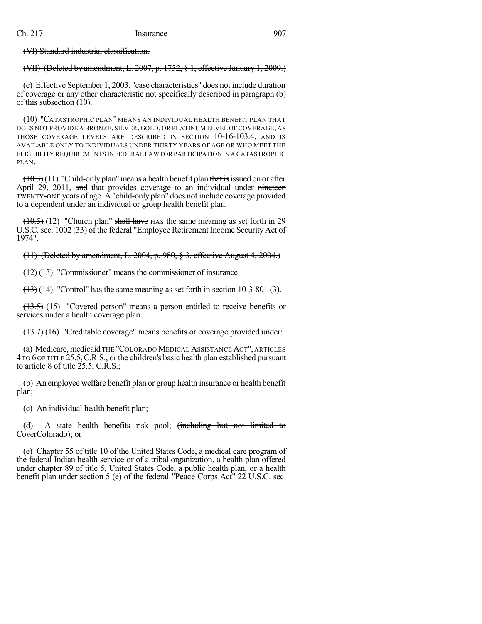(VI) Standard industrial classification.

(VII) (Deleted by amendment, L. 2007, p. 1752, § 1, effective January 1, 2009.)

(c) Effective September 1, 2003, "case characteristics" does not include duration of coverage or any other characteristic not specifically described in paragraph (b) of this subsection (10).

(10) "CATASTROPHIC PLAN" MEANS AN INDIVIDUAL HEALTH BENEFIT PLAN THAT DOES NOT PROVIDE A BRONZE, SILVER, GOLD, OR PLATINUM LEVEL OF COVERAGE, AS THOSE COVERAGE LEVELS ARE DESCRIBED IN SECTION 10-16-103.4, AND IS AVAILABLE ONLY TO INDIVIDUALS UNDER THIRTY YEARS OF AGE OR WHO MEET THE ELIGIBILITY REQUIREMENTS IN FEDERAL LAW FOR PARTICIPATION IN A CATASTROPHIC PLAN.

 $(10.3)(11)$  "Child-only plan" means a health benefit plan that is issued on or after April 29, 2011, and that provides coverage to an individual under nineteen TWENTY-ONE years of age. A "child-only plan" does not include coverage provided to a dependent under an individual or group health benefit plan.

 $(10.5)$  (12) "Church plan" shall have HAS the same meaning as set forth in 29 U.S.C.sec. 1002 (33) of the federal "Employee Retirement Income SecurityAct of 1974".

(11) (Deleted by amendment, L. 2004, p. 980, § 3, effective August 4, 2004.)

(12) (13) "Commissioner" means the commissioner of insurance.

 $(13)$  (14) "Control" has the same meaning as set forth in section 10-3-801 (3).

(13.5) (15) "Covered person" means a person entitled to receive benefits or services under a health coverage plan.

(13.7) (16) "Creditable coverage" means benefits or coverage provided under:

(a) Medicare, medicaid THE "COLORADO MEDICAL ASSISTANCE ACT", ARTICLES 4 TO 6 OF TITLE 25.5,C.R.S., or the children's basic health plan established pursuant to article 8 of title 25.5, C.R.S.;

(b) An employee welfare benefit plan or group health insurance or health benefit plan;

(c) An individual health benefit plan;

(d) A state health benefits risk pool; (including but not limited to CoverColorado); or

(e) Chapter 55 of title 10 of the United States Code, a medical care program of the federal Indian health service or of a tribal organization, a health plan offered under chapter 89 of title 5, United States Code, a public health plan, or a health benefit plan under section 5 (e) of the federal "Peace Corps Act" 22 U.S.C. sec.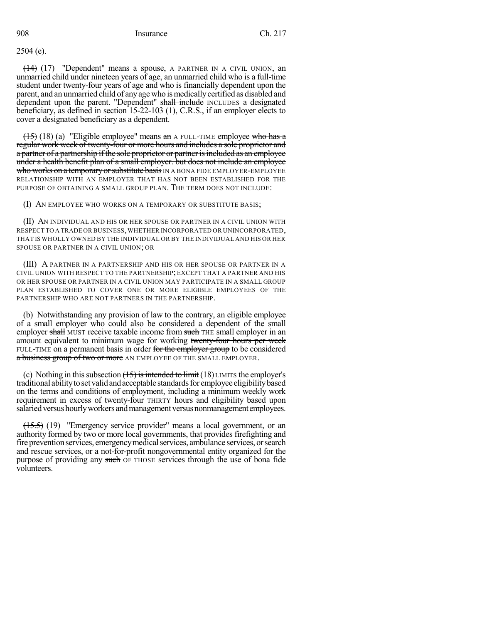2504 (e).

(14) (17) "Dependent" means a spouse, A PARTNER IN A CIVIL UNION, an unmarried child under nineteen years of age, an unmarried child who is a full-time student under twenty-four years of age and who is financially dependent upon the parent, and an unmarried child of any age who is medically certified as disabled and dependent upon the parent. "Dependent" shall include INCLUDES a designated beneficiary, as defined in section 15-22-103 (1), C.R.S., if an employer elects to cover a designated beneficiary as a dependent.

 $(15)$  (18) (a) "Eligible employee" means an A FULL-TIME employee who has a regular work week of twenty-four or more hours and includes a sole proprietor and a partner of a partnership if the sole proprietor or partner is included as an employee under a health benefit plan of a small employer. but does not include an employee who works on a temporary or substitute basis IN A BONA FIDE EMPLOYER-EMPLOYEE RELATIONSHIP WITH AN EMPLOYER THAT HAS NOT BEEN ESTABLISHED FOR THE PURPOSE OF OBTAINING A SMALL GROUP PLAN. THE TERM DOES NOT INCLUDE:

(I) AN EMPLOYEE WHO WORKS ON A TEMPORARY OR SUBSTITUTE BASIS;

(II) AN INDIVIDUAL AND HIS OR HER SPOUSE OR PARTNER IN A CIVIL UNION WITH RESPECT TO A TRADE OR BUSINESS,WHETHER INCORPORATED OR UNINCORPORATED, THAT IS WHOLLY OWNED BY THE INDIVIDUAL OR BY THE INDIVIDUAL AND HIS OR HER SPOUSE OR PARTNER IN A CIVIL UNION; OR

(III) A PARTNER IN A PARTNERSHIP AND HIS OR HER SPOUSE OR PARTNER IN A CIVIL UNION WITH RESPECT TO THE PARTNERSHIP; EXCEPT THAT A PARTNER AND HIS OR HER SPOUSE OR PARTNER IN A CIVIL UNION MAY PARTICIPATE IN A SMALL GROUP PLAN ESTABLISHED TO COVER ONE OR MORE ELIGIBLE EMPLOYEES OF THE PARTNERSHIP WHO ARE NOT PARTNERS IN THE PARTNERSHIP.

(b) Notwithstanding any provision of law to the contrary, an eligible employee of a small employer who could also be considered a dependent of the small employer shall MUST receive taxable income from such THE small employer in an amount equivalent to minimum wage for working twenty-four hours per week FULL-TIME on a permanent basis in order for the employer group to be considered a business group of two or more AN EMPLOYEE OF THE SMALL EMPLOYER.

(c) Nothing in this subsection  $(15)$  is intended to limit  $(18)$  LIMITS the employer's traditional ability to set valid and acceptable standards for employee eligibility based on the terms and conditions of employment, including a minimum weekly work requirement in excess of twenty-four THIRTY hours and eligibility based upon salaried versus hourly workers and management versus nonmanagement employees.

 $(15.5)$  (19) "Emergency service provider" means a local government, or an authority formed by two or more local governments, that provides firefighting and fire prevention services, emergency medical services, ambulance services, or search and rescue services, or a not-for-profit nongovernmental entity organized for the purpose of providing any such OF THOSE services through the use of bona fide volunteers.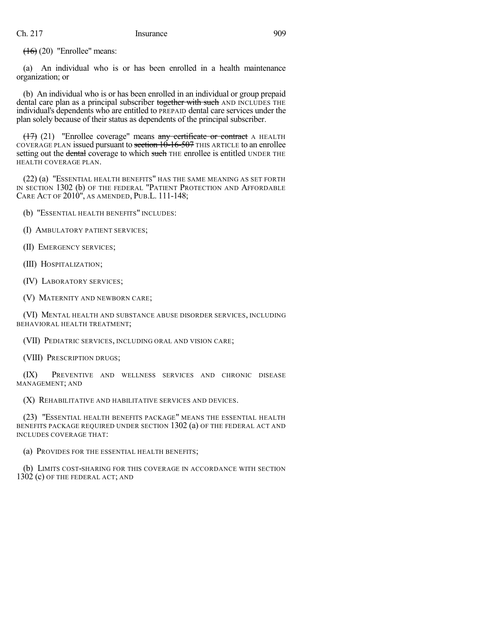$(16)(20)$  "Enrollee" means:

(a) An individual who is or has been enrolled in a health maintenance organization; or

(b) An individual who is or has been enrolled in an individual or group prepaid dental care plan as a principal subscriber together with such AND INCLUDES THE individual's dependents who are entitled to PREPAID dental care services under the plan solely because of their status as dependents of the principal subscriber.

 $(17)$  (21) "Enrollee coverage" means any certificate or contract A HEALTH COVERAGE PLAN issued pursuant to section  $10-16-507$  THIS ARTICLE to an enrollee setting out the dental coverage to which such THE enrollee is entitled UNDER THE HEALTH COVERAGE PLAN.

(22) (a) "ESSENTIAL HEALTH BENEFITS" HAS THE SAME MEANING AS SET FORTH IN SECTION 1302 (b) OF THE FEDERAL "PATIENT PROTECTION AND AFFORDABLE CARE ACT OF 2010", AS AMENDED, PUB.L. 111-148;

(b) "ESSENTIAL HEALTH BENEFITS" INCLUDES:

(I) AMBULATORY PATIENT SERVICES;

(II) EMERGENCY SERVICES;

(III) HOSPITALIZATION;

(IV) LABORATORY SERVICES;

(V) MATERNITY AND NEWBORN CARE;

(VI) MENTAL HEALTH AND SUBSTANCE ABUSE DISORDER SERVICES, INCLUDING BEHAVIORAL HEALTH TREATMENT;

(VII) PEDIATRIC SERVICES, INCLUDING ORAL AND VISION CARE;

(VIII) PRESCRIPTION DRUGS;

(IX) PREVENTIVE AND WELLNESS SERVICES AND CHRONIC DISEASE MANAGEMENT; AND

(X) REHABILITATIVE AND HABILITATIVE SERVICES AND DEVICES.

(23) "ESSENTIAL HEALTH BENEFITS PACKAGE" MEANS THE ESSENTIAL HEALTH BENEFITS PACKAGE REQUIRED UNDER SECTION 1302 (a) OF THE FEDERAL ACT AND INCLUDES COVERAGE THAT:

(a) PROVIDES FOR THE ESSENTIAL HEALTH BENEFITS;

(b) LIMITS COST-SHARING FOR THIS COVERAGE IN ACCORDANCE WITH SECTION 1302 (c) OF THE FEDERAL ACT; AND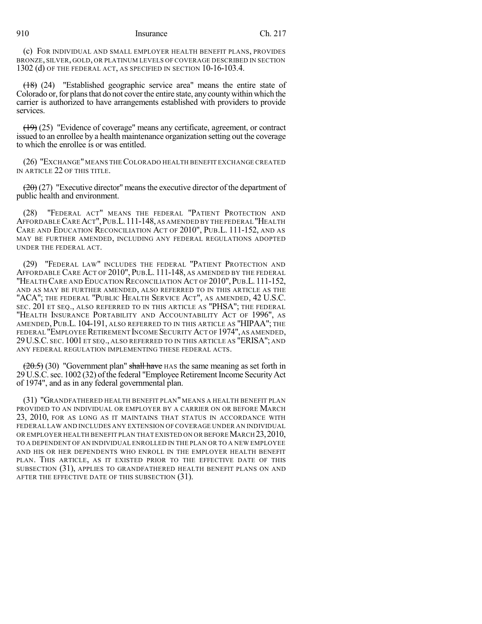(c) FOR INDIVIDUAL AND SMALL EMPLOYER HEALTH BENEFIT PLANS, PROVIDES BRONZE, SILVER, GOLD, OR PLATINUM LEVELS OF COVERAGE DESCRIBED IN SECTION 1302 (d) OF THE FEDERAL ACT, AS SPECIFIED IN SECTION 10-16-103.4.

(18) (24) "Established geographic service area" means the entire state of Colorado or, for plans that do not cover the entire state, any county within which the carrier is authorized to have arrangements established with providers to provide services.

(19) (25) "Evidence of coverage" means any certificate, agreement, or contract issued to an enrollee by a health maintenance organization setting out the coverage to which the enrollee is or was entitled.

(26) "EXCHANGE"MEANS THECOLORADO HEALTH BENEFIT EXCHANGE CREATED IN ARTICLE 22 OF THIS TITLE.

 $(20)(27)$  "Executive director" means the executive director of the department of public health and environment.

(28) "FEDERAL ACT" MEANS THE FEDERAL "PATIENT PROTECTION AND AFFORDABLECAREACT",PUB.L.111-148, AS AMENDED BY THE FEDERAL "HEALTH CARE AND EDUCATION RECONCILIATION ACT OF 2010", PUB.L. 111-152, AND AS MAY BE FURTHER AMENDED, INCLUDING ANY FEDERAL REGULATIONS ADOPTED UNDER THE FEDERAL ACT.

(29) "FEDERAL LAW" INCLUDES THE FEDERAL "PATIENT PROTECTION AND AFFORDABLE CARE ACT OF 2010", PUB.L. 111-148, AS AMENDED BY THE FEDERAL "HEALTH CARE AND EDUCATION RECONCILIATION ACT OF 2010",PUB.L. 111-152, AND AS MAY BE FURTHER AMENDED, ALSO REFERRED TO IN THIS ARTICLE AS THE "ACA"; THE FEDERAL "PUBLIC HEALTH SERVICE ACT", AS AMENDED, 42 U.S.C. SEC. 201 ET SEQ., ALSO REFERRED TO IN THIS ARTICLE AS "PHSA"; THE FEDERAL "HEALTH INSURANCE PORTABILITY AND ACCOUNTABILITY ACT OF 1996", AS AMENDED, PUB.L. 104-191, ALSO REFERRED TO IN THIS ARTICLE AS "HIPAA"; THE federal "Employee Retirement Income Security Act of 1974", as amended, 29U.S.C. SEC. 1001 ET SEQ., ALSO REFERRED TO IN THIS ARTICLE AS "ERISA"; AND ANY FEDERAL REGULATION IMPLEMENTING THESE FEDERAL ACTS.

 $(20.5)$  (30) "Government plan" shall have HAS the same meaning as set forth in 29 U.S.C. sec. 1002 (32) of the federal "Employee Retirement Income Security Act of 1974", and as in any federal governmental plan.

(31) "GRANDFATHERED HEALTH BENEFIT PLAN" MEANS A HEALTH BENEFIT PLAN PROVIDED TO AN INDIVIDUAL OR EMPLOYER BY A CARRIER ON OR BEFORE MARCH 23, 2010, FOR AS LONG AS IT MAINTAINS THAT STATUS IN ACCORDANCE WITH FEDERAL LAW AND INCLUDES ANY EXTENSION OF COVERAGE UNDER AN INDIVIDUAL OR EMPLOYER HEALTH BENEFIT PLAN THAT EXISTED ON OR BEFORE MARCH 23, 2010, TO A DEPENDENT OF AN INDIVIDUAL ENROLLED IN THE PLAN OR TO A NEW EMPLOYEE AND HIS OR HER DEPENDENTS WHO ENROLL IN THE EMPLOYER HEALTH BENEFIT PLAN. THIS ARTICLE, AS IT EXISTED PRIOR TO THE EFFECTIVE DATE OF THIS SUBSECTION (31), APPLIES TO GRANDFATHERED HEALTH BENEFIT PLANS ON AND AFTER THE EFFECTIVE DATE OF THIS SUBSECTION (31).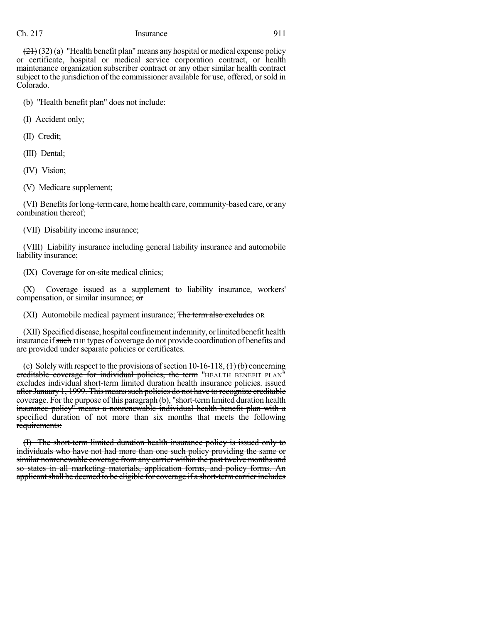$(21)(32)$  (a) "Health benefit plan" means any hospital or medical expense policy or certificate, hospital or medical service corporation contract, or health maintenance organization subscriber contract or any other similar health contract subject to the jurisdiction of the commissioner available for use, offered, orsold in Colorado.

(b) "Health benefit plan" does not include:

(I) Accident only;

(II) Credit;

(III) Dental;

(IV) Vision;

(V) Medicare supplement;

(VI) Benefits for long-term care, home health care, community-based care, or any combination thereof;

(VII) Disability income insurance;

(VIII) Liability insurance including general liability insurance and automobile liability insurance;

(IX) Coverage for on-site medical clinics;

(X) Coverage issued as a supplement to liability insurance, workers' compensation, or similar insurance; or

(XI) Automobile medical payment insurance; The term also excludes OR

(XII) Specified disease, hospital confinement indemnity, or limited benefit health insurance if such THE types of coverage do not provide coordination of benefits and are provided under separate policies or certificates.

(c) Solely with respect to the provisions of section 10-16-118,  $(1)$  (b) concerning ereditable coverage for individual policies, the term "HEALTH BENEFIT PLAN" excludes individual short-term limited duration health insurance policies. issued after January 1, 1999. This means such policies do not have to recognize creditable coverage. For the purpose of this paragraph (b), "short-termlimited duration health insurance policy" means a nonrenewable individual health benefit plan with a specified duration of not more than six months that meets the following requirements:

(I) The short-term limited duration health insurance policy is issued only to individuals who have not had more than one such policy providing the same or similar nonrenewable coverage from any carrier within the past twelve months and so states in all marketing materials, application forms, and policy forms. An applicant shall be deemed to be eligible for coverage if a short-term carrier includes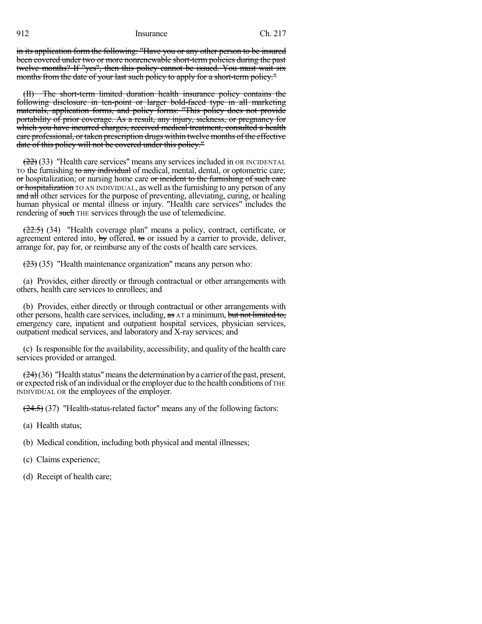in its application form the following: "Have you or any other person to be insured been covered under two or more nonrenewable short-term policies during the past twelve months? If "yes", then this policy cannot be issued. You must wait six months from the date of your last such policy to apply for a short-term policy."

(II) The short-term limited duration health insurance policy contains the following disclosure in ten-point or larger bold-faced type in all marketing materials, application forms, and policy forms: "This policy does not provide portability of prior coverage. As a result, any injury, sickness, or pregnancy for which you have incurred charges, received medical treatment, consulted a health care professional, or taken prescription drugs within twelve months of the effective date of this policy will not be covered under this policy."

(22) (33) "Health care services" means any services included in OR INCIDENTAL To the furnishing to any individual of medical, mental, dental, or optometric care; or hospitalization; or nursing home care or incident to the furnishing of such care or hospitalization TO AN INDIVIDUAL, as well as the furnishing to any person of any and all other services for the purpose of preventing, alleviating, curing, or healing human physical or mental illness or injury. "Health care services" includes the rendering of such THE services through the use of telemedicine.

 $(22.5)$  (34) "Health coverage plan" means a policy, contract, certificate, or agreement entered into, by offered, to or issued by a carrier to provide, deliver, arrange for, pay for, or reimburse any of the costs of health care services.

 $(23)$  (35) "Health maintenance organization" means any person who:

(a) Provides, either directly or through contractual or other arrangements with others, health care services to enrollees; and

(b) Provides, either directly or through contractual or other arrangements with other persons, health care services, including,  $\frac{1}{x}$  a minimum, but not limited to, emergency care, inpatient and outpatient hospital services, physician services, outpatient medical services, and laboratory and X-ray services; and

(c) Isresponsible for the availability, accessibility, and quality of the health care services provided or arranged.

 $(24)(36)$  "Health status" means the determination by a carrier of the past, present, or expected risk of an individual orthe employer due to the health conditions of THE INDIVIDUAL OR the employees of the employer.

 $(24.5)$  (37) "Health-status-related factor" means any of the following factors:

(a) Health status;

(b) Medical condition, including both physical and mental illnesses;

- (c) Claims experience;
- (d) Receipt of health care;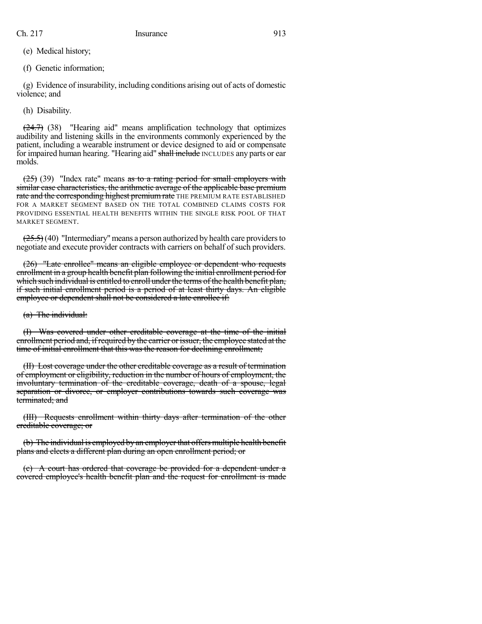(e) Medical history;

(f) Genetic information;

(g) Evidence of insurability, including conditions arising out of acts of domestic violence; and

(h) Disability.

 $(24.7)$  (38) "Hearing aid" means amplification technology that optimizes audibility and listening skills in the environments commonly experienced by the patient, including a wearable instrument or device designed to aid or compensate for impaired human hearing. "Hearing aid" shall include INCLUDES any parts or ear molds.

 $(25)$  (39) "Index rate" means as to a rating period for small employers with similar case characteristics, the arithmetic average of the applicable base premium rate and the corresponding highest premium rate THE PREMIUM RATE ESTABLISHED FOR A MARKET SEGMENT BASED ON THE TOTAL COMBINED CLAIMS COSTS FOR PROVIDING ESSENTIAL HEALTH BENEFITS WITHIN THE SINGLE RISK POOL OF THAT MARKET SEGMENT.

 $(25.5)$  (40) "Intermediary" means a person authorized by health care providers to negotiate and execute provider contracts with carriers on behalf of such providers.

(26) "Late enrollee" means an eligible employee or dependent who requests enrollment in a group health benefit plan following the initial enrollment period for which such individual is entitled to enroll under the terms of the health benefit plan, if such initial enrollment period is a period of at least thirty days. An eligible employee or dependent shall not be considered a late enrollee if:

(a) The individual:

Was covered under other creditable coverage at the time of the initial enrollment period and, if required by the carrier or issuer, the employee stated at the time of initial enrollment that this was the reason for declining enrollment;

(II) Lost coverage under the other creditable coverage as a result of termination of employment or eligibility, reduction in the number of hours of employment, the involuntary termination of the creditable coverage, death of a spouse, legal separation or divorce, or employer contributions towards such coverage was terminated; and

(III) Requests enrollment within thirty days after termination of the other creditable coverage; or

(b) The individual is employed by an employer that offers multiple health benefit plans and elects a different plan during an open enrollment period; or

(c) A court has ordered that coverage be provided for a dependent under a covered employee's health benefit plan and the request for enrollment is made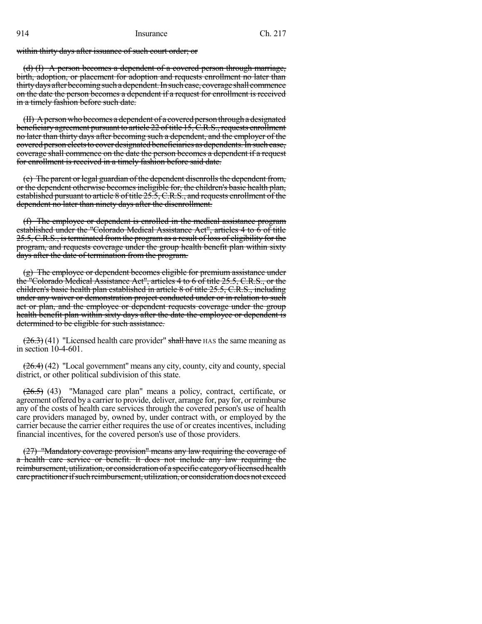within thirty days after issuance of such court order; or

(d) (I) A person becomes a dependent of a covered person through marriage, birth, adoption, or placement for adoption and requests enrollment no later than thirty days after becoming such a dependent. In such case, coverage shall commence on the date the person becomes a dependent if a request for enrollment is received in a timely fashion before such date.

(II) Aperson who becomes a dependent of a covered person through a designated beneficiary agreement pursuant to article 22 of title 15, C.R.S., requests enrollment no later than thirty days after becoming such a dependent, and the employer of the covered person electsto cover designated beneficiaries as dependents.In such case, coverage shall commence on the date the person becomes a dependent if a request for enrollment is received in a timely fashion before said date.

(e) The parent or legal guardian of the dependent disenrolls the dependent from, or the dependent otherwise becomes ineligible for, the children's basic health plan, established pursuant to article 8 of title 25.5, C.R.S., and requests enrollment of the dependent no later than ninety days after the disenrollment.

(f) The employee or dependent is enrolled in the medical assistance program established under the "Colorado Medical Assistance Act", articles 4 to 6 of title 25.5, C.R.S., is terminated from the program as a result of loss of eligibility for the program, and requests coverage under the group health benefit plan within sixty days after the date of termination from the program.

(g) The employee or dependent becomes eligible for premium assistance under the "Colorado Medical Assistance Act", articles 4 to 6 of title 25.5, C.R.S., or the children's basic health plan established in article 8 of title 25.5, C.R.S., including under any waiver or demonstration project conducted under or in relation to such act or plan, and the employee or dependent requests coverage under the group health benefit plan within sixty days after the date the employee or dependent is determined to be eligible for such assistance.

 $(26.3)$  (41) "Licensed health care provider" shall have HAS the same meaning as in section 10-4-601.

 $(26.4)$  (42) "Local government" means any city, county, city and county, special district, or other political subdivision of this state.

 $(26.5)$  (43) "Managed care plan" means a policy, contract, certificate, or agreement offered by a carrier to provide, deliver, arrange for, pay for, or reimburse any of the costs of health care services through the covered person's use of health care providers managed by, owned by, under contract with, or employed by the carrier because the carrier either requires the use of or creates incentives, including financial incentives, for the covered person's use of those providers.

(27) "Mandatory coverage provision" means any law requiring the coverage of a health care service or benefit. It does not include any law requiring the reimbursement, utilization, or consideration of a specific category of licensed health care practitioner if such reimbursement, utilization, or consideration does not exceed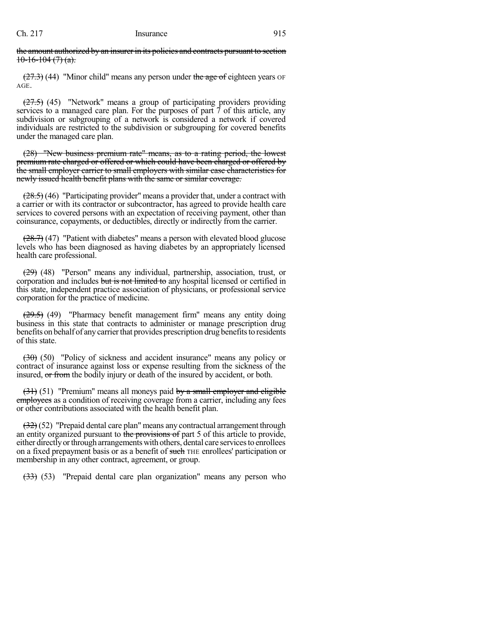the amount authorized by an insurer in its policies and contracts pursuant to section  $10-16-104(7)(a)$ .

 $(27.3)$  (44) "Minor child" means any person under the age of eighteen years OF AGE.

 $(27.5)$  (45) "Network" means a group of participating providers providing services to a managed care plan. For the purposes of part  $\overline{7}$  of this article, any subdivision or subgrouping of a network is considered a network if covered individuals are restricted to the subdivision or subgrouping for covered benefits under the managed care plan.

(28) "New business premium rate" means, as to a rating period, the lowest premium rate charged or offered or which could have been charged or offered by the small employer carrier to small employers with similar case characteristics for newly issued health benefit plans with the same or similar coverage.

 $(28.5)$  (46) "Participating provider" means a provider that, under a contract with a carrier or with its contractor or subcontractor, has agreed to provide health care services to covered persons with an expectation of receiving payment, other than coinsurance, copayments, or deductibles, directly or indirectly from the carrier.

 $(28.7)$  (47) "Patient with diabetes" means a person with elevated blood glucose levels who has been diagnosed as having diabetes by an appropriately licensed health care professional.

(29) (48) "Person" means any individual, partnership, association, trust, or corporation and includes but is not limited to any hospital licensed or certified in this state, independent practice association of physicians, or professional service corporation for the practice of medicine.

 $(29.5)$  (49) "Pharmacy benefit management firm" means any entity doing business in this state that contracts to administer or manage prescription drug benefits on behalf of anycarrierthat provides prescription drug benefitsto residents of this state.

 $(30)$  (50) "Policy of sickness and accident insurance" means any policy or contract of insurance against loss or expense resulting from the sickness of the insured, or from the bodily injury or death of the insured by accident, or both.

 $(31)$  (51) "Premium" means all moneys paid by a small employer and eligible employees as a condition of receiving coverage from a carrier, including any fees or other contributions associated with the health benefit plan.

(32) (52) "Prepaid dental care plan" means any contractual arrangement through an entity organized pursuant to the provisions of part 5 of this article to provide, either directly or through arrangements with others, dental care services to enrollees on a fixed prepayment basis or as a benefit of such THE enrollees' participation or membership in any other contract, agreement, or group.

 $(33)$  (53) "Prepaid dental care plan organization" means any person who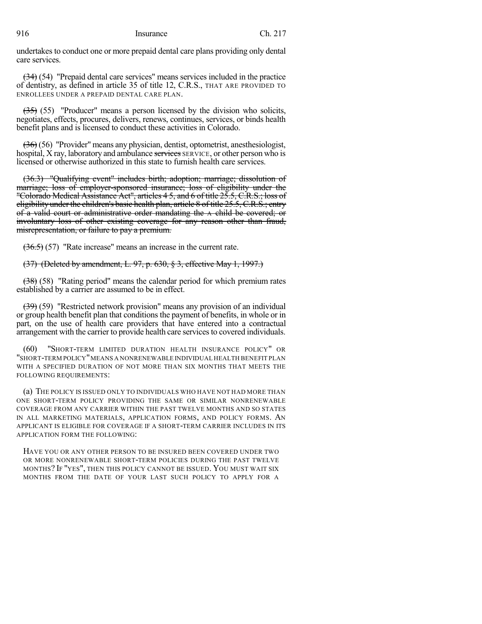undertakes to conduct one or more prepaid dental care plans providing only dental care services.

(34) (54) "Prepaid dental care services" means services included in the practice of dentistry, as defined in article 35 of title 12, C.R.S., THAT ARE PROVIDED TO ENROLLEES UNDER A PREPAID DENTAL CARE PLAN.

 $(35)$  (55) "Producer" means a person licensed by the division who solicits, negotiates, effects, procures, delivers, renews, continues, services, or binds health benefit plans and is licensed to conduct these activities in Colorado.

(36) (56) "Provider" means any physician, dentist, optometrist, anesthesiologist, hospital, X ray, laboratory and ambulance services SERVICE, or other person who is licensed or otherwise authorized in this state to furnish health care services.

(36.3) "Qualifying event" includes birth; adoption; marriage; dissolution of marriage; loss of employer-sponsored insurance; loss of eligibility under the "Colorado Medical Assistance Act", articles 4 5, and 6 of title 25.5, C.R.S.; loss of eligibility under the children's basic health plan, article 8 of title 25.5, C.R.S.; entry of a valid court or administrative order mandating the A child be covered; or involuntary loss of other existing coverage for any reason other than fraud, misrepresentation, or failure to pay a premium.

(36.5) (57) "Rate increase" means an increase in the current rate.

(37) (Deleted by amendment, L. 97, p. 630, § 3, effective May 1, 1997.)

(38) (58) "Rating period" means the calendar period for which premium rates established by a carrier are assumed to be in effect.

(39) (59) "Restricted network provision" means any provision of an individual or group health benefit plan that conditions the payment of benefits, in whole or in part, on the use of health care providers that have entered into a contractual arrangement with the carrier to provide health care services to covered individuals.

"SHORT-TERM LIMITED DURATION HEALTH INSURANCE POLICY" OR "SHORT-TERM POLICY"MEANS A NONRENEWABLE INDIVIDUAL HEALTH BENEFIT PLAN WITH A SPECIFIED DURATION OF NOT MORE THAN SIX MONTHS THAT MEETS THE FOLLOWING REQUIREMENTS:

(a) THE POLICY IS ISSUED ONLY TO INDIVIDUALS WHO HAVE NOT HAD MORE THAN ONE SHORT-TERM POLICY PROVIDING THE SAME OR SIMILAR NONRENEWABLE COVERAGE FROM ANY CARRIER WITHIN THE PAST TWELVE MONTHS AND SO STATES IN ALL MARKETING MATERIALS, APPLICATION FORMS, AND POLICY FORMS. AN APPLICANT IS ELIGIBLE FOR COVERAGE IF A SHORT-TERM CARRIER INCLUDES IN ITS APPLICATION FORM THE FOLLOWING:

HAVE YOU OR ANY OTHER PERSON TO BE INSURED BEEN COVERED UNDER TWO OR MORE NONRENEWABLE SHORT-TERM POLICIES DURING THE PAST TWELVE MONTHS? IF "YES", THEN THIS POLICY CANNOT BE ISSUED. YOU MUST WAIT SIX MONTHS FROM THE DATE OF YOUR LAST SUCH POLICY TO APPLY FOR A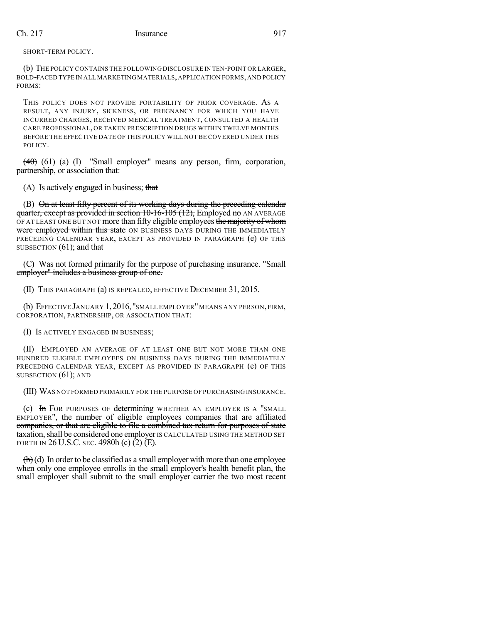SHORT-TERM POLICY.

(b) THE POLICY CONTAINS THE FOLLOWING DISCLOSURE IN TEN-POINT OR LARGER, BOLD-FACED TYPE IN ALL MARKETING MATERIALS,APPLICATION FORMS,AND POLICY FORMS:

THIS POLICY DOES NOT PROVIDE PORTABILITY OF PRIOR COVERAGE. AS A RESULT, ANY INJURY, SICKNESS, OR PREGNANCY FOR WHICH YOU HAVE INCURRED CHARGES, RECEIVED MEDICAL TREATMENT, CONSULTED A HEALTH CARE PROFESSIONAL, OR TAKEN PRESCRIPTION DRUGS WITHIN TWELVE MONTHS BEFORE THE EFFECTIVE DATE OF THIS POLICY WILL NOT BE COVERED UNDER THIS POLICY.

 $(40)$  (61) (a) (I) "Small employer" means any person, firm, corporation, partnership, or association that:

(A) Is actively engaged in business; that

(B) On at least fifty percent of its working days during the preceding calendar quarter, except as provided in section  $10-16-105$  (12), Employed no AN AVERAGE OF AT LEAST ONE BUT NOT more than fifty eligible employees the majority of whom were employed within this state ON BUSINESS DAYS DURING THE IMMEDIATELY PRECEDING CALENDAR YEAR, EXCEPT AS PROVIDED IN PARAGRAPH (e) OF THIS SUBSECTION  $(61)$ ; and that

(C) Was not formed primarily for the purpose of purchasing insurance. "Small employer" includes a business group of one.

(II) THIS PARAGRAPH (a) IS REPEALED, EFFECTIVE DECEMBER 31, 2015.

(b) EFFECTIVE JANUARY 1,2016, "SMALL EMPLOYER"MEANS ANY PERSON, FIRM, CORPORATION, PARTNERSHIP, OR ASSOCIATION THAT:

(I) IS ACTIVELY ENGAGED IN BUSINESS;

(II) EMPLOYED AN AVERAGE OF AT LEAST ONE BUT NOT MORE THAN ONE HUNDRED ELIGIBLE EMPLOYEES ON BUSINESS DAYS DURING THE IMMEDIATELY PRECEDING CALENDAR YEAR, EXCEPT AS PROVIDED IN PARAGRAPH (e) OF THIS SUBSECTION (61); AND

(III) WAS NOT FORMED PRIMARILY FOR THE PURPOSE OF PURCHASING INSURANCE.

(c) In FOR PURPOSES OF determining WHETHER AN EMPLOYER IS A "SMALL EMPLOYER", the number of eligible employees companies that are affiliated companies, or that are eligible to file a combined tax return for purposes of state taxation, shall be considered one employer IS CALCULATED USING THE METHOD SET FORTH IN 26 U.S.C. SEC. 4980h (c) (2) (E).

 $\left(\mathbf{b}\right)$ (d) In order to be classified as a small employer with more than one employee when only one employee enrolls in the small employer's health benefit plan, the small employer shall submit to the small employer carrier the two most recent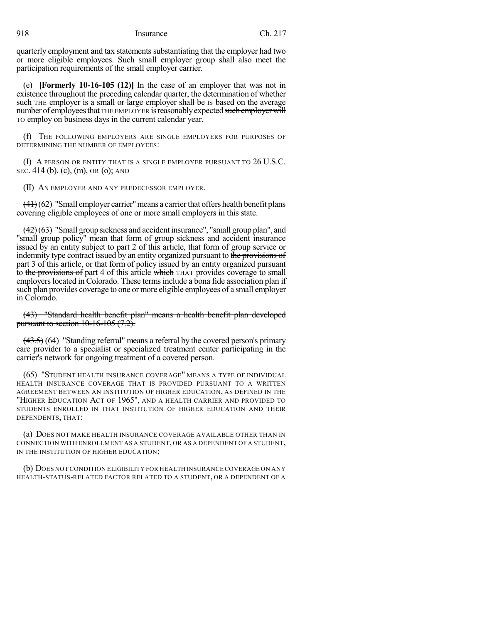quarterly employment and tax statements substantiating that the employer had two or more eligible employees. Such small employer group shall also meet the participation requirements of the small employer carrier.

(e) **[Formerly 10-16-105 (12)]** In the case of an employer that was not in existence throughout the preceding calendar quarter, the determination of whether such THE employer is a small or large employer shall be IS based on the average number of employees that THE EMPLOYER is reasonably expected such employer will TO employ on business days in the current calendar year.

(f) THE FOLLOWING EMPLOYERS ARE SINGLE EMPLOYERS FOR PURPOSES OF DETERMINING THE NUMBER OF EMPLOYEES:

(I) A PERSON OR ENTITY THAT IS A SINGLE EMPLOYER PURSUANT TO 26 U.S.C. SEC. 414 (b), (c), (m), OR (o); AND

(II) AN EMPLOYER AND ANY PREDECESSOR EMPLOYER.

 $(41)(62)$  "Small employer carrier" means a carrier that offers health benefit plans covering eligible employees of one or more small employers in this state.

 $(42)(63)$  "Small group sickness and accident insurance", "small group plan", and "small group policy" mean that form of group sickness and accident insurance issued by an entity subject to part 2 of this article, that form of group service or indemnity type contract issued by an entity organized pursuant to the provisions of part 3 of this article, or that form of policy issued by an entity organized pursuant to the provisions of part 4 of this article which THAT provides coverage to small employers located in Colorado. These terms include a bona fide association plan if such plan provides coverage to one or more eligible employees of a small employer in Colorado.

(43) "Standard health benefit plan" means a health benefit plan developed pursuant to section  $10-16-105$   $(7.2)$ .

 $(43.5)$  (64) "Standing referral" means a referral by the covered person's primary care provider to a specialist or specialized treatment center participating in the carrier's network for ongoing treatment of a covered person.

(65) "STUDENT HEALTH INSURANCE COVERAGE" MEANS A TYPE OF INDIVIDUAL HEALTH INSURANCE COVERAGE THAT IS PROVIDED PURSUANT TO A WRITTEN AGREEMENT BETWEEN AN INSTITUTION OF HIGHER EDUCATION, AS DEFINED IN THE "HIGHER EDUCATION ACT OF 1965", AND A HEALTH CARRIER AND PROVIDED TO STUDENTS ENROLLED IN THAT INSTITUTION OF HIGHER EDUCATION AND THEIR DEPENDENTS, THAT:

(a) DOES NOT MAKE HEALTH INSURANCE COVERAGE AVAILABLE OTHER THAN IN CONNECTION WITH ENROLLMENT AS A STUDENT, OR AS A DEPENDENT OF A STUDENT, IN THE INSTITUTION OF HIGHER EDUCATION;

(b) DOES NOT CONDITION ELIGIBILITY FOR HEALTH INSURANCECOVERAGE ON ANY HEALTH-STATUS-RELATED FACTOR RELATED TO A STUDENT, OR A DEPENDENT OF A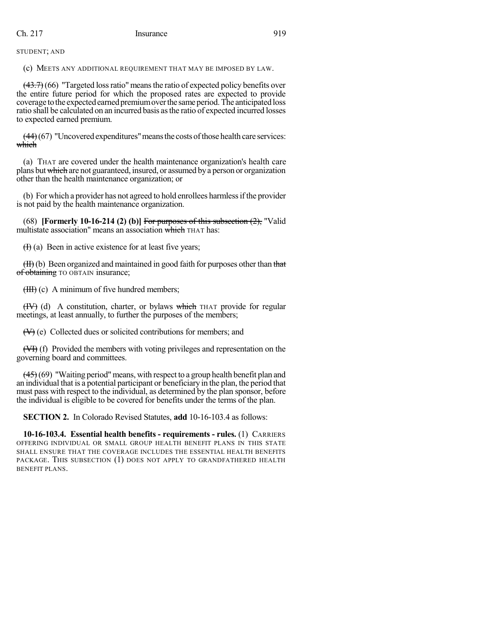STUDENT; AND

(c) MEETS ANY ADDITIONAL REQUIREMENT THAT MAY BE IMPOSED BY LAW.

 $(43.7)$  (66) "Targeted loss ratio" means the ratio of expected policy benefits over the entire future period for which the proposed rates are expected to provide coverage to the expected earned premium over the same period. The anticipated loss ratio shall be calculated on an incurred basis asthe ratio of expected incurred losses to expected earned premium.

 $(44)(67)$  "Uncovered expenditures" means the costs of those health care services: which

(a) THAT are covered under the health maintenance organization's health care plans butwhich are not guaranteed, insured, or assumed bya person or organization other than the health maintenance organization; or

(b) For which a provider has not agreed to hold enrollees harmlessifthe provider is not paid by the health maintenance organization.

(68) **[Formerly 10-16-214 (2) (b)]** For purposes of this subsection (2), "Valid multistate association" means an association which THAT has:

 $(H)$  (a) Been in active existence for at least five years;

(II)(b) Been organized and maintained in good faith for purposes other than that of obtaining TO OBTAIN insurance;

(III) (c) A minimum of five hundred members;

 $(HV)$  (d) A constitution, charter, or bylaws which THAT provide for regular meetings, at least annually, to further the purposes of the members;

(V) (e) Collected dues or solicited contributions for members; and

(VI) (f) Provided the members with voting privileges and representation on the governing board and committees.

 $(45)(69)$  "Waiting period" means, with respect to a group health benefit plan and an individual that is a potential participant or beneficiary in the plan, the period that must pass with respect to the individual, as determined by the plan sponsor, before the individual is eligible to be covered for benefits under the terms of the plan.

**SECTION 2.** In Colorado Revised Statutes, **add** 10-16-103.4 as follows:

**10-16-103.4. Essential health benefits - requirements - rules.** (1) CARRIERS OFFERING INDIVIDUAL OR SMALL GROUP HEALTH BENEFIT PLANS IN THIS STATE SHALL ENSURE THAT THE COVERAGE INCLUDES THE ESSENTIAL HEALTH BENEFITS PACKAGE. THIS SUBSECTION (1) DOES NOT APPLY TO GRANDFATHERED HEALTH BENEFIT PLANS.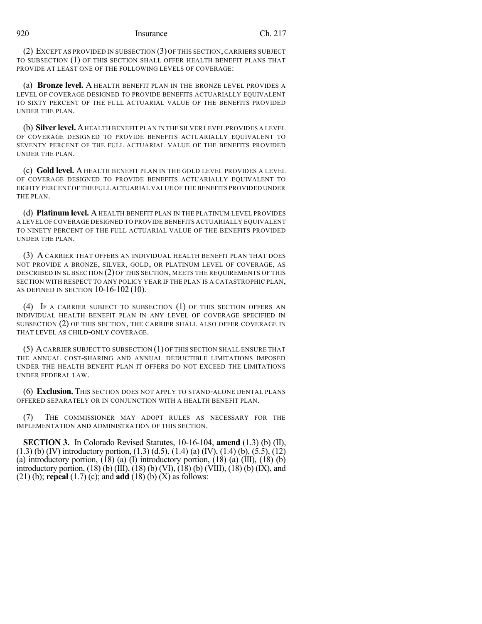(2) EXCEPT AS PROVIDED IN SUBSECTION (3) OF THIS SECTION, CARRIERS SUBJECT TO SUBSECTION (1) OF THIS SECTION SHALL OFFER HEALTH BENEFIT PLANS THAT PROVIDE AT LEAST ONE OF THE FOLLOWING LEVELS OF COVERAGE:

(a) **Bronze level.** A HEALTH BENEFIT PLAN IN THE BRONZE LEVEL PROVIDES A LEVEL OF COVERAGE DESIGNED TO PROVIDE BENEFITS ACTUARIALLY EQUIVALENT TO SIXTY PERCENT OF THE FULL ACTUARIAL VALUE OF THE BENEFITS PROVIDED UNDER THE PLAN.

(b) **Silver level.** AHEALTH BENEFIT PLAN IN THE SILVER LEVEL PROVIDES A LEVEL OF COVERAGE DESIGNED TO PROVIDE BENEFITS ACTUARIALLY EQUIVALENT TO SEVENTY PERCENT OF THE FULL ACTUARIAL VALUE OF THE BENEFITS PROVIDED UNDER THE PLAN.

(c) **Gold level.** A HEALTH BENEFIT PLAN IN THE GOLD LEVEL PROVIDES A LEVEL OF COVERAGE DESIGNED TO PROVIDE BENEFITS ACTUARIALLY EQUIVALENT TO EIGHTY PERCENT OF THE FULL ACTUARIAL VALUE OF THE BENEFITS PROVIDED UNDER THE PLAN.

(d) **Platinum level.** A HEALTH BENEFIT PLAN IN THE PLATINUM LEVEL PROVIDES A LEVEL OF COVERAGE DESIGNED TO PROVIDE BENEFITS ACTUARIALLY EQUIVALENT TO NINETY PERCENT OF THE FULL ACTUARIAL VALUE OF THE BENEFITS PROVIDED UNDER THE PLAN.

(3) A CARRIER THAT OFFERS AN INDIVIDUAL HEALTH BENEFIT PLAN THAT DOES NOT PROVIDE A BRONZE, SILVER, GOLD, OR PLATINUM LEVEL OF COVERAGE, AS DESCRIBED IN SUBSECTION (2) OF THIS SECTION, MEETS THE REQUIREMENTS OF THIS SECTION WITH RESPECT TO ANY POLICY YEAR IF THE PLAN IS A CATASTROPHIC PLAN, AS DEFINED IN SECTION 10-16-102 (10).

(4) IF A CARRIER SUBJECT TO SUBSECTION (1) OF THIS SECTION OFFERS AN INDIVIDUAL HEALTH BENEFIT PLAN IN ANY LEVEL OF COVERAGE SPECIFIED IN SUBSECTION (2) OF THIS SECTION, THE CARRIER SHALL ALSO OFFER COVERAGE IN THAT LEVEL AS CHILD-ONLY COVERAGE.

(5) ACARRIER SUBJECT TO SUBSECTION (1) OF THIS SECTION SHALL ENSURE THAT THE ANNUAL COST-SHARING AND ANNUAL DEDUCTIBLE LIMITATIONS IMPOSED UNDER THE HEALTH BENEFIT PLAN IT OFFERS DO NOT EXCEED THE LIMITATIONS UNDER FEDERAL LAW.

(6) **Exclusion.** THIS SECTION DOES NOT APPLY TO STAND-ALONE DENTAL PLANS OFFERED SEPARATELY OR IN CONJUNCTION WITH A HEALTH BENEFIT PLAN.

(7) THE COMMISSIONER MAY ADOPT RULES AS NECESSARY FOR THE IMPLEMENTATION AND ADMINISTRATION OF THIS SECTION.

**SECTION 3.** In Colorado Revised Statutes, 10-16-104, **amend** (1.3) (b) (II), (1.3) (b) (IV) introductory portion, (1.3) (d.5), (1.4) (a) (IV), (1.4) (b), (5.5), (12) (a) introductory portion,  $(18)$  (a) (I) introductory portion,  $(18)$  (a)  $(III)$ ,  $(18)$  (b) introductory portion,  $(18)$  (b)  $(III)$ ,  $(18)$  (b)  $(VII)$ ,  $(18)$  (b)  $(VIII)$ ,  $(18)$  (b)  $(IX)$ , and (21) (b); **repeal** (1.7) (c); and **add** (18) (b) (X) as follows: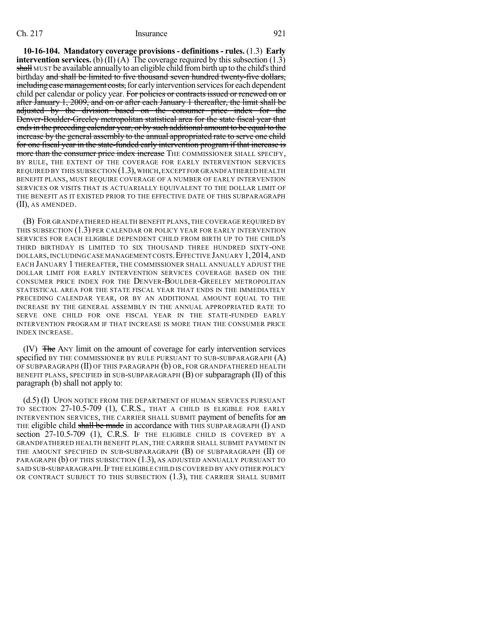**10-16-104. Mandatory coverage provisions - definitions - rules.** (1.3) **Early intervention services.** (b) (II) (A) The coverage required by this subsection  $(1.3)$ shall MUST be available annually to an eligible child from birth up to the child's third birthday and shall be limited to five thousand seven hundred twenty-five dollars, including case management costs, for early intervention services for each dependent child per calendar or policy year. For policies or contracts issued or renewed on or after January 1, 2009, and on or after each January 1 thereafter, the limit shall be adjusted by the division based on the consumer price index for the Denver-Boulder-Greeley metropolitan statistical area for the state fiscal year that ends in the preceding calendar year, or by such additional amount to be equal to the increase by the general assembly to the annual appropriated rate to serve one child for one fiscal year in the state-funded early intervention program if that increase is more than the consumer price index increase THE COMMISSIONER SHALL SPECIFY, BY RULE, THE EXTENT OF THE COVERAGE FOR EARLY INTERVENTION SERVICES REQUIRED BY THIS SUBSECTION (1.3),WHICH,EXCEPT FOR GRANDFATHERED HEALTH BENEFIT PLANS, MUST REQUIRE COVERAGE OF A NUMBER OF EARLY INTERVENTION SERVICES OR VISITS THAT IS ACTUARIALLY EQUIVALENT TO THE DOLLAR LIMIT OF THE BENEFIT AS IT EXISTED PRIOR TO THE EFFECTIVE DATE OF THIS SUBPARAGRAPH (II), AS AMENDED.

(B) FOR GRANDFATHERED HEALTH BENEFIT PLANS, THE COVERAGE REQUIRED BY THIS SUBSECTION (1.3) PER CALENDAR OR POLICY YEAR FOR EARLY INTERVENTION SERVICES FOR EACH ELIGIBLE DEPENDENT CHILD FROM BIRTH UP TO THE CHILD'S THIRD BIRTHDAY IS LIMITED TO SIX THOUSAND THREE HUNDRED SIXTY-ONE DOLLARS,INCLUDING CASE MANAGEMENT COSTS.EFFECTIVE JANUARY 1,2014,AND EACH JANUARY 1 THEREAFTER, THE COMMISSIONER SHALL ANNUALLY ADJUST THE DOLLAR LIMIT FOR EARLY INTERVENTION SERVICES COVERAGE BASED ON THE CONSUMER PRICE INDEX FOR THE DENVER-BOULDER-GREELEY METROPOLITAN STATISTICAL AREA FOR THE STATE FISCAL YEAR THAT ENDS IN THE IMMEDIATELY PRECEDING CALENDAR YEAR, OR BY AN ADDITIONAL AMOUNT EQUAL TO THE INCREASE BY THE GENERAL ASSEMBLY IN THE ANNUAL APPROPRIATED RATE TO SERVE ONE CHILD FOR ONE FISCAL YEAR IN THE STATE-FUNDED EARLY INTERVENTION PROGRAM IF THAT INCREASE IS MORE THAN THE CONSUMER PRICE INDEX INCREASE.

(IV) The ANY limit on the amount of coverage for early intervention services specified BY THE COMMISSIONER BY RULE PURSUANT TO SUB-SUBPARAGRAPH  $(A)$ OF SUBPARAGRAPH (II) OF THIS PARAGRAPH (b) OR, FOR GRANDFATHERED HEALTH BENEFIT PLANS, SPECIFIED in SUB-SUBPARAGRAPH (B) OF subparagraph (II) of this paragraph (b) shall not apply to:

(d.5) (I) UPON NOTICE FROM THE DEPARTMENT OF HUMAN SERVICES PURSUANT TO SECTION 27-10.5-709 (1), C.R.S., THAT A CHILD IS ELIGIBLE FOR EARLY INTERVENTION SERVICES, THE CARRIER SHALL SUBMIT payment of benefits for an THE eligible child shall be made in accordance with THIS SUBPARAGRAPH  $(I)$  AND section 27-10.5-709 (1), C.R.S. IF THE ELIGIBLE CHILD IS COVERED BY A GRANDFATHERED HEALTH BENEFIT PLAN, THE CARRIER SHALL SUBMIT PAYMENT IN THE AMOUNT SPECIFIED IN SUB-SUBPARAGRAPH  $(B)$  of SUBPARAGRAPH  $(II)$  of PARAGRAPH (b) OF THIS SUBSECTION (1.3), AS ADJUSTED ANNUALLY PURSUANT TO SAID SUB-SUBPARAGRAPH.IF THE ELIGIBLE CHILD IS COVERED BY ANY OTHER POLICY OR CONTRACT SUBJECT TO THIS SUBSECTION (1.3), THE CARRIER SHALL SUBMIT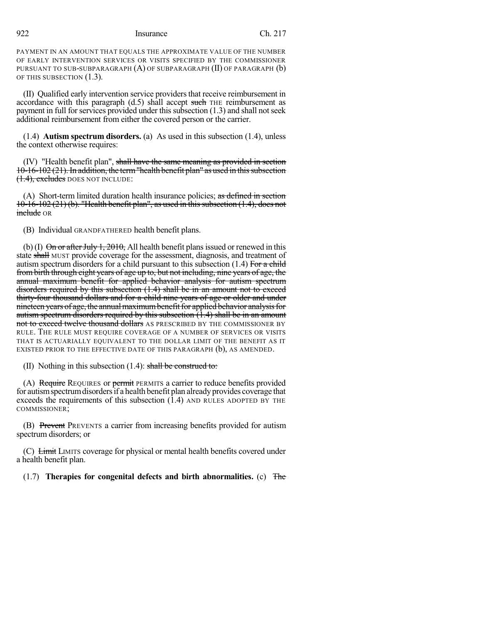PAYMENT IN AN AMOUNT THAT EQUALS THE APPROXIMATE VALUE OF THE NUMBER OF EARLY INTERVENTION SERVICES OR VISITS SPECIFIED BY THE COMMISSIONER PURSUANT TO SUB-SUBPARAGRAPH (A) OF SUBPARAGRAPH (II) OF PARAGRAPH (b) OF THIS SUBSECTION (1.3).

(II) Qualified early intervention service providersthat receive reimbursement in accordance with this paragraph  $(d.5)$  shall accept such THE reimbursement as payment in full for services provided under this subsection  $(1.3)$  and shall not seek additional reimbursement from either the covered person or the carrier.

(1.4) **Autism spectrum disorders.** (a) As used in this subsection (1.4), unless the context otherwise requires:

(IV) "Health benefit plan", shall have the same meaning as provided in section  $10-16-102(21)$ . In addition, the term "health benefit plan" as used in this subsection  $(1.4)$ , excludes DOES NOT INCLUDE:

(A) Short-term limited duration health insurance policies; as defined in section  $10-16-102(21)(b)$ . "Health benefit plan", as used in this subsection  $(1.4)$ , does not include OR

(B) Individual GRANDFATHERED health benefit plans.

(b) (I)  $\Theta$  or after July 1, 2010, All health benefit plans issued or renewed in this state shall MUST provide coverage for the assessment, diagnosis, and treatment of autism spectrum disorders for a child pursuant to this subsection  $(1.4)$  For a child frombirth through eight years of age up to, but not including, nine years of age, the annual maximum benefit for applied behavior analysis for autism spectrum disorders required by this subsection (1.4) shall be in an amount not to exceed thirty-four thousand dollars and for a child nine years of age or older and under nineteen years of age, the annual maximum benefit for applied behavior analysis for autism spectrum disorders required by this subsection (1.4) shall be in an amount not to exceed twelve thousand dollars AS PRESCRIBED BY THE COMMISSIONER BY RULE. THE RULE MUST REQUIRE COVERAGE OF A NUMBER OF SERVICES OR VISITS THAT IS ACTUARIALLY EQUIVALENT TO THE DOLLAR LIMIT OF THE BENEFIT AS IT EXISTED PRIOR TO THE EFFECTIVE DATE OF THIS PARAGRAPH (b), AS AMENDED.

(II) Nothing in this subsection  $(1.4)$ : shall be construed to:

(A) Require REQUIRES or permit PERMITS a carrier to reduce benefits provided for autism spectrum disorders if a health benefit plan already provides coverage that exceeds the requirements of this subsection (1.4) AND RULES ADOPTED BY THE COMMISSIONER;

(B) Prevent PREVENTS a carrier from increasing benefits provided for autism spectrum disorders; or

(C) Limit LIMITS coverage for physical or mental health benefits covered under a health benefit plan.

(1.7) **Therapies for congenital defects and birth abnormalities.** (c) The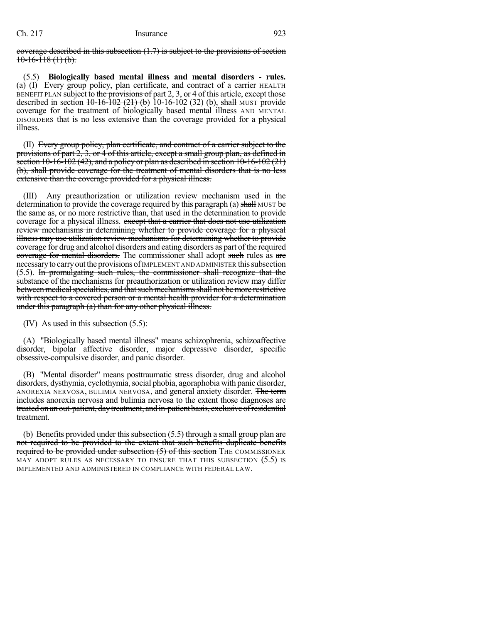coverage described in this subsection (1.7) is subject to the provisions of section  $10-16-118$  (1) (b).

(5.5) **Biologically based mental illness and mental disorders - rules.** (a) (I) Every group policy, plan certificate, and contract of a carrier HEALTH BENEFIT PLAN subject to the provisions of part  $2, 3$ , or 4 of this article, except those described in section  $10-16-102$  (21) (b) 10-16-102 (32) (b), shall MUST provide coverage for the treatment of biologically based mental illness AND MENTAL DISORDERS that is no less extensive than the coverage provided for a physical illness.

(II) Every group policy, plan certificate, and contract of a carrier subject to the provisions of part 2, 3, or 4 of this article, except a small group plan, as defined in section 10-16-102 (42), and a policy or plan as described in section 10-16-102 (21) (b), shall provide coverage for the treatment of mental disorders that is no less extensive than the coverage provided for a physical illness.

(III) Any preauthorization or utilization review mechanism used in the determination to provide the coverage required by this paragraph (a) shall MUST be the same as, or no more restrictive than, that used in the determination to provide coverage for a physical illness. except that a carrier that does not use utilization review mechanisms in determining whether to provide coverage for a physical illness may use utilization review mechanisms for determining whether to provide coverage for drug and alcohol disorders and eating disorders as part of the required coverage for mental disorders. The commissioner shall adopt such rules as are necessary to carry out the provisions of IMPLEMENT AND ADMINISTER this subsection (5.5). In promulgating such rules, the commissioner shall recognize that the substance of the mechanisms for preauthorization or utilization review may differ between medical specialties, and that such mechanisms shall not be more restrictive with respect to a covered person or a mental health provider for a determination under this paragraph (a) than for any other physical illness.

(IV) As used in this subsection (5.5):

(A) "Biologically based mental illness" means schizophrenia, schizoaffective disorder, bipolar affective disorder, major depressive disorder, specific obsessive-compulsive disorder, and panic disorder.

(B) "Mental disorder" means posttraumatic stress disorder, drug and alcohol disorders, dysthymia, cyclothymia, social phobia, agoraphobia with panic disorder, ANOREXIA NERVOSA, BULIMIA NERVOSA, and general anxiety disorder. The term includes anorexia nervosa and bulimia nervosa to the extent those diagnoses are treated on an out-patient, day treatment, and in-patient basis, exclusive of residential treatment.

(b) Benefits provided under this subsection  $(5.5)$  through a small group plan are not required to be provided to the extent that such benefits duplicate benefits required to be provided under subsection (5) of this section THE COMMISSIONER MAY ADOPT RULES AS NECESSARY TO ENSURE THAT THIS SUBSECTION (5.5) IS IMPLEMENTED AND ADMINISTERED IN COMPLIANCE WITH FEDERAL LAW.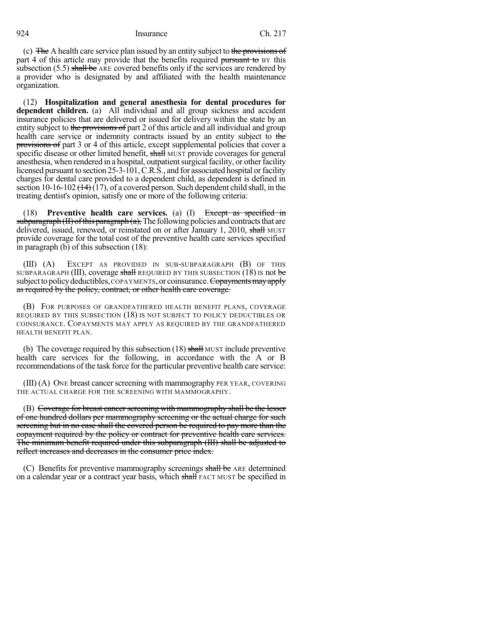(c) The A health care service plan issued by an entity subject to the provisions of part 4 of this article may provide that the benefits required pursuant to BY this subsection  $(5.5)$  shall be ARE covered benefits only if the services are rendered by a provider who is designated by and affiliated with the health maintenance organization.

(12) **Hospitalization and general anesthesia for dental procedures for dependent children.** (a) All individual and all group sickness and accident insurance policies that are delivered or issued for delivery within the state by an entity subject to the provisions of part 2 of this article and all individual and group health care service or indemnity contracts issued by an entity subject to the provisions of part 3 or 4 of this article, except supplemental policies that cover a specific disease or other limited benefit, shall MUST provide coverages for general anesthesia, when rendered in a hospital, outpatient surgical facility, or other facility licensed pursuant to section 25-3-101, C.R.S., and for associated hospital or facility charges for dental care provided to a dependent child, as dependent is defined in section 10-16-102  $(14)$  (17), of a covered person. Such dependent child shall, in the treating dentist's opinion, satisfy one or more of the following criteria:

(18) **Preventive health care services.** (a) (I) Except as specified in subparagraph  $(H)$  of this paragraph  $(a)$ , The following policies and contracts that are delivered, issued, renewed, or reinstated on or after January 1, 2010, shall MUST provide coverage for the total cost of the preventive health care services specified in paragraph (b) of this subsection (18):

(III) (A) EXCEPT AS PROVIDED IN SUB-SUBPARAGRAPH (B) OF THIS SUBPARAGRAPH (III), coverage shall REQUIRED BY THIS SUBSECTION (18) IS not be subject to policy deductibles, COPAYMENTS, or coinsurance. Copayments may apply as required by the policy, contract, or other health care coverage.

(B) FOR PURPOSES OF GRANDFATHERED HEALTH BENEFIT PLANS, COVERAGE REQUIRED BY THIS SUBSECTION (18) IS NOT SUBJECT TO POLICY DEDUCTIBLES OR COINSURANCE. COPAYMENTS MAY APPLY AS REQUIRED BY THE GRANDFATHERED HEALTH BENEFIT PLAN.

(b) The coverage required by this subsection  $(18)$  shall MUST include preventive health care services for the following, in accordance with the A or B recommendations of the task force for the particular preventive health care service:

 $(III)$  (A) ONE breast cancer screening with mammography PER YEAR, COVERING THE ACTUAL CHARGE FOR THE SCREENING WITH MAMMOGRAPHY.

(B) Coverage for breast cancer screening with mammography shall be the lesser of one hundred dollars per mammography screening or the actual charge for such screening but in no case shall the covered person be required to pay more than the copayment required by the policy or contract for preventive health care services. The minimum benefit required under this subparagraph (III) shall be adjusted to reflect increases and decreases in the consumer price index.

(C) Benefits for preventive mammography screenings shall be ARE determined on a calendar year or a contract year basis, which shall FACT MUST be specified in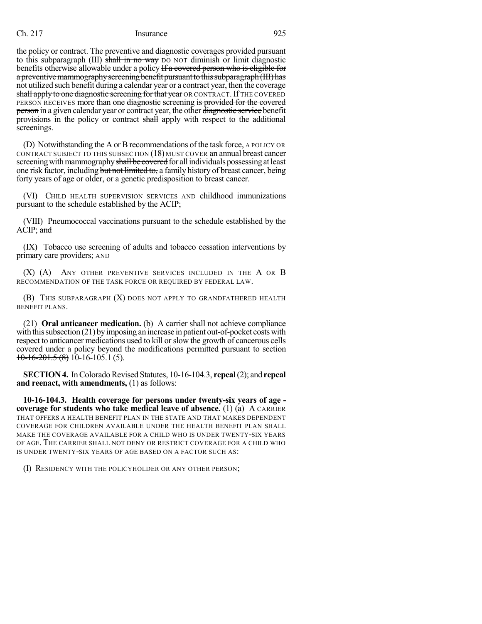the policy or contract. The preventive and diagnostic coverages provided pursuant to this subparagraph  $(III)$  shall in no way DO NOT diminish or limit diagnostic benefits otherwise allowable under a policy If a covered person who is eligible for a preventive mammography screening benefit pursuant to this subparagraph (III) has not utilized such benefit during a calendar year or a contract year, then the coverage shall apply to one diagnostic screening for that year OR CONTRACT. If THE COVERED PERSON RECEIVES more than one diagnostic screening is provided for the covered **person** in a given calendar year or contract year, the other diagnostic service benefit provisions in the policy or contract shall apply with respect to the additional screenings.

(D) Notwithstanding the A orBrecommendations of the task force, A POLICY OR CONTRACT SUBJECT TO THIS SUBSECTION (18) MUST COVER an annual breast cancer screening with mammography shall be covered for all individuals possessing at least one risk factor, including but not limited to, a family history of breast cancer, being forty years of age or older, or a genetic predisposition to breast cancer.

(VI) CHILD HEALTH SUPERVISION SERVICES AND childhood immunizations pursuant to the schedule established by the ACIP;

(VIII) Pneumococcal vaccinations pursuant to the schedule established by the ACIP; and

(IX) Tobacco use screening of adults and tobacco cessation interventions by primary care providers; AND

(X) (A) ANY OTHER PREVENTIVE SERVICES INCLUDED IN THE A OR B RECOMMENDATION OF THE TASK FORCE OR REQUIRED BY FEDERAL LAW.

(B) THIS SUBPARAGRAPH (X) DOES NOT APPLY TO GRANDFATHERED HEALTH BENEFIT PLANS.

(21) **Oral anticancer medication.** (b) A carrier shall not achieve compliance with this subsection  $(21)$  by imposing an increase in patient out-of-pocket costs with respect to anticancer medications used to kill orslow the growth of cancerous cells covered under a policy beyond the modifications permitted pursuant to section  $10-16-201.5(8)$  10-16-105.1(5).

**SECTION 4.** In Colorado Revised Statutes, 10-16-104.3, **repeal** (2); and **repeal and reenact, with amendments,** (1) as follows:

**10-16-104.3. Health coverage for persons under twenty-six years of age coverage for students who take medical leave of absence.** (1) (a) A CARRIER THAT OFFERS A HEALTH BENEFIT PLAN IN THE STATE AND THAT MAKES DEPENDENT COVERAGE FOR CHILDREN AVAILABLE UNDER THE HEALTH BENEFIT PLAN SHALL MAKE THE COVERAGE AVAILABLE FOR A CHILD WHO IS UNDER TWENTY-SIX YEARS OF AGE. THE CARRIER SHALL NOT DENY OR RESTRICT COVERAGE FOR A CHILD WHO IS UNDER TWENTY-SIX YEARS OF AGE BASED ON A FACTOR SUCH AS:

(I) RESIDENCY WITH THE POLICYHOLDER OR ANY OTHER PERSON;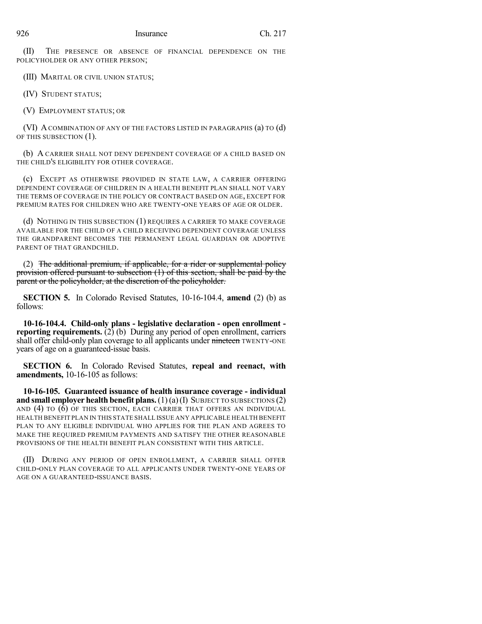(II) THE PRESENCE OR ABSENCE OF FINANCIAL DEPENDENCE ON THE POLICYHOLDER OR ANY OTHER PERSON;

(III) MARITAL OR CIVIL UNION STATUS;

(IV) STUDENT STATUS;

(V) EMPLOYMENT STATUS; OR

(VI) ACOMBINATION OF ANY OF THE FACTORS LISTED IN PARAGRAPHS (a) TO (d) OF THIS SUBSECTION (1).

(b) A CARRIER SHALL NOT DENY DEPENDENT COVERAGE OF A CHILD BASED ON THE CHILD'S ELIGIBILITY FOR OTHER COVERAGE.

(c) EXCEPT AS OTHERWISE PROVIDED IN STATE LAW, A CARRIER OFFERING DEPENDENT COVERAGE OF CHILDREN IN A HEALTH BENEFIT PLAN SHALL NOT VARY THE TERMS OF COVERAGE IN THE POLICY OR CONTRACT BASED ON AGE, EXCEPT FOR PREMIUM RATES FOR CHILDREN WHO ARE TWENTY-ONE YEARS OF AGE OR OLDER.

(d) NOTHING IN THIS SUBSECTION (1) REQUIRES A CARRIER TO MAKE COVERAGE AVAILABLE FOR THE CHILD OF A CHILD RECEIVING DEPENDENT COVERAGE UNLESS THE GRANDPARENT BECOMES THE PERMANENT LEGAL GUARDIAN OR ADOPTIVE PARENT OF THAT GRANDCHILD.

(2) The additional premium, if applicable, for a rider or supplemental policy provision offered pursuant to subsection (1) of this section, shall be paid by the parent or the policyholder, at the discretion of the policyholder.

**SECTION 5.** In Colorado Revised Statutes, 10-16-104.4, **amend** (2) (b) as follows:

**10-16-104.4. Child-only plans - legislative declaration - open enrollment reporting requirements.** (2) (b) During any period of open enrollment, carriers shall offer child-only plan coverage to all applicants under nineteen TWENTY-ONE years of age on a guaranteed-issue basis.

**SECTION 6.** In Colorado Revised Statutes, **repeal and reenact, with amendments,** 10-16-105 as follows:

**10-16-105. Guaranteed issuance of health insurance coverage - individual and small employer health benefit plans.**(1)(a)(I) SUBJECT TO SUBSECTIONS (2) AND (4) TO (6) OF THIS SECTION, EACH CARRIER THAT OFFERS AN INDIVIDUAL HEALTH BENEFIT PLAN IN THIS STATE SHALL ISSUE ANY APPLICABLE HEALTH BENEFIT PLAN TO ANY ELIGIBLE INDIVIDUAL WHO APPLIES FOR THE PLAN AND AGREES TO MAKE THE REQUIRED PREMIUM PAYMENTS AND SATISFY THE OTHER REASONABLE PROVISIONS OF THE HEALTH BENEFIT PLAN CONSISTENT WITH THIS ARTICLE.

(II) DURING ANY PERIOD OF OPEN ENROLLMENT, A CARRIER SHALL OFFER CHILD-ONLY PLAN COVERAGE TO ALL APPLICANTS UNDER TWENTY-ONE YEARS OF AGE ON A GUARANTEED-ISSUANCE BASIS.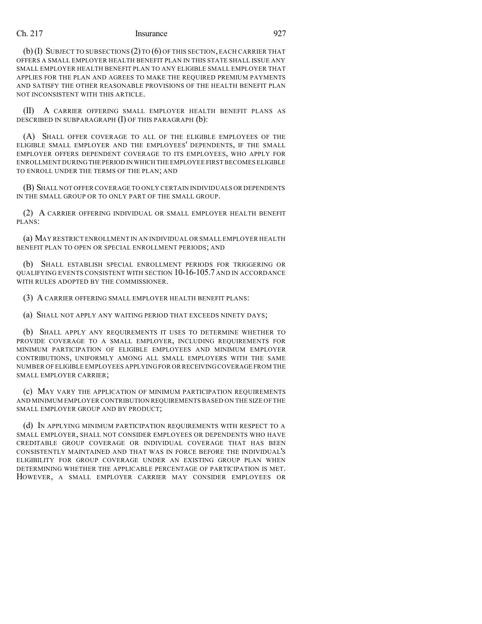(b)(I) SUBJECT TO SUBSECTIONS (2) TO (6) OF THIS SECTION, EACH CARRIER THAT OFFERS A SMALL EMPLOYER HEALTH BENEFIT PLAN IN THIS STATE SHALL ISSUE ANY SMALL EMPLOYER HEALTH BENEFIT PLAN TO ANY ELIGIBLE SMALL EMPLOYER THAT APPLIES FOR THE PLAN AND AGREES TO MAKE THE REQUIRED PREMIUM PAYMENTS AND SATISFY THE OTHER REASONABLE PROVISIONS OF THE HEALTH BENEFIT PLAN NOT INCONSISTENT WITH THIS ARTICLE.

(II) A CARRIER OFFERING SMALL EMPLOYER HEALTH BENEFIT PLANS AS DESCRIBED IN SUBPARAGRAPH  $(I)$  OF THIS PARAGRAPH  $(b)$ :

(A) SHALL OFFER COVERAGE TO ALL OF THE ELIGIBLE EMPLOYEES OF THE ELIGIBLE SMALL EMPLOYER AND THE EMPLOYEES' DEPENDENTS, IF THE SMALL EMPLOYER OFFERS DEPENDENT COVERAGE TO ITS EMPLOYEES, WHO APPLY FOR ENROLLMENT DURING THE PERIOD IN WHICH THE EMPLOYEE FIRST BECOMES ELIGIBLE TO ENROLL UNDER THE TERMS OF THE PLAN; AND

(B) SHALL NOT OFFER COVERAGE TO ONLY CERTAIN INDIVIDUALS OR DEPENDENTS IN THE SMALL GROUP OR TO ONLY PART OF THE SMALL GROUP.

(2) A CARRIER OFFERING INDIVIDUAL OR SMALL EMPLOYER HEALTH BENEFIT PLANS:

(a) MAY RESTRICT ENROLLMENT IN AN INDIVIDUAL OR SMALL EMPLOYER HEALTH BENEFIT PLAN TO OPEN OR SPECIAL ENROLLMENT PERIODS; AND

(b) SHALL ESTABLISH SPECIAL ENROLLMENT PERIODS FOR TRIGGERING OR QUALIFYING EVENTS CONSISTENT WITH SECTION 10-16-105.7 AND IN ACCORDANCE WITH RULES ADOPTED BY THE COMMISSIONER.

(3) A CARRIER OFFERING SMALL EMPLOYER HEALTH BENEFIT PLANS:

(a) SHALL NOT APPLY ANY WAITING PERIOD THAT EXCEEDS NINETY DAYS;

(b) SHALL APPLY ANY REQUIREMENTS IT USES TO DETERMINE WHETHER TO PROVIDE COVERAGE TO A SMALL EMPLOYER, INCLUDING REQUIREMENTS FOR MINIMUM PARTICIPATION OF ELIGIBLE EMPLOYEES AND MINIMUM EMPLOYER CONTRIBUTIONS, UNIFORMLY AMONG ALL SMALL EMPLOYERS WITH THE SAME NUMBER OF ELIGIBLE EMPLOYEES APPLYING FOR OR RECEIVINGCOVERAGE FROM THE SMALL EMPLOYER CARRIER;

(c) MAY VARY THE APPLICATION OF MINIMUM PARTICIPATION REQUIREMENTS AND MINIMUM EMPLOYER CONTRIBUTION REQUIREMENTS BASED ON THE SIZE OF THE SMALL EMPLOYER GROUP AND BY PRODUCT;

(d) IN APPLYING MINIMUM PARTICIPATION REQUIREMENTS WITH RESPECT TO A SMALL EMPLOYER, SHALL NOT CONSIDER EMPLOYEES OR DEPENDENTS WHO HAVE CREDITABLE GROUP COVERAGE OR INDIVIDUAL COVERAGE THAT HAS BEEN CONSISTENTLY MAINTAINED AND THAT WAS IN FORCE BEFORE THE INDIVIDUAL'S ELIGIBILITY FOR GROUP COVERAGE UNDER AN EXISTING GROUP PLAN WHEN DETERMINING WHETHER THE APPLICABLE PERCENTAGE OF PARTICIPATION IS MET. HOWEVER, A SMALL EMPLOYER CARRIER MAY CONSIDER EMPLOYEES OR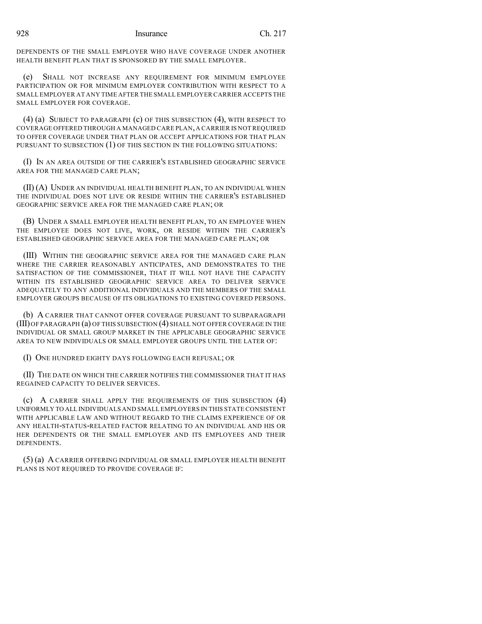DEPENDENTS OF THE SMALL EMPLOYER WHO HAVE COVERAGE UNDER ANOTHER HEALTH BENEFIT PLAN THAT IS SPONSORED BY THE SMALL EMPLOYER.

(e) SHALL NOT INCREASE ANY REQUIREMENT FOR MINIMUM EMPLOYEE PARTICIPATION OR FOR MINIMUM EMPLOYER CONTRIBUTION WITH RESPECT TO A SMALL EMPLOYER AT ANY TIME AFTER THE SMALL EMPLOYER CARRIER ACCEPTS THE SMALL EMPLOYER FOR COVERAGE.

(4) (a) SUBJECT TO PARAGRAPH (c) OF THIS SUBSECTION (4), WITH RESPECT TO COVERAGE OFFERED THROUGH A MANAGED CARE PLAN,A CARRIER IS NOT REQUIRED TO OFFER COVERAGE UNDER THAT PLAN OR ACCEPT APPLICATIONS FOR THAT PLAN PURSUANT TO SUBSECTION (1) OF THIS SECTION IN THE FOLLOWING SITUATIONS:

(I) IN AN AREA OUTSIDE OF THE CARRIER'S ESTABLISHED GEOGRAPHIC SERVICE AREA FOR THE MANAGED CARE PLAN;

(II) (A) UNDER AN INDIVIDUAL HEALTH BENEFIT PLAN, TO AN INDIVIDUAL WHEN THE INDIVIDUAL DOES NOT LIVE OR RESIDE WITHIN THE CARRIER'S ESTABLISHED GEOGRAPHIC SERVICE AREA FOR THE MANAGED CARE PLAN; OR

(B) UNDER A SMALL EMPLOYER HEALTH BENEFIT PLAN, TO AN EMPLOYEE WHEN THE EMPLOYEE DOES NOT LIVE, WORK, OR RESIDE WITHIN THE CARRIER'S ESTABLISHED GEOGRAPHIC SERVICE AREA FOR THE MANAGED CARE PLAN; OR

(III) WITHIN THE GEOGRAPHIC SERVICE AREA FOR THE MANAGED CARE PLAN WHERE THE CARRIER REASONABLY ANTICIPATES, AND DEMONSTRATES TO THE SATISFACTION OF THE COMMISSIONER, THAT IT WILL NOT HAVE THE CAPACITY WITHIN ITS ESTABLISHED GEOGRAPHIC SERVICE AREA TO DELIVER SERVICE ADEQUATELY TO ANY ADDITIONAL INDIVIDUALS AND THE MEMBERS OF THE SMALL EMPLOYER GROUPS BECAUSE OF ITS OBLIGATIONS TO EXISTING COVERED PERSONS.

(b) A CARRIER THAT CANNOT OFFER COVERAGE PURSUANT TO SUBPARAGRAPH (III)OF PARAGRAPH (a) OF THIS SUBSECTION (4) SHALL NOT OFFER COVERAGE IN THE INDIVIDUAL OR SMALL GROUP MARKET IN THE APPLICABLE GEOGRAPHIC SERVICE AREA TO NEW INDIVIDUALS OR SMALL EMPLOYER GROUPS UNTIL THE LATER OF:

(I) ONE HUNDRED EIGHTY DAYS FOLLOWING EACH REFUSAL; OR

(II) THE DATE ON WHICH THE CARRIER NOTIFIES THE COMMISSIONER THAT IT HAS REGAINED CAPACITY TO DELIVER SERVICES.

(c) A CARRIER SHALL APPLY THE REQUIREMENTS OF THIS SUBSECTION (4) UNIFORMLY TO ALL INDIVIDUALS AND SMALL EMPLOYERS IN THIS STATE CONSISTENT WITH APPLICABLE LAW AND WITHOUT REGARD TO THE CLAIMS EXPERIENCE OF OR ANY HEALTH-STATUS-RELATED FACTOR RELATING TO AN INDIVIDUAL AND HIS OR HER DEPENDENTS OR THE SMALL EMPLOYER AND ITS EMPLOYEES AND THEIR DEPENDENTS.

(5) (a) A CARRIER OFFERING INDIVIDUAL OR SMALL EMPLOYER HEALTH BENEFIT PLANS IS NOT REQUIRED TO PROVIDE COVERAGE IF: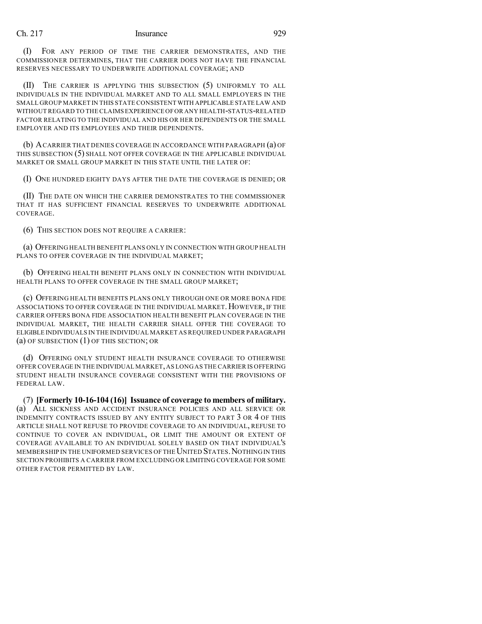(I) FOR ANY PERIOD OF TIME THE CARRIER DEMONSTRATES, AND THE COMMISSIONER DETERMINES, THAT THE CARRIER DOES NOT HAVE THE FINANCIAL RESERVES NECESSARY TO UNDERWRITE ADDITIONAL COVERAGE; AND

(II) THE CARRIER IS APPLYING THIS SUBSECTION (5) UNIFORMLY TO ALL INDIVIDUALS IN THE INDIVIDUAL MARKET AND TO ALL SMALL EMPLOYERS IN THE SMALL GROUP MARKET IN THIS STATE CONSISTENT WITH APPLICABLE STATE LAW AND WITHOUT REGARD TO THE CLAIMS EXPERIENCE OFOR ANY HEALTH-STATUS-RELATED FACTOR RELATING TO THE INDIVIDUAL AND HIS OR HER DEPENDENTS OR THE SMALL EMPLOYER AND ITS EMPLOYEES AND THEIR DEPENDENTS.

(b) ACARRIER THAT DENIES COVERAGE IN ACCORDANCE WITH PARAGRAPH (a) OF THIS SUBSECTION (5) SHALL NOT OFFER COVERAGE IN THE APPLICABLE INDIVIDUAL MARKET OR SMALL GROUP MARKET IN THIS STATE UNTIL THE LATER OF:

(I) ONE HUNDRED EIGHTY DAYS AFTER THE DATE THE COVERAGE IS DENIED; OR

(II) THE DATE ON WHICH THE CARRIER DEMONSTRATES TO THE COMMISSIONER THAT IT HAS SUFFICIENT FINANCIAL RESERVES TO UNDERWRITE ADDITIONAL COVERAGE.

(6) THIS SECTION DOES NOT REQUIRE A CARRIER:

(a) OFFERING HEALTH BENEFIT PLANS ONLY IN CONNECTION WITH GROUP HEALTH PLANS TO OFFER COVERAGE IN THE INDIVIDUAL MARKET;

(b) OFFERING HEALTH BENEFIT PLANS ONLY IN CONNECTION WITH INDIVIDUAL HEALTH PLANS TO OFFER COVERAGE IN THE SMALL GROUP MARKET;

(c) OFFERING HEALTH BENEFITS PLANS ONLY THROUGH ONE OR MORE BONA FIDE ASSOCIATIONS TO OFFER COVERAGE IN THE INDIVIDUAL MARKET. HOWEVER, IF THE CARRIER OFFERS BONA FIDE ASSOCIATION HEALTH BENEFIT PLAN COVERAGE IN THE INDIVIDUAL MARKET, THE HEALTH CARRIER SHALL OFFER THE COVERAGE TO ELIGIBLE INDIVIDUALS IN THE INDIVIDUAL MARKET AS REQUIRED UNDER PARAGRAPH (a) OF SUBSECTION (1) OF THIS SECTION; OR

(d) OFFERING ONLY STUDENT HEALTH INSURANCE COVERAGE TO OTHERWISE OFFER COVERAGE IN THE INDIVIDUAL MARKET,AS LONG AS THE CARRIER IS OFFERING STUDENT HEALTH INSURANCE COVERAGE CONSISTENT WITH THE PROVISIONS OF FEDERAL LAW.

(7) **[Formerly 10-16-104 (16)] Issuance of coverage to members of military.** (a) ALL SICKNESS AND ACCIDENT INSURANCE POLICIES AND ALL SERVICE OR INDEMNITY CONTRACTS ISSUED BY ANY ENTITY SUBJECT TO PART 3 OR 4 OF THIS ARTICLE SHALL NOT REFUSE TO PROVIDE COVERAGE TO AN INDIVIDUAL, REFUSE TO CONTINUE TO COVER AN INDIVIDUAL, OR LIMIT THE AMOUNT OR EXTENT OF COVERAGE AVAILABLE TO AN INDIVIDUAL SOLELY BASED ON THAT INDIVIDUAL'S MEMBERSHIP IN THE UNIFORMED SERVICES OF THE UNITED STATES. NOTHING IN THIS SECTION PROHIBITS A CARRIER FROM EXCLUDING OR LIMITING COVERAGE FOR SOME OTHER FACTOR PERMITTED BY LAW.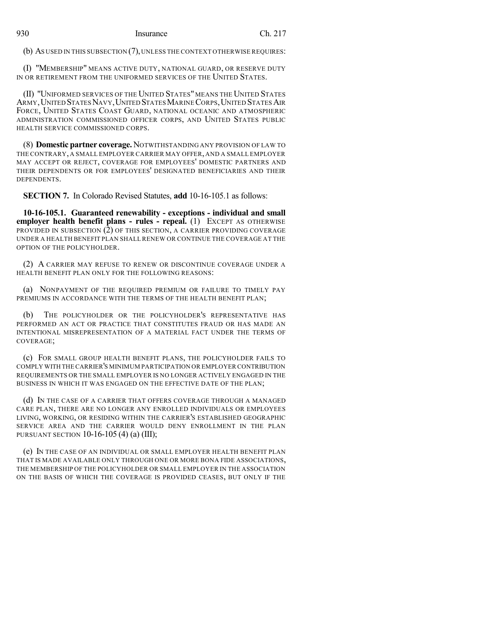(b) AS USED IN THIS SUBSECTION (7),UNLESS THE CONTEXT OTHERWISE REQUIRES:

(I) "MEMBERSHIP" MEANS ACTIVE DUTY, NATIONAL GUARD, OR RESERVE DUTY IN OR RETIREMENT FROM THE UNIFORMED SERVICES OF THE UNITED STATES.

(II) "UNIFORMED SERVICES OF THE UNITED STATES" MEANS THE UNITED STATES ARMY, UNITED STATES NAVY, UNITED STATES MARINE CORPS, UNITED STATES AIR FORCE, UNITED STATES COAST GUARD, NATIONAL OCEANIC AND ATMOSPHERIC ADMINISTRATION COMMISSIONED OFFICER CORPS, AND UNITED STATES PUBLIC HEALTH SERVICE COMMISSIONED CORPS.

(8) **Domestic partner coverage.** NOTWITHSTANDING ANY PROVISION OF LAW TO THE CONTRARY, A SMALL EMPLOYER CARRIER MAY OFFER, AND A SMALL EMPLOYER MAY ACCEPT OR REJECT, COVERAGE FOR EMPLOYEES' DOMESTIC PARTNERS AND THEIR DEPENDENTS OR FOR EMPLOYEES' DESIGNATED BENEFICIARIES AND THEIR DEPENDENTS.

**SECTION 7.** In Colorado Revised Statutes, **add** 10-16-105.1 as follows:

**10-16-105.1. Guaranteed renewability - exceptions - individual and small employer health benefit plans - rules - repeal.** (1) EXCEPT AS OTHERWISE PROVIDED IN SUBSECTION (2) OF THIS SECTION, A CARRIER PROVIDING COVERAGE UNDER A HEALTH BENEFIT PLAN SHALL RENEW OR CONTINUE THE COVERAGE AT THE OPTION OF THE POLICYHOLDER.

(2) A CARRIER MAY REFUSE TO RENEW OR DISCONTINUE COVERAGE UNDER A HEALTH BENEFIT PLAN ONLY FOR THE FOLLOWING REASONS:

(a) NONPAYMENT OF THE REQUIRED PREMIUM OR FAILURE TO TIMELY PAY PREMIUMS IN ACCORDANCE WITH THE TERMS OF THE HEALTH BENEFIT PLAN;

(b) THE POLICYHOLDER OR THE POLICYHOLDER'S REPRESENTATIVE HAS PERFORMED AN ACT OR PRACTICE THAT CONSTITUTES FRAUD OR HAS MADE AN INTENTIONAL MISREPRESENTATION OF A MATERIAL FACT UNDER THE TERMS OF COVERAGE;

(c) FOR SMALL GROUP HEALTH BENEFIT PLANS, THE POLICYHOLDER FAILS TO COMPLY WITH THECARRIER'S MINIMUM PARTICIPATION OR EMPLOYER CONTRIBUTION REQUIREMENTS OR THE SMALL EMPLOYER IS NO LONGER ACTIVELY ENGAGED IN THE BUSINESS IN WHICH IT WAS ENGAGED ON THE EFFECTIVE DATE OF THE PLAN;

(d) IN THE CASE OF A CARRIER THAT OFFERS COVERAGE THROUGH A MANAGED CARE PLAN, THERE ARE NO LONGER ANY ENROLLED INDIVIDUALS OR EMPLOYEES LIVING, WORKING, OR RESIDING WITHIN THE CARRIER'S ESTABLISHED GEOGRAPHIC SERVICE AREA AND THE CARRIER WOULD DENY ENROLLMENT IN THE PLAN PURSUANT SECTION  $10-16-105(4)$  (a) (III);

(e) IN THE CASE OF AN INDIVIDUAL OR SMALL EMPLOYER HEALTH BENEFIT PLAN THAT IS MADE AVAILABLE ONLY THROUGH ONE OR MORE BONA FIDE ASSOCIATIONS, THE MEMBERSHIP OF THE POLICYHOLDER OR SMALL EMPLOYER IN THE ASSOCIATION ON THE BASIS OF WHICH THE COVERAGE IS PROVIDED CEASES, BUT ONLY IF THE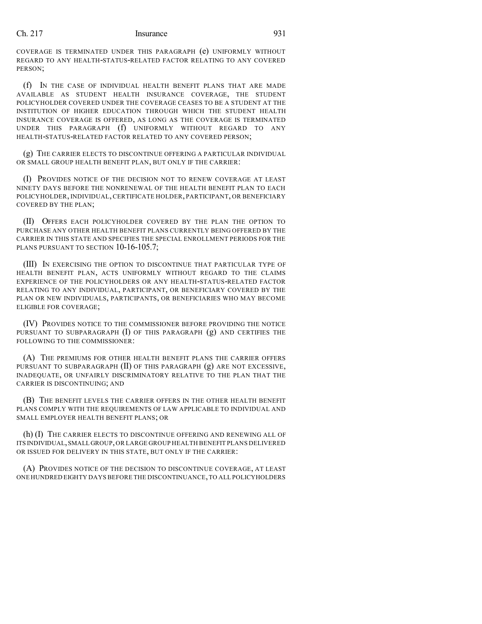COVERAGE IS TERMINATED UNDER THIS PARAGRAPH (e) UNIFORMLY WITHOUT REGARD TO ANY HEALTH-STATUS-RELATED FACTOR RELATING TO ANY COVERED PERSON;

(f) IN THE CASE OF INDIVIDUAL HEALTH BENEFIT PLANS THAT ARE MADE AVAILABLE AS STUDENT HEALTH INSURANCE COVERAGE, THE STUDENT POLICYHOLDER COVERED UNDER THE COVERAGE CEASES TO BE A STUDENT AT THE INSTITUTION OF HIGHER EDUCATION THROUGH WHICH THE STUDENT HEALTH INSURANCE COVERAGE IS OFFERED, AS LONG AS THE COVERAGE IS TERMINATED UNDER THIS PARAGRAPH (f) UNIFORMLY WITHOUT REGARD TO ANY HEALTH-STATUS-RELATED FACTOR RELATED TO ANY COVERED PERSON;

(g) THE CARRIER ELECTS TO DISCONTINUE OFFERING A PARTICULAR INDIVIDUAL OR SMALL GROUP HEALTH BENEFIT PLAN, BUT ONLY IF THE CARRIER:

(I) PROVIDES NOTICE OF THE DECISION NOT TO RENEW COVERAGE AT LEAST NINETY DAYS BEFORE THE NONRENEWAL OF THE HEALTH BENEFIT PLAN TO EACH POLICYHOLDER, INDIVIDUAL, CERTIFICATE HOLDER, PARTICIPANT, OR BENEFICIARY COVERED BY THE PLAN;

(II) OFFERS EACH POLICYHOLDER COVERED BY THE PLAN THE OPTION TO PURCHASE ANY OTHER HEALTH BENEFIT PLANS CURRENTLY BEING OFFERED BY THE CARRIER IN THIS STATE AND SPECIFIES THE SPECIAL ENROLLMENT PERIODS FOR THE PLANS PURSUANT TO SECTION 10-16-105.7;

(III) IN EXERCISING THE OPTION TO DISCONTINUE THAT PARTICULAR TYPE OF HEALTH BENEFIT PLAN, ACTS UNIFORMLY WITHOUT REGARD TO THE CLAIMS EXPERIENCE OF THE POLICYHOLDERS OR ANY HEALTH-STATUS-RELATED FACTOR RELATING TO ANY INDIVIDUAL, PARTICIPANT, OR BENEFICIARY COVERED BY THE PLAN OR NEW INDIVIDUALS, PARTICIPANTS, OR BENEFICIARIES WHO MAY BECOME ELIGIBLE FOR COVERAGE;

(IV) PROVIDES NOTICE TO THE COMMISSIONER BEFORE PROVIDING THE NOTICE PURSUANT TO SUBPARAGRAPH  $(I)$  OF THIS PARAGRAPH  $(g)$  and certifies the FOLLOWING TO THE COMMISSIONER:

(A) THE PREMIUMS FOR OTHER HEALTH BENEFIT PLANS THE CARRIER OFFERS PURSUANT TO SUBPARAGRAPH (II) OF THIS PARAGRAPH (g) ARE NOT EXCESSIVE, INADEQUATE, OR UNFAIRLY DISCRIMINATORY RELATIVE TO THE PLAN THAT THE CARRIER IS DISCONTINUING; AND

(B) THE BENEFIT LEVELS THE CARRIER OFFERS IN THE OTHER HEALTH BENEFIT PLANS COMPLY WITH THE REQUIREMENTS OF LAW APPLICABLE TO INDIVIDUAL AND SMALL EMPLOYER HEALTH BENEFIT PLANS; OR

(h) (I) THE CARRIER ELECTS TO DISCONTINUE OFFERING AND RENEWING ALL OF ITS INDIVIDUAL,SMALL GROUP,OR LARGE GROUP HEALTH BENEFIT PLANS DELIVERED OR ISSUED FOR DELIVERY IN THIS STATE, BUT ONLY IF THE CARRIER:

(A) PROVIDES NOTICE OF THE DECISION TO DISCONTINUE COVERAGE, AT LEAST ONE HUNDRED EIGHTY DAYS BEFORE THE DISCONTINUANCE,TO ALL POLICYHOLDERS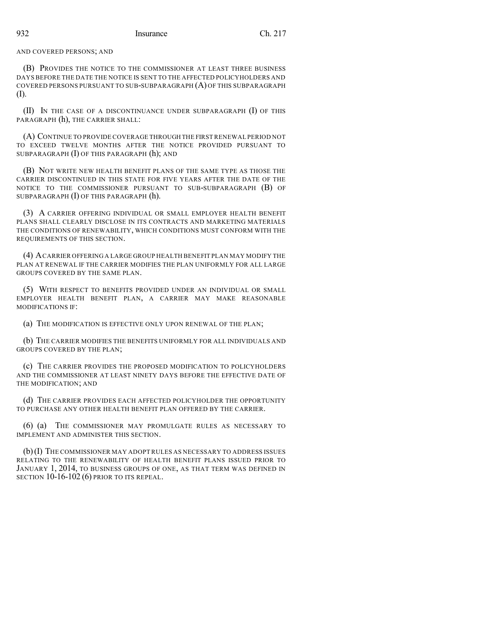#### AND COVERED PERSONS; AND

(B) PROVIDES THE NOTICE TO THE COMMISSIONER AT LEAST THREE BUSINESS DAYS BEFORE THE DATE THE NOTICE IS SENT TO THE AFFECTED POLICYHOLDERS AND COVERED PERSONS PURSUANT TO SUB-SUBPARAGRAPH (A) OF THIS SUBPARAGRAPH (I).

(II) IN THE CASE OF A DISCONTINUANCE UNDER SUBPARAGRAPH (I) OF THIS PARAGRAPH (h), THE CARRIER SHALL:

(A) CONTINUE TO PROVIDE COVERAGE THROUGH THE FIRST RENEWAL PERIOD NOT TO EXCEED TWELVE MONTHS AFTER THE NOTICE PROVIDED PURSUANT TO SUBPARAGRAPH (I) OF THIS PARAGRAPH (h); AND

(B) NOT WRITE NEW HEALTH BENEFIT PLANS OF THE SAME TYPE AS THOSE THE CARRIER DISCONTINUED IN THIS STATE FOR FIVE YEARS AFTER THE DATE OF THE NOTICE TO THE COMMISSIONER PURSUANT TO SUB-SUBPARAGRAPH (B) OF SUBPARAGRAPH (I) OF THIS PARAGRAPH (h).

(3) A CARRIER OFFERING INDIVIDUAL OR SMALL EMPLOYER HEALTH BENEFIT PLANS SHALL CLEARLY DISCLOSE IN ITS CONTRACTS AND MARKETING MATERIALS THE CONDITIONS OF RENEWABILITY, WHICH CONDITIONS MUST CONFORM WITH THE REQUIREMENTS OF THIS SECTION.

(4) ACARRIER OFFERING A LARGE GROUP HEALTH BENEFIT PLAN MAY MODIFY THE PLAN AT RENEWAL IF THE CARRIER MODIFIES THE PLAN UNIFORMLY FOR ALL LARGE GROUPS COVERED BY THE SAME PLAN.

(5) WITH RESPECT TO BENEFITS PROVIDED UNDER AN INDIVIDUAL OR SMALL EMPLOYER HEALTH BENEFIT PLAN, A CARRIER MAY MAKE REASONABLE MODIFICATIONS IF:

(a) THE MODIFICATION IS EFFECTIVE ONLY UPON RENEWAL OF THE PLAN;

(b) THE CARRIER MODIFIES THE BENEFITS UNIFORMLY FOR ALL INDIVIDUALS AND GROUPS COVERED BY THE PLAN;

(c) THE CARRIER PROVIDES THE PROPOSED MODIFICATION TO POLICYHOLDERS AND THE COMMISSIONER AT LEAST NINETY DAYS BEFORE THE EFFECTIVE DATE OF THE MODIFICATION; AND

(d) THE CARRIER PROVIDES EACH AFFECTED POLICYHOLDER THE OPPORTUNITY TO PURCHASE ANY OTHER HEALTH BENEFIT PLAN OFFERED BY THE CARRIER.

(6) (a) THE COMMISSIONER MAY PROMULGATE RULES AS NECESSARY TO IMPLEMENT AND ADMINISTER THIS SECTION.

(b)(I) THE COMMISSIONER MAY ADOPT RULES AS NECESSARY TO ADDRESS ISSUES RELATING TO THE RENEWABILITY OF HEALTH BENEFIT PLANS ISSUED PRIOR TO JANUARY 1, 2014, TO BUSINESS GROUPS OF ONE, AS THAT TERM WAS DEFINED IN SECTION 10-16-102 (6) PRIOR TO ITS REPEAL.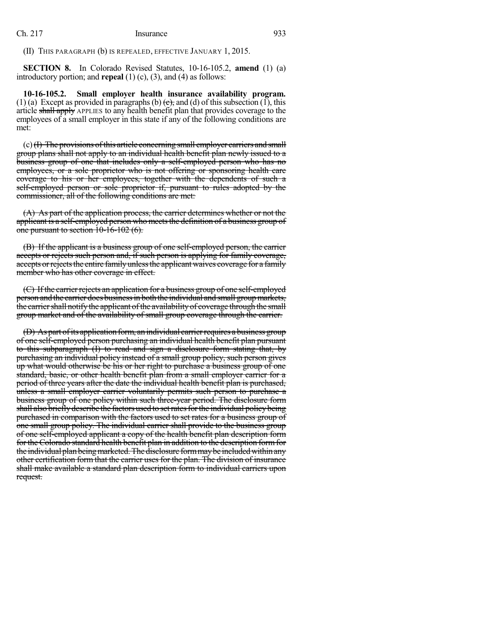(II) THIS PARAGRAPH (b) IS REPEALED, EFFECTIVE JANUARY 1, 2015.

**SECTION 8.** In Colorado Revised Statutes, 10-16-105.2, **amend** (1) (a) introductory portion; and **repeal** (1) (c), (3), and (4) as follows:

**10-16-105.2. Small employer health insurance availability program.** (1) (a) Except as provided in paragraphs (b)  $(e)$ , and (d) of this subsection (1), this article shall apply APPLIES to any health benefit plan that provides coverage to the employees of a small employer in this state if any of the following conditions are met:

 $(c)$  (F) The provisions of this article concerning small employer carriers and small group plans shall not apply to an individual health benefit plan newly issued to a business group of one that includes only a self-employed person who has no employees, or a sole proprietor who is not offering or sponsoring health care coverage to his or her employees, together with the dependents of such a self-employed person or sole proprietor if, pursuant to rules adopted by the commissioner, all of the following conditions are met:

(A) As part of the application process, the carrier determines whether or not the applicant is a self-employed person who meets the definition of a business group of one pursuant to section 10-16-102 (6).

(B) If the applicant is a business group of one self-employed person, the carrier accepts or rejects such person and, if such person is applying for family coverage, accepts or rejects the entire family unless the applicant waives coverage for a family member who has other coverage in effect.

 $(C)$  If the carrier rejects an application for a business group of one self-employed person and the carrier does business in both the individual and small group markets, the carrier shall notify the applicant of the availability of coverage through the small group market and of the availability of small group coverage through the carrier.

(D) As part of its application form, an individual carrier requires a business group of one self-employed person purchasing an individual health benefit plan pursuant to this subparagraph (I) to read and sign a disclosure form stating that, by purchasing an individual policy instead of a small group policy, such person gives up what would otherwise be his or her right to purchase a business group of one standard, basic, or other health benefit plan from a small employer carrier for a period of three years after the date the individual health benefit plan is purchased, unless a small employer carrier voluntarily permits such person to purchase a business group of one policy within such three-year period. The disclosure form shall also briefly describe the factors used to set rates for the individual policy being purchased in comparison with the factors used to set rates for a business group of one small group policy. The individual carrier shall provide to the business group of one self-employed applicant a copy of the health benefit plan description form for the Colorado standard health benefit plan in addition to the description formfor the individual plan being marketed. The disclosure form may be included within any other certification form that the carrier uses for the plan. The division of insurance shall make available a standard plan description form to individual carriers upon request.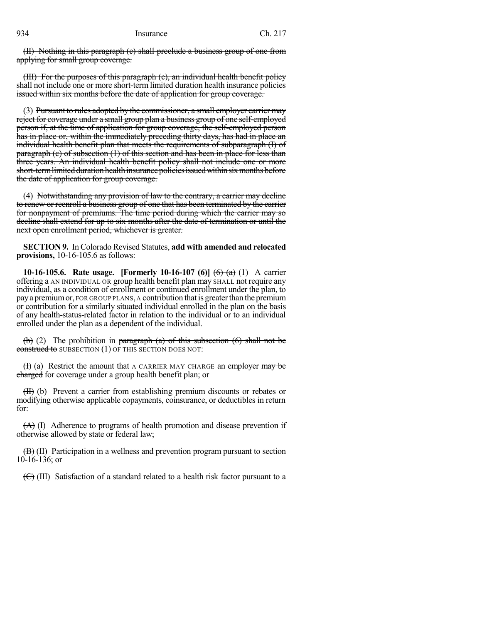(II) Nothing in this paragraph (c) shall preclude a business group of one from applying for small group coverage.

(III) For the purposes of this paragraph (c), an individual health benefit policy shall not include one or more short-term limited duration health insurance policies issued within six months before the date of application for group coverage.

(3) Pursuant to rules adopted by the commissioner, a small employer carrier may reject for coverage under a small group plan a business group of one self-employed person if, at the time of application for group coverage, the self-employed person has in place or, within the immediately preceding thirty days, has had in place an individual health benefit plan that meets the requirements of subparagraph (I) of paragraph (e) of subsection (1) of this section and has been in place for less than three years. An individual health benefit policy shall not include one or more short-term limited duration health insurance policies issued within six months before the date of application for group coverage.

(4) Notwithstanding any provision of law to the contrary, a carrier may decline to renew or reenroll a business group of one that has been terminated by the carrier for nonpayment of premiums. The time period during which the carrier may so decline shall extend for up to six months after the date of termination or until the next open enrollment period, whichever is greater.

**SECTION 9.** In Colorado Revised Statutes, **add with amended and relocated provisions,** 10-16-105.6 as follows:

**10-16-105.6. Rate usage. [Formerly 10-16-107 (6)]** (6) (a) (1) A carrier offering a AN INDIVIDUAL OR group health benefit plan may SHALL not require any individual, as a condition of enrollment or continued enrollment under the plan, to pay a premium or, FOR GROUP PLANS, A contribution that is greater than the premium or contribution for a similarly situated individual enrolled in the plan on the basis of any health-status-related factor in relation to the individual or to an individual enrolled under the plan as a dependent of the individual.

(b) (2) The prohibition in paragraph (a) of this subsection (6) shall not be construed to SUBSECTION (1) OF THIS SECTION DOES NOT:

 $(H)$  (a) Restrict the amount that A CARRIER MAY CHARGE an employer may be charged for coverage under a group health benefit plan; or

(II) (b) Prevent a carrier from establishing premium discounts or rebates or modifying otherwise applicable copayments, coinsurance, or deductibles in return for:

 $(A)$  (I) Adherence to programs of health promotion and disease prevention if otherwise allowed by state or federal law;

 $(\overline{B})$  (II) Participation in a wellness and prevention program pursuant to section 10-16-136; or

 $(\bigoplus)$  (III) Satisfaction of a standard related to a health risk factor pursuant to a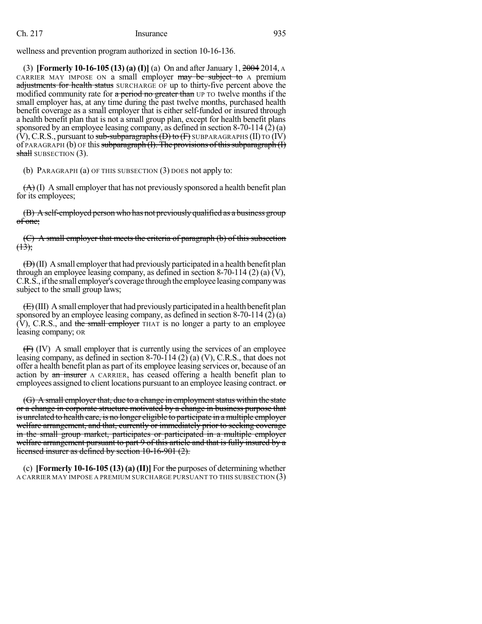wellness and prevention program authorized in section 10-16-136.

(3) **[Formerly 10-16-105 (13) (a) (I)]** (a) On and after January 1, 2004 2014, A CARRIER MAY IMPOSE ON a small employer may be subject to A premium adjustments for health status SURCHARGE OF up to thirty-five percent above the modified community rate for a period no greater than UP TO twelve months if the small employer has, at any time during the past twelve months, purchased health benefit coverage as a small employer that is either self-funded or insured through a health benefit plan that is not a small group plan, except for health benefit plans sponsored by an employee leasing company, as defined in section 8-70-114 (2) (a)  $(V)$ , C.R.S., pursuant to sub-subparagraphs  $(D)$  to  $(F)$  SUBPARAGRAPHS (II) TO  $(IV)$ of PARAGRAPH (b) OF this subparagraph  $(I)$ . The provisions of this subparagraph  $(I)$ shall SUBSECTION (3).

(b) PARAGRAPH (a) OF THIS SUBSECTION (3) DOES not apply to:

 $(A)$  (I) A small employer that has not previously sponsored a health benefit plan for its employees;

(B) Aself-employed person who has not previously qualified as a business group of one;

(C) A small employer that meets the criteria of paragraph (b) of this subsection  $(13);$ 

 $(\oplus)(II)$  A small employer that had previously participated in a health benefit plan through an employee leasing company, as defined in section 8-70-114 (2) (a)  $\tilde{V}$ ), C.R.S., if the small employer's coverage through the employee leasing company was subject to the small group laws;

 $(E)$ (III) A small employer that had previously participated in a health benefit plan sponsored by an employee leasing company, as defined in section 8-70-114 (2) (a)  $(V)$ , C.R.S., and the small employer THAT is no longer a party to an employee leasing company; OR

(F) (IV) A small employer that is currently using the services of an employee leasing company, as defined in section 8-70-114 (2) (a) (V), C.R.S., that does not offer a health benefit plan as part of its employee leasing services or, because of an action by an insurer A CARRIER, has ceased offering a health benefit plan to employees assigned to client locations pursuant to an employee leasing contract. or

 $(G)$  A small employer that, due to a change in employment status within the state or a change in corporate structure motivated by a change in business purpose that is unrelated to health care, is no longer eligible to participate in a multiple employer welfare arrangement, and that, currently or immediately prior to seeking coverage in the small group market, participates or participated in a multiple employer welfare arrangement pursuant to part 9 of this article and that is fully insured by a licensed insurer as defined by section 10-16-901 (2).

(c) **[Formerly 10-16-105 (13) (a) (II)]** For the purposes of determining whether A CARRIER MAY IMPOSE A PREMIUM SURCHARGE PURSUANT TO THIS SUBSECTION (3)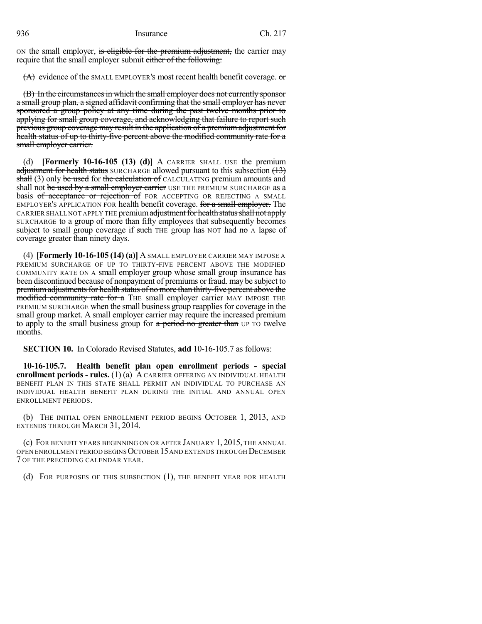ON the small employer, is eligible for the premium adjustment, the carrier may require that the small employer submit either of the following:

 $(A)$  evidence of the SMALL EMPLOYER's most recent health benefit coverage.  $\sigma$ 

(B) In the circumstancesin which the small employer does not currently sponsor a small group plan, a signed affidavit confirming that the small employer has never sponsored a group policy at any time during the past twelve months prior to applying for small group coverage, and acknowledging that failure to report such previous group coverage may result in the application of a premium adjustment for health status of up to thirty-five percent above the modified community rate for a small employer carrier.

(d) **[Formerly 10-16-105 (13) (d)]** A CARRIER SHALL USE the premium adjustment for health status SURCHARGE allowed pursuant to this subsection  $(13)$ shall (3) only be used for the calculation of CALCULATING premium amounts and shall not be used by a small employer carrier USE THE PREMIUM SURCHARGE as a basis of acceptance or rejection of FOR ACCEPTING OR REJECTING A SMALL EMPLOYER'S APPLICATION FOR health benefit coverage. for a small employer. The CARRIER SHALL NOT APPLY THE premium adjustment for health status shall not apply SURCHARGE to a group of more than fifty employees that subsequently becomes subject to small group coverage if such THE group has NOT had  $m\sigma A$  lapse of coverage greater than ninety days.

(4) **[Formerly 10-16-105 (14) (a)]** A SMALL EMPLOYER CARRIER MAY IMPOSE A PREMIUM SURCHARGE OF UP TO THIRTY-FIVE PERCENT ABOVE THE MODIFIED COMMUNITY RATE ON A small employer group whose small group insurance has been discontinued because of nonpayment of premiums or fraud. may be subject to premium adjustments for health status of no more than thirty-five percent above the modified community rate for a THE small employer carrier MAY IMPOSE THE PREMIUM SURCHARGE when the small business group reapplies for coverage in the small group market. A small employer carrier may require the increased premium to apply to the small business group for  $a$  period no greater than UP TO twelve months.

**SECTION 10.** In Colorado Revised Statutes, **add** 10-16-105.7 as follows:

**10-16-105.7. Health benefit plan open enrollment periods - special enrollment periods - rules.** (1) (a) A CARRIER OFFERING AN INDIVIDUAL HEALTH BENEFIT PLAN IN THIS STATE SHALL PERMIT AN INDIVIDUAL TO PURCHASE AN INDIVIDUAL HEALTH BENEFIT PLAN DURING THE INITIAL AND ANNUAL OPEN ENROLLMENT PERIODS.

(b) THE INITIAL OPEN ENROLLMENT PERIOD BEGINS OCTOBER 1, 2013, AND EXTENDS THROUGH MARCH 31, 2014.

(c) FOR BENEFIT YEARS BEGINNING ON OR AFTER JANUARY 1, 2015, THE ANNUAL OPEN ENROLLMENT PERIOD BEGINSOCTOBER 15AND EXTENDS THROUGH DECEMBER 7 OF THE PRECEDING CALENDAR YEAR.

(d) FOR PURPOSES OF THIS SUBSECTION (1), THE BENEFIT YEAR FOR HEALTH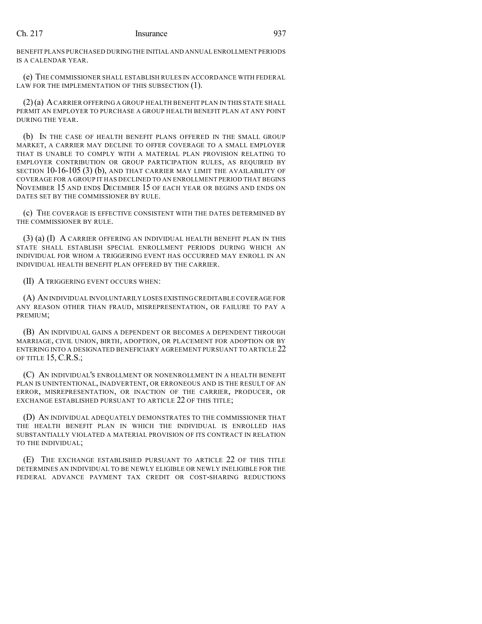BENEFIT PLANS PURCHASED DURINGTHE INITIAL AND ANNUAL ENROLLMENT PERIODS IS A CALENDAR YEAR.

(e) THE COMMISSIONER SHALL ESTABLISH RULES IN ACCORDANCE WITH FEDERAL LAW FOR THE IMPLEMENTATION OF THIS SUBSECTION (1).

(2)(a) ACARRIER OFFERING A GROUP HEALTH BENEFIT PLAN IN THIS STATE SHALL PERMIT AN EMPLOYER TO PURCHASE A GROUP HEALTH BENEFIT PLAN AT ANY POINT DURING THE YEAR.

(b) IN THE CASE OF HEALTH BENEFIT PLANS OFFERED IN THE SMALL GROUP MARKET, A CARRIER MAY DECLINE TO OFFER COVERAGE TO A SMALL EMPLOYER THAT IS UNABLE TO COMPLY WITH A MATERIAL PLAN PROVISION RELATING TO EMPLOYER CONTRIBUTION OR GROUP PARTICIPATION RULES, AS REQUIRED BY SECTION 10-16-105 (3) (b), AND THAT CARRIER MAY LIMIT THE AVAILABILITY OF COVERAGE FOR A GROUP IT HAS DECLINED TO AN ENROLLMENT PERIOD THAT BEGINS NOVEMBER 15 AND ENDS DECEMBER 15 OF EACH YEAR OR BEGINS AND ENDS ON DATES SET BY THE COMMISSIONER BY RULE.

(c) THE COVERAGE IS EFFECTIVE CONSISTENT WITH THE DATES DETERMINED BY THE COMMISSIONER BY RULE.

(3) (a) (I) A CARRIER OFFERING AN INDIVIDUAL HEALTH BENEFIT PLAN IN THIS STATE SHALL ESTABLISH SPECIAL ENROLLMENT PERIODS DURING WHICH AN INDIVIDUAL FOR WHOM A TRIGGERING EVENT HAS OCCURRED MAY ENROLL IN AN INDIVIDUAL HEALTH BENEFIT PLAN OFFERED BY THE CARRIER.

(II) A TRIGGERING EVENT OCCURS WHEN:

(A) AN INDIVIDUAL INVOLUNTARILY LOSES EXISTING CREDITABLE COVERAGE FOR ANY REASON OTHER THAN FRAUD, MISREPRESENTATION, OR FAILURE TO PAY A PREMIUM;

(B) AN INDIVIDUAL GAINS A DEPENDENT OR BECOMES A DEPENDENT THROUGH MARRIAGE, CIVIL UNION, BIRTH, ADOPTION, OR PLACEMENT FOR ADOPTION OR BY ENTERING INTO A DESIGNATED BENEFICIARY AGREEMENT PURSUANT TO ARTICLE 22 OF TITLE 15, C.R.S.;

(C) AN INDIVIDUAL'S ENROLLMENT OR NONENROLLMENT IN A HEALTH BENEFIT PLAN IS UNINTENTIONAL, INADVERTENT, OR ERRONEOUS AND IS THE RESULT OF AN ERROR, MISREPRESENTATION, OR INACTION OF THE CARRIER, PRODUCER, OR EXCHANGE ESTABLISHED PURSUANT TO ARTICLE 22 OF THIS TITLE;

(D) AN INDIVIDUAL ADEQUATELY DEMONSTRATES TO THE COMMISSIONER THAT THE HEALTH BENEFIT PLAN IN WHICH THE INDIVIDUAL IS ENROLLED HAS SUBSTANTIALLY VIOLATED A MATERIAL PROVISION OF ITS CONTRACT IN RELATION TO THE INDIVIDUAL;

(E) THE EXCHANGE ESTABLISHED PURSUANT TO ARTICLE 22 OF THIS TITLE DETERMINES AN INDIVIDUAL TO BE NEWLY ELIGIBLE OR NEWLY INELIGIBLE FOR THE FEDERAL ADVANCE PAYMENT TAX CREDIT OR COST-SHARING REDUCTIONS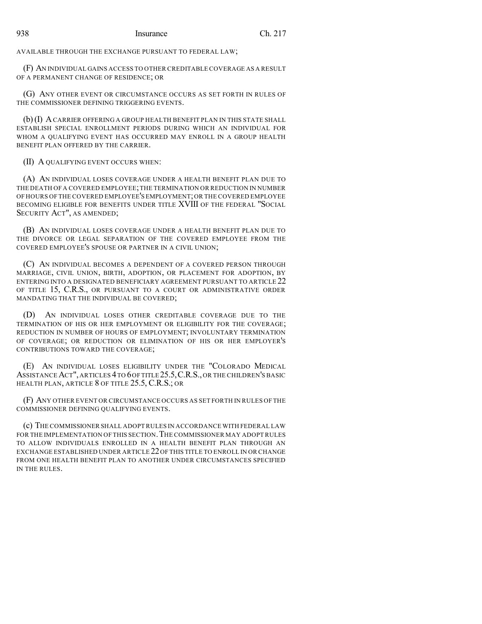AVAILABLE THROUGH THE EXCHANGE PURSUANT TO FEDERAL LAW;

(F) AN INDIVIDUAL GAINS ACCESS TO OTHER CREDITABLE COVERAGE AS A RESULT OF A PERMANENT CHANGE OF RESIDENCE; OR

(G) ANY OTHER EVENT OR CIRCUMSTANCE OCCURS AS SET FORTH IN RULES OF THE COMMISSIONER DEFINING TRIGGERING EVENTS.

(b)(I) ACARRIER OFFERING A GROUP HEALTH BENEFIT PLAN IN THIS STATE SHALL ESTABLISH SPECIAL ENROLLMENT PERIODS DURING WHICH AN INDIVIDUAL FOR WHOM A QUALIFYING EVENT HAS OCCURRED MAY ENROLL IN A GROUP HEALTH BENEFIT PLAN OFFERED BY THE CARRIER.

### (II) A QUALIFYING EVENT OCCURS WHEN:

(A) AN INDIVIDUAL LOSES COVERAGE UNDER A HEALTH BENEFIT PLAN DUE TO THE DEATH OF A COVERED EMPLOYEE;THE TERMINATION OR REDUCTION IN NUMBER OF HOURS OF THE COVERED EMPLOYEE'S EMPLOYMENT;OR THE COVERED EMPLOYEE BECOMING ELIGIBLE FOR BENEFITS UNDER TITLE XVIII OF THE FEDERAL "SOCIAL SECURITY ACT", AS AMENDED;

(B) AN INDIVIDUAL LOSES COVERAGE UNDER A HEALTH BENEFIT PLAN DUE TO THE DIVORCE OR LEGAL SEPARATION OF THE COVERED EMPLOYEE FROM THE COVERED EMPLOYEE'S SPOUSE OR PARTNER IN A CIVIL UNION;

(C) AN INDIVIDUAL BECOMES A DEPENDENT OF A COVERED PERSON THROUGH MARRIAGE, CIVIL UNION, BIRTH, ADOPTION, OR PLACEMENT FOR ADOPTION, BY ENTERING INTO A DESIGNATED BENEFICIARY AGREEMENT PURSUANT TO ARTICLE 22 OF TITLE 15, C.R.S., OR PURSUANT TO A COURT OR ADMINISTRATIVE ORDER MANDATING THAT THE INDIVIDUAL BE COVERED;

(D) AN INDIVIDUAL LOSES OTHER CREDITABLE COVERAGE DUE TO THE TERMINATION OF HIS OR HER EMPLOYMENT OR ELIGIBILITY FOR THE COVERAGE; REDUCTION IN NUMBER OF HOURS OF EMPLOYMENT; INVOLUNTARY TERMINATION OF COVERAGE; OR REDUCTION OR ELIMINATION OF HIS OR HER EMPLOYER'S CONTRIBUTIONS TOWARD THE COVERAGE;

(E) AN INDIVIDUAL LOSES ELIGIBILITY UNDER THE "COLORADO MEDICAL ASSISTANCE ACT", ARTICLES 4TO 6OF TITLE 25.5,C.R.S., OR THE CHILDREN'S BASIC HEALTH PLAN, ARTICLE 8 OF TITLE 25.5, C.R.S.; OR

(F) ANY OTHER EVENT OR CIRCUMSTANCE OCCURS AS SET FORTH IN RULES OF THE COMMISSIONER DEFINING QUALIFYING EVENTS.

(c) THE COMMISSIONER SHALL ADOPT RULES IN ACCORDANCE WITH FEDERAL LAW FOR THE IMPLEMENTATION OF THIS SECTION. THE COMMISSIONER MAY ADOPT RULES TO ALLOW INDIVIDUALS ENROLLED IN A HEALTH BENEFIT PLAN THROUGH AN EXCHANGE ESTABLISHED UNDER ARTICLE 22 OF THIS TITLE TO ENROLL IN OR CHANGE FROM ONE HEALTH BENEFIT PLAN TO ANOTHER UNDER CIRCUMSTANCES SPECIFIED IN THE RULES.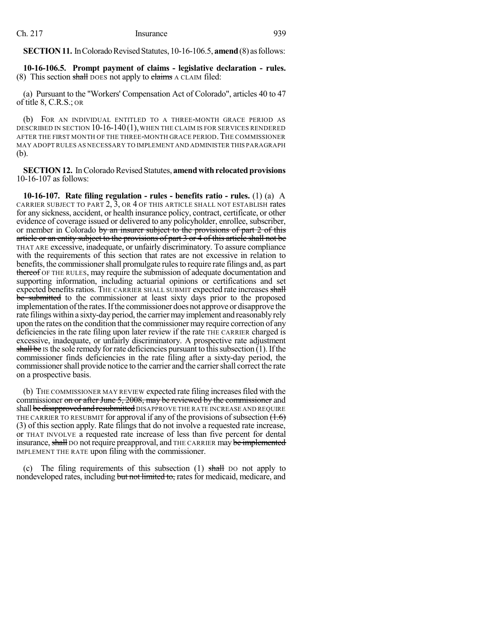**SECTION 11.** In Colorado Revised Statutes, 10-16-106.5, **amend** (8) as follows:

**10-16-106.5. Prompt payment of claims - legislative declaration - rules.** (8) This section shall DOES not apply to claims A CLAIM filed:

(a) Pursuant to the "Workers' Compensation Act of Colorado", articles 40 to 47 of title 8, C.R.S.; OR

(b) FOR AN INDIVIDUAL ENTITLED TO A THREE-MONTH GRACE PERIOD AS DESCRIBED IN SECTION 10-16-140(1), WHEN THE CLAIM IS FOR SERVICES RENDERED AFTER THE FIRST MONTH OF THE THREE-MONTH GRACE PERIOD.THE COMMISSIONER MAY ADOPT RULES AS NECESSARY TO IMPLEMENT AND ADMINISTER THIS PARAGRAPH (b).

**SECTION 12.** In Colorado Revised Statutes, **amend with relocated provisions** 10-16-107 as follows:

**10-16-107. Rate filing regulation - rules - benefits ratio - rules.** (1) (a) A CARRIER SUBJECT TO PART  $2$ ,  $3$ , OR  $4$  OF THIS ARTICLE SHALL NOT ESTABLISH rates for any sickness, accident, or health insurance policy, contract, certificate, or other evidence of coverage issued or delivered to any policyholder, enrollee, subscriber, or member in Colorado by an insurer subject to the provisions of part  $2$  of this article or an entity subject to the provisions of part 3 or 4 of this article shall not be THAT ARE excessive, inadequate, or unfairly discriminatory. To assure compliance with the requirements of this section that rates are not excessive in relation to benefits, the commissioner shall promulgate rules to require rate filings and, as part thereof OF THE RULES, may require the submission of adequate documentation and supporting information, including actuarial opinions or certifications and set expected benefits ratios. THE CARRIER SHALL SUBMIT expected rate increases shall be submitted to the commissioner at least sixty days prior to the proposed implementation of the rates. If the commissioner does not approve or disapprove the rate filings within a sixty-day period, the carrier may implement and reasonably rely upon the rates on the condition that the commissioner may require correction of any deficiencies in the rate filing upon later review if the rate THE CARRIER charged is excessive, inadequate, or unfairly discriminatory. A prospective rate adjustment shall be Is the sole remedy for rate deficiencies pursuant to this subsection (1). If the commissioner finds deficiencies in the rate filing after a sixty-day period, the commissioner shall provide notice to the carrier and the carrier shall correct the rate on a prospective basis.

(b) THE COMMISSIONER MAY REVIEW expected rate filing increasesfiled with the commissioner on or after June 5, 2008, may be reviewed by the commissioner and shall be disapproved and resubmitted DISAPPROVE THE RATE INCREASE AND REQUIRE THE CARRIER TO RESUBMIT for approval if any of the provisions of subsection  $(1.6)$ (3) of this section apply. Rate filings that do not involve a requested rate increase, or THAT INVOLVE a requested rate increase of less than five percent for dental insurance, shall DO not require preapproval, and THE CARRIER may be implemented IMPLEMENT THE RATE upon filing with the commissioner.

(c) The filing requirements of this subsection  $(1)$  shall DO not apply to nondeveloped rates, including but not limited to, rates for medicaid, medicare, and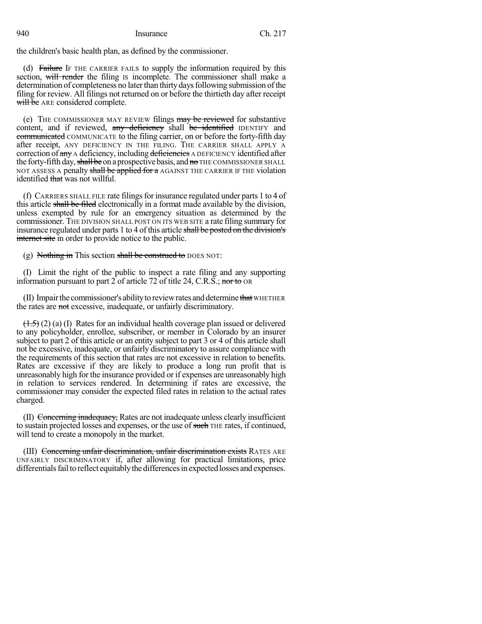the children's basic health plan, as defined by the commissioner.

(d) Failure IF THE CARRIER FAILS to supply the information required by this section, will render the filing is incomplete. The commissioner shall make a determination of completeness no later than thirty days following submission of the filing for review. All filings not returned on or before the thirtieth day after receipt will be ARE considered complete.

(e) THE COMMISSIONER MAY REVIEW filings may be reviewed for substantive content, and if reviewed, any deficiency shall be identified IDENTIFY and communicated COMMUNICATE to the filing carrier, on or before the forty-fifth day after receipt, ANY DEFICIENCY IN THE FILING. THE CARRIER SHALL APPLY A correction of any A deficiency, including deficiencies A DEFICIENCY identified after the forty-fifth day, shall be on a prospective basis, and no THE COMMISSIONER SHALL NOT ASSESS A penalty shall be applied for a AGAINST THE CARRIER IF THE violation identified that was not willful.

(f) CARRIERS SHALL FILE rate filings for insurance regulated under parts  $1$  to  $4$  of this article shall be filed electronically in a format made available by the division, unless exempted by rule for an emergency situation as determined by the commissioner. THE DIVISION SHALL POST ON ITS WEB SITE a rate filing summary for insurance regulated under parts 1 to 4 of this article shall be posted on the division's internet site in order to provide notice to the public.

(g) Nothing in This section shall be construed to DOES NOT:

(I) Limit the right of the public to inspect a rate filing and any supporting information pursuant to part  $2$  of article 72 of title 24, C.R.S.; nor to OR

(II) Impair the commissioner's ability to review rates and determine that WHETHER the rates are not excessive, inadequate, or unfairly discriminatory.

 $(1.5)$  (2) (a) (I) Rates for an individual health coverage plan issued or delivered to any policyholder, enrollee, subscriber, or member in Colorado by an insurer subject to part 2 of this article or an entity subject to part 3 or 4 of this article shall not be excessive, inadequate, or unfairly discriminatory to assure compliance with the requirements of this section that rates are not excessive in relation to benefits. Rates are excessive if they are likely to produce a long run profit that is unreasonably high for the insurance provided or if expenses are unreasonably high in relation to services rendered. In determining if rates are excessive, the commissioner may consider the expected filed rates in relation to the actual rates charged.

(II) Concerning inadequacy, Rates are not inadequate unless clearly insufficient to sustain projected losses and expenses, or the use of such THE rates, if continued, will tend to create a monopoly in the market.

(III) Concerning unfair discrimination, unfair discrimination exists RATES ARE UNFAIRLY DISCRIMINATORY if, after allowing for practical limitations, price differentials fail to reflect equitably the differences in expected losses and expenses.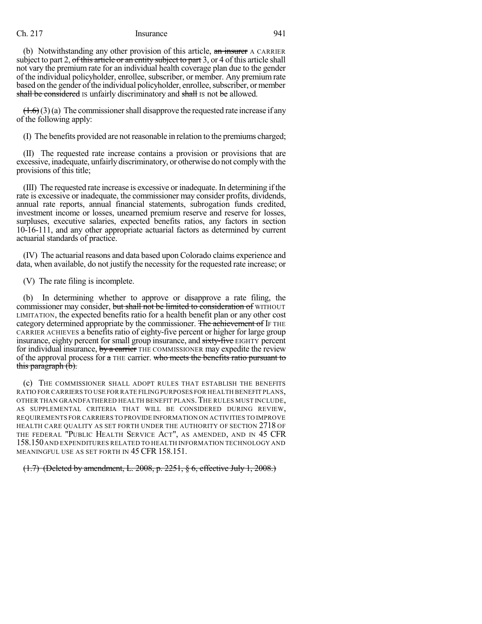subject to part 2, of this article or an entity subject to part 3, or 4 of this article shall not vary the premium rate for an individual health coverage plan due to the gender of the individual policyholder, enrollee, subscriber, or member. Any premium rate based on the gender of the individual policyholder, enrollee, subscriber, or member shall be considered is unfairly discriminatory and shall is not be allowed.

 $(1.6)(3)(a)$  The commissioner shall disapprove the requested rate increase if any of the following apply:

(I) The benefits provided are not reasonable in relation to the premiums charged;

(II) The requested rate increase contains a provision or provisions that are excessive, inadequate, unfairly discriminatory, or otherwise do not complywith the provisions of this title;

(III) The requested rate increase is excessive or inadequate. In determining if the rate is excessive or inadequate, the commissioner may consider profits, dividends, annual rate reports, annual financial statements, subrogation funds credited, investment income or losses, unearned premium reserve and reserve for losses, surpluses, executive salaries, expected benefits ratios, any factors in section 10-16-111, and any other appropriate actuarial factors as determined by current actuarial standards of practice.

(IV) The actuarial reasons and data based upon Colorado claims experience and data, when available, do not justify the necessity for the requested rate increase; or

(V) The rate filing is incomplete.

(b) In determining whether to approve or disapprove a rate filing, the commissioner may consider, but shall not be limited to consideration of WITHOUT LIMITATION, the expected benefits ratio for a health benefit plan or any other cost category determined appropriate by the commissioner. The achievement of IF THE CARRIER ACHIEVES a benefits ratio of eighty-five percent or higher for large group insurance, eighty percent for small group insurance, and sixty-five EIGHTY percent for individual insurance, by a carrier THE COMMISSIONER may expedite the review of the approval process for  $\alpha$  THE carrier. who meets the benefits ratio pursuant to this paragraph (b).

(c) THE COMMISSIONER SHALL ADOPT RULES THAT ESTABLISH THE BENEFITS RATIO FOR CARRIERS TO USE FOR RATE FILING PURPOSES FOR HEALTH BENEFIT PLANS, OTHER THAN GRANDFATHERED HEALTH BENEFIT PLANS. THE RULES MUST INCLUDE, AS SUPPLEMENTAL CRITERIA THAT WILL BE CONSIDERED DURING REVIEW, REQUIREMENTS FOR CARRIERS TO PROVIDE INFORMATION ON ACTIVITIES TO IMPROVE HEALTH CARE QUALITY AS SET FORTH UNDER THE AUTHORITY OF SECTION 2718 OF THE FEDERAL "PUBLIC HEALTH SERVICE ACT", AS AMENDED, AND IN 45 CFR 158.150AND EXPENDITURES RELATED TO HEALTH INFORMATION TECHNOLOGY AND MEANINGFUL USE AS SET FORTH IN 45 CFR 158.151.

(1.7) (Deleted by amendment, L. 2008, p. 2251, § 6, effective July 1, 2008.)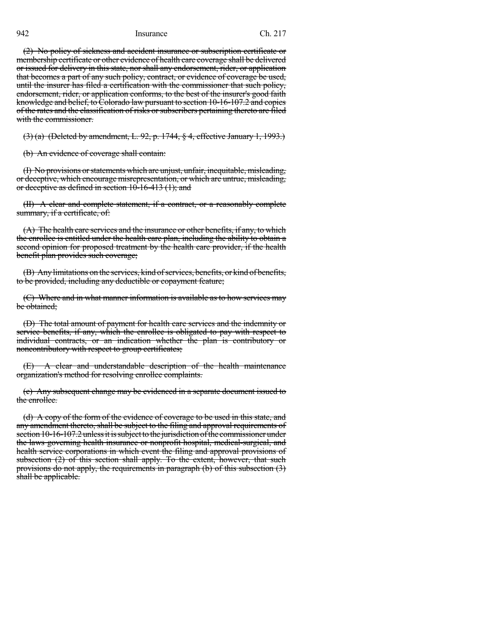(2) No policy of sickness and accident insurance or subscription certificate or membership certificate or other evidence of health care coverage shall be delivered or issued for delivery in this state, nor shall any endorsement, rider, or application that becomes a part of any such policy, contract, or evidence of coverage be used, until the insurer has filed a certification with the commissioner that such policy, endorsement, rider, or application conforms, to the best of the insurer's good faith knowledge and belief, to Colorado law pursuant to section 10-16-107.2 and copies of the rates and the classification of risks orsubscribers pertaining thereto are filed with the commissioner.

(3) (a) (Deleted by amendment, L. 92, p. 1744, § 4, effective January 1, 1993.)

(b) An evidence of coverage shall contain:

(I) No provisions orstatements which are unjust, unfair, inequitable, misleading, or deceptive, which encourage misrepresentation, or which are untrue, misleading, or deceptive as defined in section 10-16-413 (1); and

(II) A clear and complete statement, if a contract, or a reasonably complete summary, if a certificate, of:

(A) The health care services and the insurance or other benefits, if any, to which the enrollee is entitled under the health care plan, including the ability to obtain a second opinion for proposed treatment by the health care provider, if the health benefit plan provides such coverage;

(B) Any limitations on the services, kind of services, benefits, or kind of benefits, to be provided, including any deductible or copayment feature;

(C) Where and in what manner information is available as to how services may be obtained;

(D) The total amount of payment for health care services and the indemnity or service benefits, if any, which the enrollee is obligated to pay with respect to individual contracts, or an indication whether the plan is contributory or noncontributory with respect to group certificates;

(E) A clear and understandable description of the health maintenance organization's method for resolving enrollee complaints.

(c) Any subsequent change may be evidenced in a separate document issued to the enrollee.

(d) A copy of the form of the evidence of coverage to be used in this state, and any amendment thereto, shall be subject to the filing and approval requirements of section 10-16-107.2 unless it is subject to the jurisdiction of the commissioner under the laws governing health insurance or nonprofit hospital, medical-surgical, and health service corporations in which event the filing and approval provisions of subsection (2) of this section shall apply. To the extent, however, that such provisions do not apply, the requirements in paragraph (b) of this subsection (3) shall be applicable.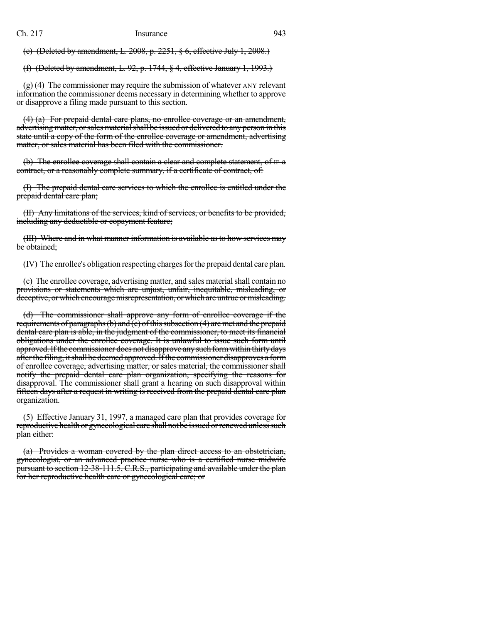(e) (Deleted by amendment, L. 2008, p. 2251, § 6, effective July 1, 2008.)

(f) (Deleted by amendment, L. 92, p. 1744, § 4, effective January 1, 1993.)

 $\left(\frac{\mathbf{e}}{\mathbf{e}}\right)$  (4) The commissioner may require the submission of whatever ANY relevant information the commissioner deems necessary in determining whether to approve or disapprove a filing made pursuant to this section.

(4) (a) For prepaid dental care plans, no enrollee coverage or an amendment, advertising matter, or sales material shall be issued or delivered to any person in this state until a copy of the form of the enrollee coverage or amendment, advertising matter, or sales material has been filed with the commissioner.

(b) The enrollee coverage shall contain a clear and complete statement, of IF a contract, or a reasonably complete summary, if a certificate of contract, of:

(I) The prepaid dental care services to which the enrollee is entitled under the prepaid dental care plan;

(II) Any limitations of the services, kind of services, or benefits to be provided, including any deductible or copayment feature;

(III) Where and in what manner information is available asto how services may be obtained;

(IV) The enrollee's obligation respecting charges for the prepaid dental care plan.

(e) The enrollee coverage, advertising matter, and sales material shall contain no provisions or statements which are unjust, unfair, inequitable, misleading, or deceptive, or which encourage misrepresentation, or which are untrue or misleading.

(d) The commissioner shall approve any form of enrollee coverage if the requirements of paragraphs (b) and  $\overline{(c)}$  of this subsection (4) are met and the prepaid dental care plan is able, in the judgment of the commissioner, to meet its financial obligations under the enrollee coverage. It is unlawful to issue such form until approved. If the commissioner does not disapprove any such form within thirty days after the filing, it shall be deemed approved. If the commissioner disapproves a form of enrollee coverage, advertising matter, or sales material, the commissioner shall notify the prepaid dental care plan organization, specifying the reasons for disapproval. The commissioner shall grant a hearing on such disapproval within fifteen days after a request in writing is received from the prepaid dental care plan organization.

(5) Effective January 31, 1997, a managed care plan that provides coverage for reproductive health or gynecological care shall not be issued or renewed unless such plan either:

(a) Provides a woman covered by the plan direct access to an obstetrician, gynecologist, or an advanced practice nurse who is a certified nurse midwife pursuant to section 12-38-111.5, C.R.S., participating and available under the plan for her reproductive health care or gynecological care; or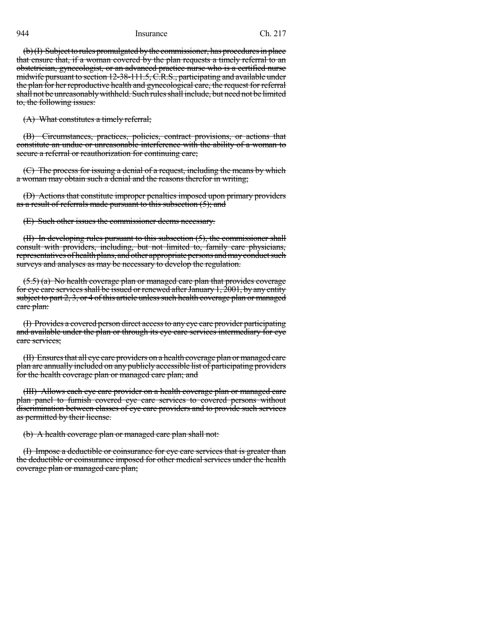$(b)(I)$  Subject to rules promulgated by the commissioner, has procedures in place that ensure that, if a woman covered by the plan requests a timely referral to an obstetrician, gynecologist, or an advanced practice nurse who is a certified nurse midwife pursuant to section 12-38-111.5, C.R.S., participating and available under the plan for her reproductive health and gynecological care, the request for referral shall not be unreasonably withheld. Such rules shall include, but need not be limited to, the following issues:

(A) What constitutes a timely referral;

(B) Circumstances, practices, policies, contract provisions, or actions that constitute an undue or unreasonable interference with the ability of a woman to secure a referral or reauthorization for continuing care;

(C) The process for issuing a denial of a request, including the means by which a woman may obtain such a denial and the reasons therefor in writing;

(D) Actions that constitute improper penalties imposed upon primary providers as a result of referrals made pursuant to this subsection (5); and

(E) Such other issues the commissioner deems necessary.

(II) In developing rules pursuant to this subsection (5), the commissioner shall consult with providers, including, but not limited to, family care physicians, representatives of health plans, and other appropriate persons and may conduct such surveys and analyses as may be necessary to develop the regulation.

(5.5) (a) No health coverage plan or managed care plan that provides coverage for eye care services shall be issued or renewed after January 1, 2001, by any entity subject to part  $2, 3$ , or 4 of this article unless such health coverage plan or managed care plan:

(I) Provides a covered person direct accessto any eye care provider participating and available under the plan or through its eye care services intermediary for eye care services;

(II) Ensures that all eye care providers on a health coverage plan or managed care plan are annually included on any publicly accessible list of participating providers for the health coverage plan or managed care plan; and

(III) Allows each eye care provider on a health coverage plan or managed care plan panel to furnish covered eye care services to covered persons without discrimination between classes of eye care providers and to provide such services as permitted by their license.

(b) A health coverage plan or managed care plan shall not:

(I) Impose a deductible or coinsurance for eye care services that is greater than the deductible or coinsurance imposed for other medical services under the health coverage plan or managed care plan;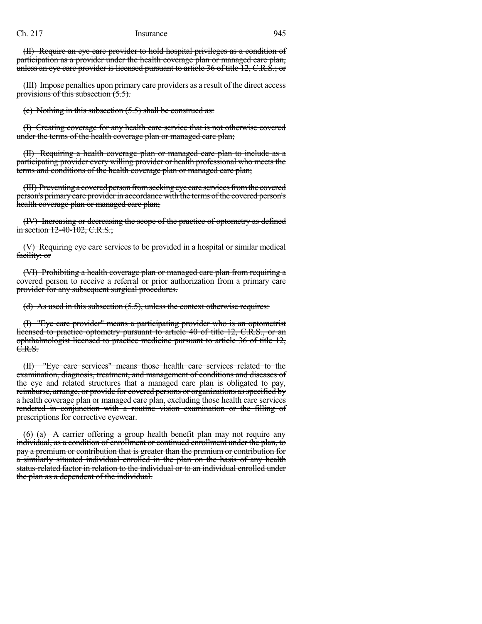(II) Require an eye care provider to hold hospital privileges as a condition of participation as a provider under the health coverage plan or managed care plan, unless an eye care provider is licensed pursuant to article 36 of title 12, C.R.S.; or

(III) Impose penalties upon primary care providers as a result of the direct access provisions of this subsection (5.5).

(c) Nothing in this subsection (5.5) shall be construed as:

(I) Creating coverage for any health care service that is not otherwise covered under the terms of the health coverage plan or managed care plan;

(II) Requiring a health coverage plan or managed care plan to include as a participating provider every willing provider or health professional who meets the terms and conditions of the health coverage plan or managed care plan;

(III) Preventing a covered person from seeking eye care services from the covered person's primary care provider in accordance with the terms of the covered person's health coverage plan or managed care plan;

(IV) Increasing or decreasing the scope of the practice of optometry as defined in section 12-40-102, C.R.S.;

(V) Requiring eye care services to be provided in a hospital or similar medical facility; or

(VI) Prohibiting a health coverage plan or managed care plan from requiring a covered person to receive a referral or prior authorization from a primary care provider for any subsequent surgical procedures.

(d) As used in this subsection (5.5), unless the context otherwise requires:

(I) "Eye care provider" means a participating provider who is an optometrist licensed to practice optometry pursuant to article 40 of title 12, C.R.S., or an ophthalmologist licensed to practice medicine pursuant to article 36 of title 12, C.R.S.

(II) "Eye care services" means those health care services related to the examination, diagnosis, treatment, and management of conditions and diseases of the eye and related structures that a managed care plan is obligated to pay, reimburse, arrange, or provide for covered persons or organizations as specified by a health coverage plan or managed care plan, excluding those health care services rendered in conjunction with a routine vision examination or the filling of prescriptions for corrective eyewear.

(6) (a) A carrier offering a group health benefit plan may not require any individual, as a condition of enrollment or continued enrollment under the plan, to pay a premium or contribution that is greater than the premium or contribution for a similarly situated individual enrolled in the plan on the basis of any health status-related factor in relation to the individual or to an individual enrolled under the plan as a dependent of the individual.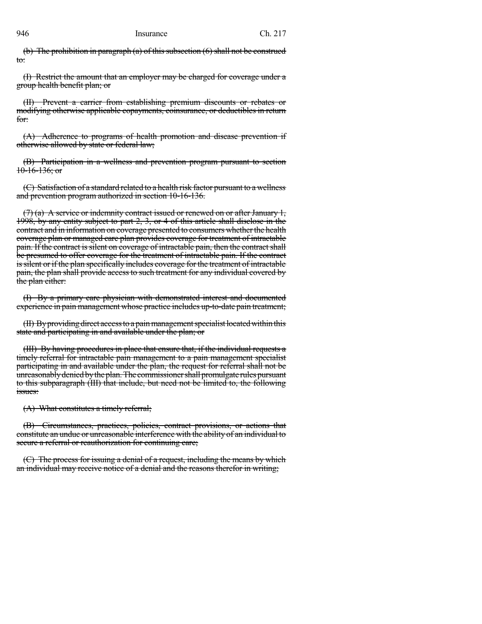(b) The prohibition in paragraph (a) of this subsection  $(6)$  shall not be construed to:

(I) Restrict the amount that an employer may be charged for coverage under a group health benefit plan; or

(II) Prevent a carrier from establishing premium discounts or rebates or modifying otherwise applicable copayments, coinsurance, or deductibles in return for:

(A) Adherence to programs of health promotion and disease prevention if otherwise allowed by state or federal law;

(B) Participation in a wellness and prevention program pursuant to section  $10-16-136$ ; or

(C) Satisfaction of a standard related to a health risk factor pursuant to a wellness and prevention program authorized in section 10-16-136.

 $(7)$  (a) A service or indemnity contract issued or renewed on or after January 1, 1998, by any entity subject to part 2, 3, or 4 of this article shall disclose in the contract and in information on coverage presented to consumers whether the health coverage plan or managed care plan provides coverage for treatment of intractable pain. If the contract is silent on coverage of intractable pain, then the contract shall be presumed to offer coverage for the treatment of intractable pain. If the contract is silent or if the plan specifically includes coverage for the treatment of intractable pain, the plan shall provide access to such treatment for any individual covered by the plan either:

(I) By a primary care physician with demonstrated interest and documented experience in pain management whose practice includes up-to-date pain treatment;

(II) By providing direct access to a pain management specialist located within this state and participating in and available under the plan; or

(III) By having procedures in place that ensure that, if the individual requests a timely referral for intractable pain management to a pain management specialist participating in and available under the plan, the request for referral shall not be unreasonably denied by the plan. The commissioner shall promulgate rules pursuant to this subparagraph (III) that include, but need not be limited to, the following issues:

(A) What constitutes a timely referral;

(B) Circumstances, practices, policies, contract provisions, or actions that constitute an undue or unreasonable interference with the ability of an individual to secure a referral or reauthorization for continuing care;

(C) The process for issuing a denial of a request, including the means by which an individual may receive notice of a denial and the reasons therefor in writing;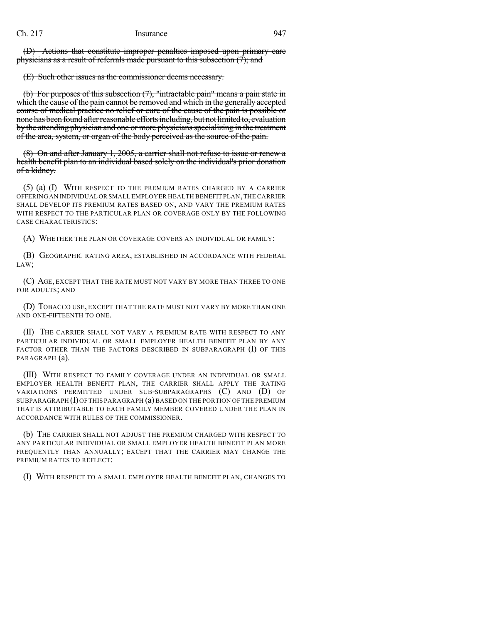(D) Actions that constitute improper penalties imposed upon primary care physicians as a result of referrals made pursuant to this subsection  $(7)$ ; and

(E) Such other issues as the commissioner deems necessary.

(b) For purposes of this subsection (7), "intractable pain" means a pain state in which the cause of the pain cannot be removed and which in the generally accepted course of medical practice no relief or cure of the cause of the pain is possible or none has been found after reasonable efforts including, but not limited to, evaluation by the attending physician and one or more physicians specializing in the treatment of the area, system, or organ of the body perceived as the source of the pain.

(8) On and after January 1, 2005, a carrier shall not refuse to issue or renew a health benefit plan to an individual based solely on the individual's prior donation of a kidney.

(5) (a) (I) WITH RESPECT TO THE PREMIUM RATES CHARGED BY A CARRIER OFFERING AN INDIVIDUAL OR SMALL EMPLOYER HEALTH BENEFIT PLAN,THE CARRIER SHALL DEVELOP ITS PREMIUM RATES BASED ON, AND VARY THE PREMIUM RATES WITH RESPECT TO THE PARTICULAR PLAN OR COVERAGE ONLY BY THE FOLLOWING CASE CHARACTERISTICS:

(A) WHETHER THE PLAN OR COVERAGE COVERS AN INDIVIDUAL OR FAMILY;

(B) GEOGRAPHIC RATING AREA, ESTABLISHED IN ACCORDANCE WITH FEDERAL LAW;

(C) AGE, EXCEPT THAT THE RATE MUST NOT VARY BY MORE THAN THREE TO ONE FOR ADULTS; AND

(D) TOBACCO USE, EXCEPT THAT THE RATE MUST NOT VARY BY MORE THAN ONE AND ONE-FIFTEENTH TO ONE.

(II) THE CARRIER SHALL NOT VARY A PREMIUM RATE WITH RESPECT TO ANY PARTICULAR INDIVIDUAL OR SMALL EMPLOYER HEALTH BENEFIT PLAN BY ANY FACTOR OTHER THAN THE FACTORS DESCRIBED IN SUBPARAGRAPH (I) OF THIS PARAGRAPH (a).

(III) WITH RESPECT TO FAMILY COVERAGE UNDER AN INDIVIDUAL OR SMALL EMPLOYER HEALTH BENEFIT PLAN, THE CARRIER SHALL APPLY THE RATING VARIATIONS PERMITTED UNDER SUB-SUBPARAGRAPHS (C) AND (D) OF SUBPARAGRAPH  $(I)$  OF THIS PARAGRAPH  $(a)$  BASED ON THE PORTION OF THE PREMIUM THAT IS ATTRIBUTABLE TO EACH FAMILY MEMBER COVERED UNDER THE PLAN IN ACCORDANCE WITH RULES OF THE COMMISSIONER.

(b) THE CARRIER SHALL NOT ADJUST THE PREMIUM CHARGED WITH RESPECT TO ANY PARTICULAR INDIVIDUAL OR SMALL EMPLOYER HEALTH BENEFIT PLAN MORE FREQUENTLY THAN ANNUALLY; EXCEPT THAT THE CARRIER MAY CHANGE THE PREMIUM RATES TO REFLECT:

(I) WITH RESPECT TO A SMALL EMPLOYER HEALTH BENEFIT PLAN, CHANGES TO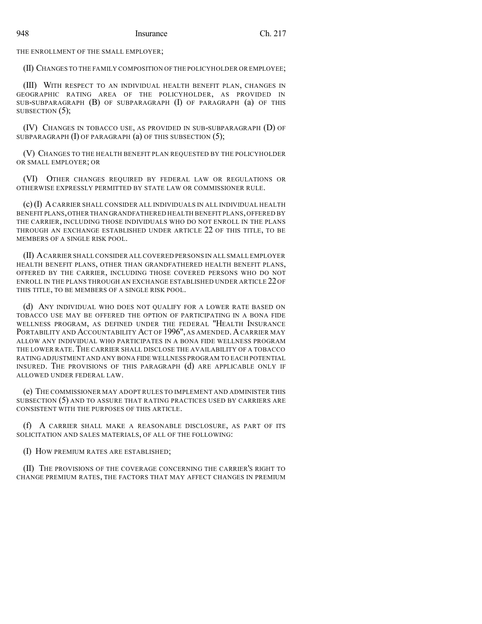THE ENROLLMENT OF THE SMALL EMPLOYER;

(II) CHANGES TO THE FAMILY COMPOSITION OF THE POLICYHOLDER OR EMPLOYEE;

(III) WITH RESPECT TO AN INDIVIDUAL HEALTH BENEFIT PLAN, CHANGES IN GEOGRAPHIC RATING AREA OF THE POLICYHOLDER, AS PROVIDED IN SUB-SUBPARAGRAPH (B) OF SUBPARAGRAPH (I) OF PARAGRAPH (a) OF THIS SUBSECTION  $(5)$ ;

(IV) CHANGES IN TOBACCO USE, AS PROVIDED IN SUB-SUBPARAGRAPH (D) OF SUBPARAGRAPH  $(I)$  OF PARAGRAPH  $(a)$  OF THIS SUBSECTION  $(5)$ ;

(V) CHANGES TO THE HEALTH BENEFIT PLAN REQUESTED BY THE POLICYHOLDER OR SMALL EMPLOYER; OR

(VI) OTHER CHANGES REQUIRED BY FEDERAL LAW OR REGULATIONS OR OTHERWISE EXPRESSLY PERMITTED BY STATE LAW OR COMMISSIONER RULE.

(c) (I) ACARRIER SHALL CONSIDER ALL INDIVIDUALS IN ALL INDIVIDUAL HEALTH BENEFIT PLANS,OTHER THAN GRANDFATHERED HEALTH BENEFIT PLANS,OFFERED BY THE CARRIER, INCLUDING THOSE INDIVIDUALS WHO DO NOT ENROLL IN THE PLANS THROUGH AN EXCHANGE ESTABLISHED UNDER ARTICLE 22 OF THIS TITLE, TO BE MEMBERS OF A SINGLE RISK POOL.

(II) ACARRIER SHALLCONSIDER ALL COVERED PERSONS IN ALL SMALL EMPLOYER HEALTH BENEFIT PLANS, OTHER THAN GRANDFATHERED HEALTH BENEFIT PLANS, OFFERED BY THE CARRIER, INCLUDING THOSE COVERED PERSONS WHO DO NOT ENROLL IN THE PLANS THROUGH AN EXCHANGE ESTABLISHED UNDER ARTICLE 22 OF THIS TITLE, TO BE MEMBERS OF A SINGLE RISK POOL.

(d) ANY INDIVIDUAL WHO DOES NOT QUALIFY FOR A LOWER RATE BASED ON TOBACCO USE MAY BE OFFERED THE OPTION OF PARTICIPATING IN A BONA FIDE WELLNESS PROGRAM, AS DEFINED UNDER THE FEDERAL "HEALTH INSURANCE PORTABILITY AND ACCOUNTABILITY ACT OF 1996", AS AMENDED. A CARRIER MAY ALLOW ANY INDIVIDUAL WHO PARTICIPATES IN A BONA FIDE WELLNESS PROGRAM THE LOWER RATE. THE CARRIER SHALL DISCLOSE THE AVAILABILITY OF A TOBACCO RATING ADJUSTMENT AND ANY BONA FIDE WELLNESS PROGRAM TO EACH POTENTIAL INSURED. THE PROVISIONS OF THIS PARAGRAPH (d) ARE APPLICABLE ONLY IF ALLOWED UNDER FEDERAL LAW.

(e) THE COMMISSIONER MAY ADOPT RULES TO IMPLEMENT AND ADMINISTER THIS SUBSECTION (5) AND TO ASSURE THAT RATING PRACTICES USED BY CARRIERS ARE CONSISTENT WITH THE PURPOSES OF THIS ARTICLE.

(f) A CARRIER SHALL MAKE A REASONABLE DISCLOSURE, AS PART OF ITS SOLICITATION AND SALES MATERIALS, OF ALL OF THE FOLLOWING:

(I) HOW PREMIUM RATES ARE ESTABLISHED;

(II) THE PROVISIONS OF THE COVERAGE CONCERNING THE CARRIER'S RIGHT TO CHANGE PREMIUM RATES, THE FACTORS THAT MAY AFFECT CHANGES IN PREMIUM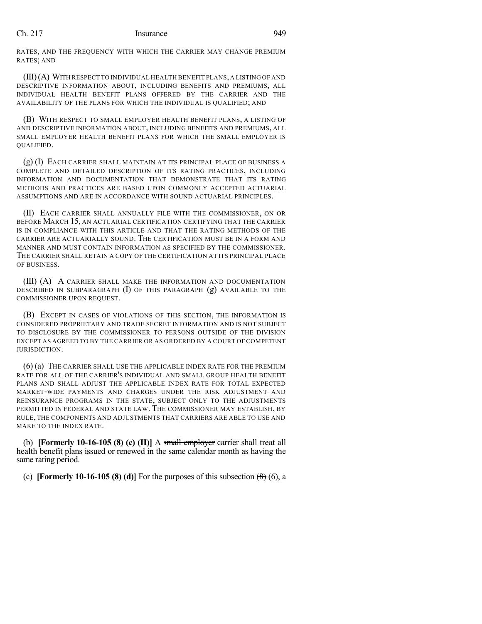RATES, AND THE FREQUENCY WITH WHICH THE CARRIER MAY CHANGE PREMIUM RATES; AND

(III)(A) WITH RESPECT TO INDIVIDUAL HEALTH BENEFIT PLANS, A LISTING OF AND DESCRIPTIVE INFORMATION ABOUT, INCLUDING BENEFITS AND PREMIUMS, ALL INDIVIDUAL HEALTH BENEFIT PLANS OFFERED BY THE CARRIER AND THE AVAILABILITY OF THE PLANS FOR WHICH THE INDIVIDUAL IS QUALIFIED; AND

(B) WITH RESPECT TO SMALL EMPLOYER HEALTH BENEFIT PLANS, A LISTING OF AND DESCRIPTIVE INFORMATION ABOUT, INCLUDING BENEFITS AND PREMIUMS, ALL SMALL EMPLOYER HEALTH BENEFIT PLANS FOR WHICH THE SMALL EMPLOYER IS QUALIFIED.

(g) (I) EACH CARRIER SHALL MAINTAIN AT ITS PRINCIPAL PLACE OF BUSINESS A COMPLETE AND DETAILED DESCRIPTION OF ITS RATING PRACTICES, INCLUDING INFORMATION AND DOCUMENTATION THAT DEMONSTRATE THAT ITS RATING METHODS AND PRACTICES ARE BASED UPON COMMONLY ACCEPTED ACTUARIAL ASSUMPTIONS AND ARE IN ACCORDANCE WITH SOUND ACTUARIAL PRINCIPLES.

(II) EACH CARRIER SHALL ANNUALLY FILE WITH THE COMMISSIONER, ON OR BEFORE MARCH 15, AN ACTUARIAL CERTIFICATION CERTIFYING THAT THE CARRIER IS IN COMPLIANCE WITH THIS ARTICLE AND THAT THE RATING METHODS OF THE CARRIER ARE ACTUARIALLY SOUND. THE CERTIFICATION MUST BE IN A FORM AND MANNER AND MUST CONTAIN INFORMATION AS SPECIFIED BY THE COMMISSIONER. THE CARRIER SHALL RETAIN A COPY OF THE CERTIFICATION AT ITS PRINCIPAL PLACE OF BUSINESS.

(III) (A) A CARRIER SHALL MAKE THE INFORMATION AND DOCUMENTATION DESCRIBED IN SUBPARAGRAPH (I) OF THIS PARAGRAPH (g) AVAILABLE TO THE COMMISSIONER UPON REQUEST.

(B) EXCEPT IN CASES OF VIOLATIONS OF THIS SECTION, THE INFORMATION IS CONSIDERED PROPRIETARY AND TRADE SECRET INFORMATION AND IS NOT SUBJECT TO DISCLOSURE BY THE COMMISSIONER TO PERSONS OUTSIDE OF THE DIVISION EXCEPT AS AGREED TO BY THE CARRIER OR AS ORDERED BY A COURT OF COMPETENT JURISDICTION.

(6) (a) THE CARRIER SHALL USE THE APPLICABLE INDEX RATE FOR THE PREMIUM RATE FOR ALL OF THE CARRIER'S INDIVIDUAL AND SMALL GROUP HEALTH BENEFIT PLANS AND SHALL ADJUST THE APPLICABLE INDEX RATE FOR TOTAL EXPECTED MARKET-WIDE PAYMENTS AND CHARGES UNDER THE RISK ADJUSTMENT AND REINSURANCE PROGRAMS IN THE STATE, SUBJECT ONLY TO THE ADJUSTMENTS PERMITTED IN FEDERAL AND STATE LAW. THE COMMISSIONER MAY ESTABLISH, BY RULE, THE COMPONENTS AND ADJUSTMENTS THAT CARRIERS ARE ABLE TO USE AND MAKE TO THE INDEX RATE.

(b) **[Formerly 10-16-105 (8) (c) (II)]** A small employer carrier shall treat all health benefit plans issued or renewed in the same calendar month as having the same rating period.

(c) **[Formerly 10-16-105 (8) (d)]** For the purposes of this subsection  $(\theta)$  (6), a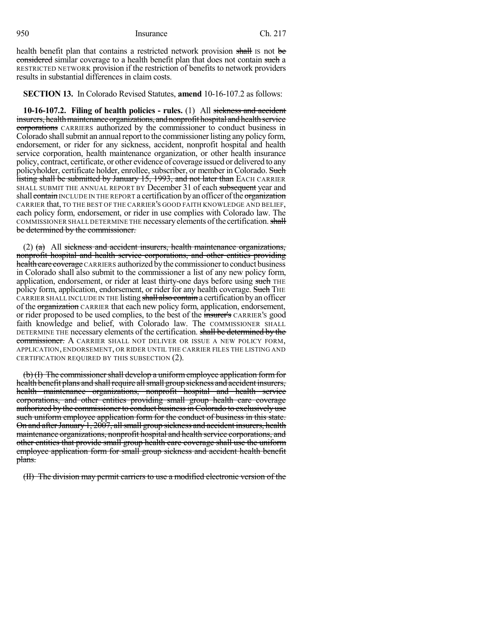health benefit plan that contains a restricted network provision shall is not be considered similar coverage to a health benefit plan that does not contain such a RESTRICTED NETWORK provision if the restriction of benefits to network providers results in substantial differences in claim costs.

**SECTION 13.** In Colorado Revised Statutes, **amend** 10-16-107.2 as follows:

**10-16-107.2. Filing of health policies - rules.** (1) All sickness and accident insurers, health maintenance organizations, and nonprofit hospital and health service corporations CARRIERS authorized by the commissioner to conduct business in Colorado shall submit an annual report to the commissioner listing any policy form, endorsement, or rider for any sickness, accident, nonprofit hospital and health service corporation, health maintenance organization, or other health insurance policy, contract, certificate, or other evidence of coverage issued or delivered to any policyholder, certificate holder, enrollee, subscriber, or member in Colorado. Such listing shall be submitted by January 15, 1993, and not later than EACH CARRIER SHALL SUBMIT THE ANNUAL REPORT BY December 31 of each subsequent year and shall contain INCLUDE IN THE REPORT a certification by an officer of the organization CARRIER that, TO THE BEST OF THE CARRIER'S GOOD FAITH KNOWLEDGE AND BELIEF, each policy form, endorsement, or rider in use complies with Colorado law. The COMMISSIONER SHALL DETERMINE THE necessary elements of the certification. shall be determined by the commissioner.

 $(2)$  (a) All sickness and accident insurers, health maintenance organizations, nonprofit hospital and health service corporations, and other entities providing health care coverage CARRIERS authorized by the commissioner to conduct business in Colorado shall also submit to the commissioner a list of any new policy form, application, endorsement, or rider at least thirty-one days before using such THE policy form, application, endorsement, or rider for any health coverage. Such THE CARRIER SHALL INCLUDE IN THE listing shall also contain a certification by an officer of the organization CARRIER that each new policy form, application, endorsement, or rider proposed to be used complies, to the best of the insurer's CARRIER'S good faith knowledge and belief, with Colorado law. The COMMISSIONER SHALL DETERMINE THE necessary elements of the certification. shall be determined by the commissioner. A CARRIER SHALL NOT DELIVER OR ISSUE A NEW POLICY FORM, APPLICATION, ENDORSEMENT, OR RIDER UNTIL THE CARRIER FILES THE LISTING AND CERTIFICATION REQUIRED BY THIS SUBSECTION (2).

 $(b)$  (I) The commissioner shall develop a uniform employee application form for health benefit plans and shall require all small group sickness and accident insurers, health maintenance organizations, nonprofit hospital and health service corporations, and other entities providing small group health care coverage authorized by the commissioner to conduct business in Colorado to exclusively use such uniform employee application form for the conduct of business in this state. On and after January 1, 2007, all small group sickness and accident insurers, health maintenance organizations, nonprofit hospital and health service corporations, and other entities that provide small group health care coverage shall use the uniform employee application form for small group sickness and accident health benefit plans.

(II) The division may permit carriers to use a modified electronic version of the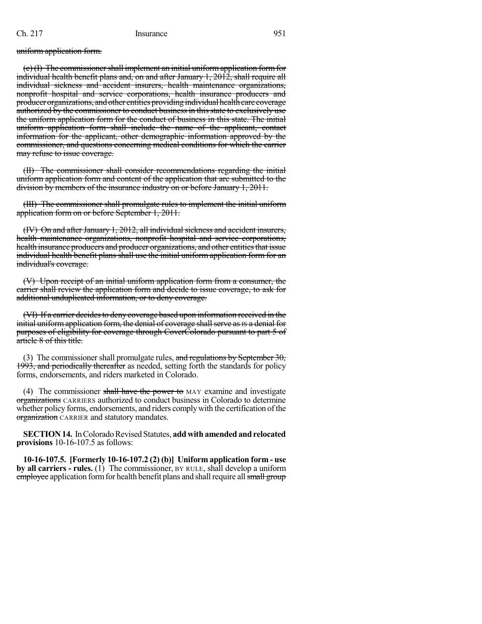#### uniform application form.

 $(c)$  (I) The commissioner shall implement an initial uniform application form for individual health benefit plans and, on and after January 1, 2012, shall require all individual sickness and accident insurers, health maintenance organizations, nonprofit hospital and service corporations, health insurance producers and producer organizations, and other entities providing individual health care coverage authorized by the commissioner to conduct business in this state to exclusively use the uniform application form for the conduct of business in this state. The initial uniform application form shall include the name of the applicant, contact information for the applicant, other demographic information approved by the commissioner, and questions concerning medical conditions for which the carrier may refuse to issue coverage.

(II) The commissioner shall consider recommendations regarding the initial uniform application form and content of the application that are submitted to the division by members of the insurance industry on or before January 1, 2011.

(III) The commissioner shall promulgate rules to implement the initial uniform application form on or before September 1, 2011.

(IV) On and after January 1, 2012, all individual sickness and accident insurers, health maintenance organizations, nonprofit hospital and service corporations, health insurance producers and producer organizations, and other entities that issue individual health benefit plans shall use the initial uniform application form for an individual's coverage.

(V) Upon receipt of an initial uniform application form from a consumer, the carrier shall review the application form and decide to issue coverage, to ask for additional unduplicated information, or to deny coverage.

(VI) If a carrier decides to deny coverage based upon information received in the initial uniform application form, the denial of coverage shall serve as IS a denial for purposes of eligibility for coverage through CoverColorado pursuant to part 5 of article 8 of this title.

(3) The commissioner shall promulgate rules, and regulations by September 30, 1993, and periodically thereafter as needed, setting forth the standards for policy forms, endorsements, and riders marketed in Colorado.

(4) The commissioner shall have the power to MAY examine and investigate organizations CARRIERS authorized to conduct business in Colorado to determine whether policy forms, endorsements, and riders comply with the certification of the organization CARRIER and statutory mandates.

**SECTION 14.** In Colorado Revised Statutes, add with amended and relocated **provisions** 10-16-107.5 as follows:

**10-16-107.5. [Formerly 10-16-107.2 (2) (b)] Uniform application form - use by all carriers - rules.** (1) The commissioner, BY RULE, shall develop a uniform employee application form for health benefit plans and shall require all small group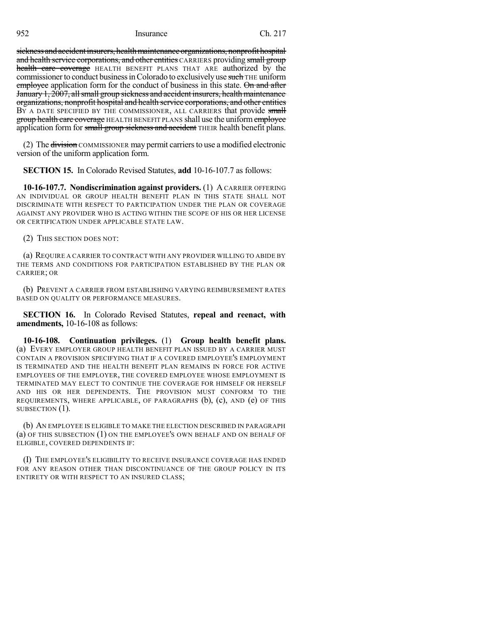sickness and accident insurers, health maintenance organizations, nonprofit hospital and health service corporations, and other entities CARRIERS providing small group health care coverage HEALTH BENEFIT PLANS THAT ARE authorized by the commissioner to conduct business in Colorado to exclusively use such THE uniform employee application form for the conduct of business in this state. On and after January 1, 2007, all small group sickness and accident insurers, health maintenance organizations, nonprofit hospital and health service corporations, and other entities BY A DATE SPECIFIED BY THE COMMISSIONER, ALL CARRIERS that provide small group health care coverage HEALTH BENEFIT PLANS shall use the uniform employee application form for small group sickness and accident THEIR health benefit plans.

(2) The division COMMISSIONER may permit carriersto use a modified electronic version of the uniform application form.

**SECTION 15.** In Colorado Revised Statutes, **add** 10-16-107.7 as follows:

**10-16-107.7. Nondiscrimination against providers.** (1) A CARRIER OFFERING AN INDIVIDUAL OR GROUP HEALTH BENEFIT PLAN IN THIS STATE SHALL NOT DISCRIMINATE WITH RESPECT TO PARTICIPATION UNDER THE PLAN OR COVERAGE AGAINST ANY PROVIDER WHO IS ACTING WITHIN THE SCOPE OF HIS OR HER LICENSE OR CERTIFICATION UNDER APPLICABLE STATE LAW.

(2) THIS SECTION DOES NOT:

(a) REQUIRE A CARRIER TO CONTRACT WITH ANY PROVIDER WILLING TO ABIDE BY THE TERMS AND CONDITIONS FOR PARTICIPATION ESTABLISHED BY THE PLAN OR CARRIER; OR

(b) PREVENT A CARRIER FROM ESTABLISHING VARYING REIMBURSEMENT RATES BASED ON QUALITY OR PERFORMANCE MEASURES.

**SECTION 16.** In Colorado Revised Statutes, **repeal and reenact, with amendments,** 10-16-108 as follows:

**10-16-108. Continuation privileges.** (1) **Group health benefit plans.** (a) EVERY EMPLOYER GROUP HEALTH BENEFIT PLAN ISSUED BY A CARRIER MUST CONTAIN A PROVISION SPECIFYING THAT IF A COVERED EMPLOYEE'S EMPLOYMENT IS TERMINATED AND THE HEALTH BENEFIT PLAN REMAINS IN FORCE FOR ACTIVE EMPLOYEES OF THE EMPLOYER, THE COVERED EMPLOYEE WHOSE EMPLOYMENT IS TERMINATED MAY ELECT TO CONTINUE THE COVERAGE FOR HIMSELF OR HERSELF AND HIS OR HER DEPENDENTS. THE PROVISION MUST CONFORM TO THE REQUIREMENTS, WHERE APPLICABLE, OF PARAGRAPHS (b), (c), AND (e) OF THIS SUBSECTION  $(1)$ .

(b) AN EMPLOYEE IS ELIGIBLE TO MAKE THE ELECTION DESCRIBED IN PARAGRAPH (a) OF THIS SUBSECTION (1) ON THE EMPLOYEE'S OWN BEHALF AND ON BEHALF OF ELIGIBLE, COVERED DEPENDENTS IF:

(I) THE EMPLOYEE'S ELIGIBILITY TO RECEIVE INSURANCE COVERAGE HAS ENDED FOR ANY REASON OTHER THAN DISCONTINUANCE OF THE GROUP POLICY IN ITS ENTIRETY OR WITH RESPECT TO AN INSURED CLASS;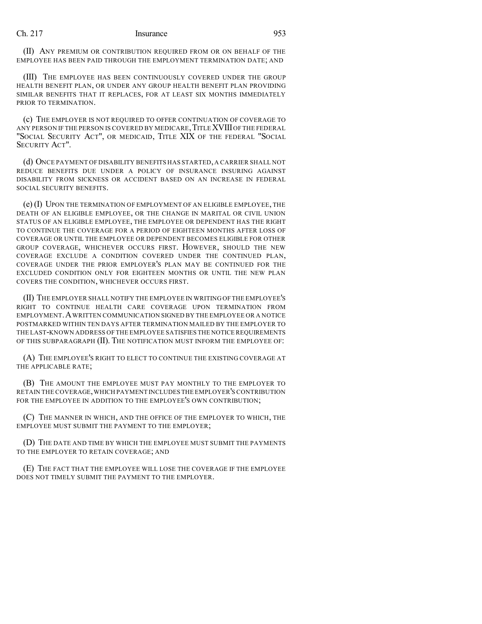(II) ANY PREMIUM OR CONTRIBUTION REQUIRED FROM OR ON BEHALF OF THE EMPLOYEE HAS BEEN PAID THROUGH THE EMPLOYMENT TERMINATION DATE; AND

(III) THE EMPLOYEE HAS BEEN CONTINUOUSLY COVERED UNDER THE GROUP HEALTH BENEFIT PLAN, OR UNDER ANY GROUP HEALTH BENEFIT PLAN PROVIDING SIMILAR BENEFITS THAT IT REPLACES, FOR AT LEAST SIX MONTHS IMMEDIATELY PRIOR TO TERMINATION.

(c) THE EMPLOYER IS NOT REQUIRED TO OFFER CONTINUATION OF COVERAGE TO ANY PERSON IF THE PERSON IS COVERED BY MEDICARE,TITLEXVIIIOF THE FEDERAL "SOCIAL SECURITY ACT", OR MEDICAID, TITLE XIX OF THE FEDERAL "SOCIAL SECURITY ACT".

(d) ONCE PAYMENT OF DISABILITY BENEFITS HAS STARTED,A CARRIER SHALL NOT REDUCE BENEFITS DUE UNDER A POLICY OF INSURANCE INSURING AGAINST DISABILITY FROM SICKNESS OR ACCIDENT BASED ON AN INCREASE IN FEDERAL SOCIAL SECURITY BENEFITS.

(e) (I) UPON THE TERMINATION OF EMPLOYMENT OF AN ELIGIBLE EMPLOYEE, THE DEATH OF AN ELIGIBLE EMPLOYEE, OR THE CHANGE IN MARITAL OR CIVIL UNION STATUS OF AN ELIGIBLE EMPLOYEE, THE EMPLOYEE OR DEPENDENT HAS THE RIGHT TO CONTINUE THE COVERAGE FOR A PERIOD OF EIGHTEEN MONTHS AFTER LOSS OF COVERAGE OR UNTIL THE EMPLOYEE OR DEPENDENT BECOMES ELIGIBLE FOR OTHER GROUP COVERAGE, WHICHEVER OCCURS FIRST. HOWEVER, SHOULD THE NEW COVERAGE EXCLUDE A CONDITION COVERED UNDER THE CONTINUED PLAN, COVERAGE UNDER THE PRIOR EMPLOYER'S PLAN MAY BE CONTINUED FOR THE EXCLUDED CONDITION ONLY FOR EIGHTEEN MONTHS OR UNTIL THE NEW PLAN COVERS THE CONDITION, WHICHEVER OCCURS FIRST.

(II) THE EMPLOYER SHALL NOTIFY THE EMPLOYEE IN WRITING OF THE EMPLOYEE'S RIGHT TO CONTINUE HEALTH CARE COVERAGE UPON TERMINATION FROM EMPLOYMENT.AWRITTEN COMMUNICATION SIGNED BY THE EMPLOYEE OR A NOTICE POSTMARKED WITHIN TEN DAYS AFTER TERMINATION MAILED BY THE EMPLOYER TO THE LAST-KNOWN ADDRESS OF THE EMPLOYEE SATISFIES THE NOTICE REQUIREMENTS OF THIS SUBPARAGRAPH (II). THE NOTIFICATION MUST INFORM THE EMPLOYEE OF:

(A) THE EMPLOYEE'S RIGHT TO ELECT TO CONTINUE THE EXISTING COVERAGE AT THE APPLICABLE RATE;

(B) THE AMOUNT THE EMPLOYEE MUST PAY MONTHLY TO THE EMPLOYER TO RETAIN THE COVERAGE,WHICH PAYMENT INCLUDES THE EMPLOYER'S CONTRIBUTION FOR THE EMPLOYEE IN ADDITION TO THE EMPLOYEE'S OWN CONTRIBUTION;

(C) THE MANNER IN WHICH, AND THE OFFICE OF THE EMPLOYER TO WHICH, THE EMPLOYEE MUST SUBMIT THE PAYMENT TO THE EMPLOYER;

(D) THE DATE AND TIME BY WHICH THE EMPLOYEE MUST SUBMIT THE PAYMENTS TO THE EMPLOYER TO RETAIN COVERAGE; AND

(E) THE FACT THAT THE EMPLOYEE WILL LOSE THE COVERAGE IF THE EMPLOYEE DOES NOT TIMELY SUBMIT THE PAYMENT TO THE EMPLOYER.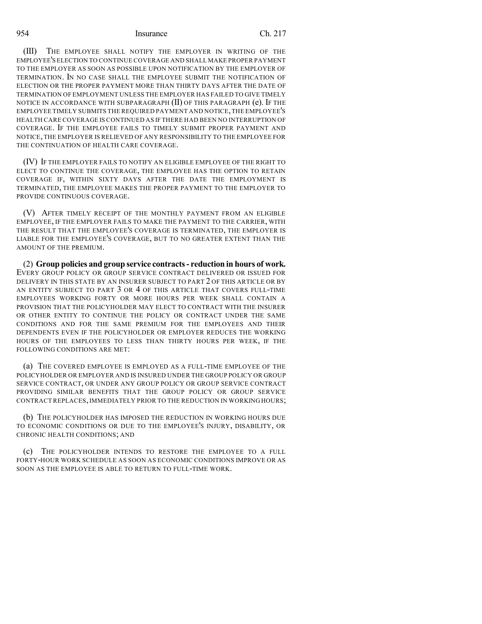(III) THE EMPLOYEE SHALL NOTIFY THE EMPLOYER IN WRITING OF THE EMPLOYEE'S ELECTION TO CONTINUE COVERAGE AND SHALL MAKE PROPER PAYMENT TO THE EMPLOYER AS SOON AS POSSIBLE UPON NOTIFICATION BY THE EMPLOYER OF TERMINATION. IN NO CASE SHALL THE EMPLOYEE SUBMIT THE NOTIFICATION OF ELECTION OR THE PROPER PAYMENT MORE THAN THIRTY DAYS AFTER THE DATE OF TERMINATION OF EMPLOYMENT UNLESS THE EMPLOYER HAS FAILED TO GIVE TIMELY NOTICE IN ACCORDANCE WITH SUBPARAGRAPH (II) OF THIS PARAGRAPH (e). IF THE EMPLOYEE TIMELY SUBMITS THE REQUIRED PAYMENT AND NOTICE,THE EMPLOYEE'S HEALTH CARE COVERAGE IS CONTINUED AS IF THERE HAD BEEN NO INTERRUPTION OF COVERAGE. IF THE EMPLOYEE FAILS TO TIMELY SUBMIT PROPER PAYMENT AND NOTICE,THE EMPLOYER IS RELIEVED OF ANY RESPONSIBILITY TO THE EMPLOYEE FOR THE CONTINUATION OF HEALTH CARE COVERAGE.

(IV) IF THE EMPLOYER FAILS TO NOTIFY AN ELIGIBLE EMPLOYEE OF THE RIGHT TO ELECT TO CONTINUE THE COVERAGE, THE EMPLOYEE HAS THE OPTION TO RETAIN COVERAGE IF, WITHIN SIXTY DAYS AFTER THE DATE THE EMPLOYMENT IS TERMINATED, THE EMPLOYEE MAKES THE PROPER PAYMENT TO THE EMPLOYER TO PROVIDE CONTINUOUS COVERAGE.

(V) AFTER TIMELY RECEIPT OF THE MONTHLY PAYMENT FROM AN ELIGIBLE EMPLOYEE, IF THE EMPLOYER FAILS TO MAKE THE PAYMENT TO THE CARRIER, WITH THE RESULT THAT THE EMPLOYEE'S COVERAGE IS TERMINATED, THE EMPLOYER IS LIABLE FOR THE EMPLOYEE'S COVERAGE, BUT TO NO GREATER EXTENT THAN THE AMOUNT OF THE PREMIUM.

(2) **Group policies and group service contracts- reduction in hours of work.** EVERY GROUP POLICY OR GROUP SERVICE CONTRACT DELIVERED OR ISSUED FOR DELIVERY IN THIS STATE BY AN INSURER SUBJECT TO PART 2 OF THIS ARTICLE OR BY AN ENTITY SUBJECT TO PART 3 OR 4 OF THIS ARTICLE THAT COVERS FULL-TIME EMPLOYEES WORKING FORTY OR MORE HOURS PER WEEK SHALL CONTAIN A PROVISION THAT THE POLICYHOLDER MAY ELECT TO CONTRACT WITH THE INSURER OR OTHER ENTITY TO CONTINUE THE POLICY OR CONTRACT UNDER THE SAME CONDITIONS AND FOR THE SAME PREMIUM FOR THE EMPLOYEES AND THEIR DEPENDENTS EVEN IF THE POLICYHOLDER OR EMPLOYER REDUCES THE WORKING HOURS OF THE EMPLOYEES TO LESS THAN THIRTY HOURS PER WEEK, IF THE FOLLOWING CONDITIONS ARE MET:

(a) THE COVERED EMPLOYEE IS EMPLOYED AS A FULL-TIME EMPLOYEE OF THE POLICYHOLDER OR EMPLOYER AND IS INSURED UNDER THE GROUP POLICY OR GROUP SERVICE CONTRACT, OR UNDER ANY GROUP POLICY OR GROUP SERVICE CONTRACT PROVIDING SIMILAR BENEFITS THAT THE GROUP POLICY OR GROUP SERVICE CONTRACT REPLACES, IMMEDIATELY PRIOR TO THE REDUCTION IN WORKING HOURS;

(b) THE POLICYHOLDER HAS IMPOSED THE REDUCTION IN WORKING HOURS DUE TO ECONOMIC CONDITIONS OR DUE TO THE EMPLOYEE'S INJURY, DISABILITY, OR CHRONIC HEALTH CONDITIONS; AND

(c) THE POLICYHOLDER INTENDS TO RESTORE THE EMPLOYEE TO A FULL FORTY-HOUR WORK SCHEDULE AS SOON AS ECONOMIC CONDITIONS IMPROVE OR AS SOON AS THE EMPLOYEE IS ABLE TO RETURN TO FULL-TIME WORK.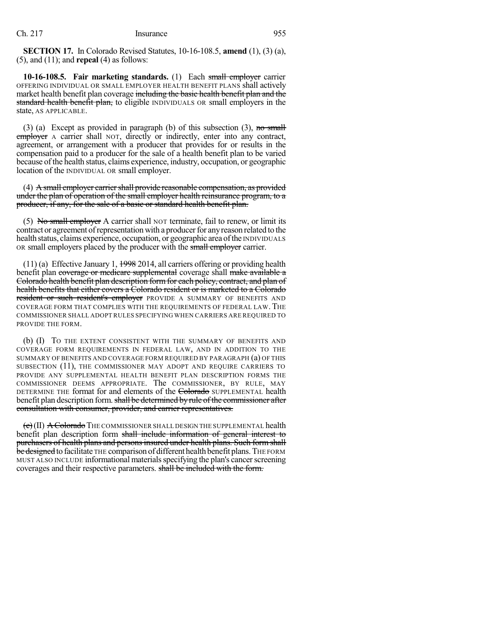**SECTION 17.** In Colorado Revised Statutes, 10-16-108.5, **amend** (1), (3) (a), (5), and (11); and **repeal** (4) as follows:

**10-16-108.5. Fair marketing standards.** (1) Each small employer carrier OFFERING INDIVIDUAL OR SMALL EMPLOYER HEALTH BENEFIT PLANS shall actively market health benefit plan coverage including the basic health benefit plan and the standard health benefit plan, to eligible INDIVIDUALS OR small employers in the state, AS APPLICABLE.

(3) (a) Except as provided in paragraph (b) of this subsection (3), no small employer A carrier shall NOT, directly or indirectly, enter into any contract, agreement, or arrangement with a producer that provides for or results in the compensation paid to a producer for the sale of a health benefit plan to be varied because ofthe health status, claims experience, industry, occupation, or geographic location of the INDIVIDUAL OR small employer.

 $(4)$  A small employer carrier shall provide reasonable compensation, as provided under the plan of operation of the small employer health reinsurance program, to a producer, if any, for the sale of a basic or standard health benefit plan.

(5) No small employer A carrier shall NOT terminate, fail to renew, or limit its contract or agreement of representation with a producer for any reason related to the health status, claims experience, occupation, or geographic area of the INDIVIDUALS OR small employers placed by the producer with the small employer carrier.

 $(11)$  (a) Effective January 1,  $1998$  2014, all carriers offering or providing health benefit plan coverage or medicare supplemental coverage shall make available a Colorado health benefit plan description form for each policy, contract, and plan of health benefits that either covers a Colorado resident or is marketed to a Colorado resident or such resident's employer PROVIDE A SUMMARY OF BENEFITS AND COVERAGE FORM THAT COMPLIES WITH THE REQUIREMENTS OF FEDERAL LAW. THE COMMISSIONER SHALL ADOPT RULES SPECIFYING WHEN CARRIERS ARE REQUIRED TO PROVIDE THE FORM.

(b) (I) TO THE EXTENT CONSISTENT WITH THE SUMMARY OF BENEFITS AND COVERAGE FORM REQUIREMENTS IN FEDERAL LAW, AND IN ADDITION TO THE SUMMARY OF BENEFITS AND COVERAGE FORM REQUIRED BY PARAGRAPH (a) OF THIS SUBSECTION (11), THE COMMISSIONER MAY ADOPT AND REQUIRE CARRIERS TO PROVIDE ANY SUPPLEMENTAL HEALTH BENEFIT PLAN DESCRIPTION FORMS THE COMMISSIONER DEEMS APPROPRIATE. The COMMISSIONER, BY RULE, MAY DETERMINE THE format for and elements of the Colorado SUPPLEMENTAL health benefit plan description form. shall be determined by rule of the commissioner after consultation with consumer, provider, and carrier representatives.

 $\left(\epsilon\right)$ (II)  $\Delta$  Colorado The commissioner shall design the supplemental health benefit plan description form shall include information of general interest to purchasers of health plans and personsinsured under health plans. Such form shall be designed to facilitate THE comparison of different health benefit plans. THE FORM MUST ALSO INCLUDE informational materialsspecifying the plan's cancerscreening coverages and their respective parameters. shall be included with the form.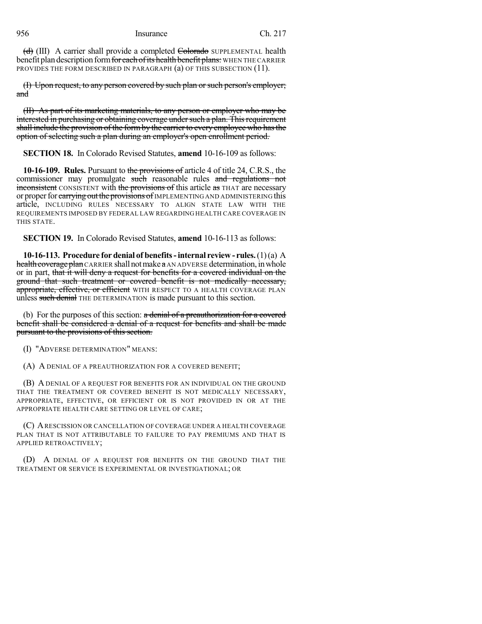(d) (III) A carrier shall provide a completed Colorado SUPPLEMENTAL health benefit plan description form for each of its health benefit plans: WHEN THE CARRIER PROVIDES THE FORM DESCRIBED IN PARAGRAPH (a) OF THIS SUBSECTION (11).

(I) Upon request, to any person covered by such plan or such person's employer; and

(II) As part of its marketing materials, to any person or employer who may be interested in purchasing or obtaining coverage under such a plan. This requirement shall include the provision of the formby the carrier to every employee who hasthe option of selecting such a plan during an employer's open enrollment period.

**SECTION 18.** In Colorado Revised Statutes, **amend** 10-16-109 as follows:

**10-16-109. Rules.** Pursuant to the provisions of article 4 of title 24, C.R.S., the commissioner may promulgate such reasonable rules and regulations not inconsistent CONSISTENT with the provisions of this article as THAT are necessary or proper for earrying out the provisions of IMPLEMENTING AND ADMINISTERING this article, INCLUDING RULES NECESSARY TO ALIGN STATE LAW WITH THE REQUIREMENTS IMPOSED BY FEDERAL LAW REGARDING HEALTH CARE COVERAGE IN THIS STATE.

**SECTION 19.** In Colorado Revised Statutes, **amend** 10-16-113 as follows:

**10-16-113. Procedure for denial of benefits-internal review - rules.**(1)(a) A health coverage plan CARRIER shall not make a AN ADVERSE determination, in whole or in part, that it will deny a request for benefits for a covered individual on the ground that such treatment or covered benefit is not medically necessary, appropriate, effective, or efficient WITH RESPECT TO A HEALTH COVERAGE PLAN unless such denial THE DETERMINATION is made pursuant to this section.

(b) For the purposes of this section:  $\alpha$  denial of a preauthorization for a covered benefit shall be considered a denial of a request for benefits and shall be made pursuant to the provisions of this section.

(I) "ADVERSE DETERMINATION" MEANS:

(A) A DENIAL OF A PREAUTHORIZATION FOR A COVERED BENEFIT;

(B) A DENIAL OF A REQUEST FOR BENEFITS FOR AN INDIVIDUAL ON THE GROUND THAT THE TREATMENT OR COVERED BENEFIT IS NOT MEDICALLY NECESSARY, APPROPRIATE, EFFECTIVE, OR EFFICIENT OR IS NOT PROVIDED IN OR AT THE APPROPRIATE HEALTH CARE SETTING OR LEVEL OF CARE;

(C) ARESCISSION OR CANCELLATION OF COVERAGE UNDER A HEALTH COVERAGE PLAN THAT IS NOT ATTRIBUTABLE TO FAILURE TO PAY PREMIUMS AND THAT IS APPLIED RETROACTIVELY;

(D) A DENIAL OF A REQUEST FOR BENEFITS ON THE GROUND THAT THE TREATMENT OR SERVICE IS EXPERIMENTAL OR INVESTIGATIONAL; OR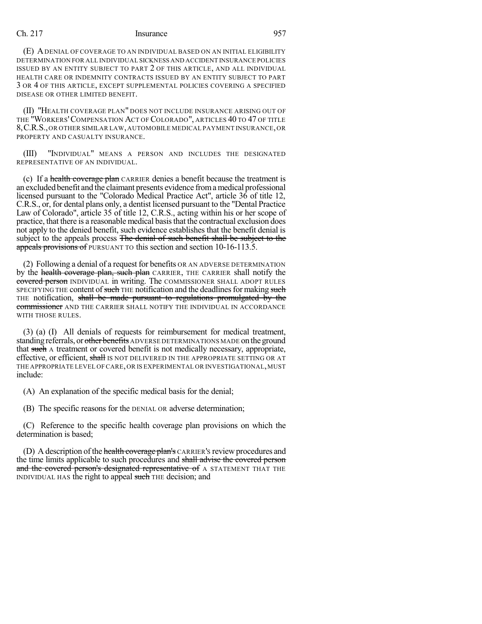(E) ADENIAL OF COVERAGE TO AN INDIVIDUAL BASED ON AN INITIAL ELIGIBILITY DETERMINATION FOR ALL INDIVIDUAL SICKNESS AND ACCIDENT INSURANCE POLICIES ISSUED BY AN ENTITY SUBJECT TO PART 2 OF THIS ARTICLE, AND ALL INDIVIDUAL HEALTH CARE OR INDEMNITY CONTRACTS ISSUED BY AN ENTITY SUBJECT TO PART 3 OR 4 OF THIS ARTICLE, EXCEPT SUPPLEMENTAL POLICIES COVERING A SPECIFIED DISEASE OR OTHER LIMITED BENEFIT.

(II) "HEALTH COVERAGE PLAN" DOES NOT INCLUDE INSURANCE ARISING OUT OF THE "WORKERS'COMPENSATION ACT OF COLORADO", ARTICLES 40 TO 47 OF TITLE 8,C.R.S.,OR OTHER SIMILAR LAW,AUTOMOBILE MEDICAL PAYMENT INSURANCE,OR PROPERTY AND CASUALTY INSURANCE.

(III) "INDIVIDUAL" MEANS A PERSON AND INCLUDES THE DESIGNATED REPRESENTATIVE OF AN INDIVIDUAL.

(c) If a health coverage plan CARRIER denies a benefit because the treatment is an excluded benefit and the claimant presents evidence fromamedical professional licensed pursuant to the "Colorado Medical Practice Act", article 36 of title 12, C.R.S., or, for dental plans only, a dentist licensed pursuant to the "Dental Practice Law of Colorado", article 35 of title 12, C.R.S., acting within his or her scope of practice, that there is a reasonable medical basisthat the contractual exclusion does not apply to the denied benefit, such evidence establishes that the benefit denial is subject to the appeals process The denial of such benefit shall be subject to the appeals provisions of PURSUANT TO this section and section 10-16-113.5.

(2) Following a denial of a request for benefits OR AN ADVERSE DETERMINATION by the health coverage plan, such plan CARRIER, THE CARRIER shall notify the covered person INDIVIDUAL in writing. The COMMISSIONER SHALL ADOPT RULES SPECIFYING THE content of such THE notification and the deadlines for making such THE notification, shall be made pursuant to regulations promulgated by the commissioner AND THE CARRIER SHALL NOTIFY THE INDIVIDUAL IN ACCORDANCE WITH THOSE RULES.

(3) (a) (I) All denials of requests for reimbursement for medical treatment, standing referrals, or other benefits ADVERSE DETERMINATIONS MADE on the ground that such A treatment or covered benefit is not medically necessary, appropriate, effective, or efficient, shall IS NOT DELIVERED IN THE APPROPRIATE SETTING OR AT THE APPROPRIATE LEVEL OF CARE,OR IS EXPERIMENTAL OR INVESTIGATIONAL,MUST include:

(A) An explanation of the specific medical basis for the denial;

(B) The specific reasons for the DENIAL OR adverse determination;

(C) Reference to the specific health coverage plan provisions on which the determination is based;

(D) A description of the health coverage plan's CARRIER's review procedures and the time limits applicable to such procedures and shall advise the covered person and the covered person's designated representative of A STATEMENT THAT THE INDIVIDUAL HAS the right to appeal such THE decision; and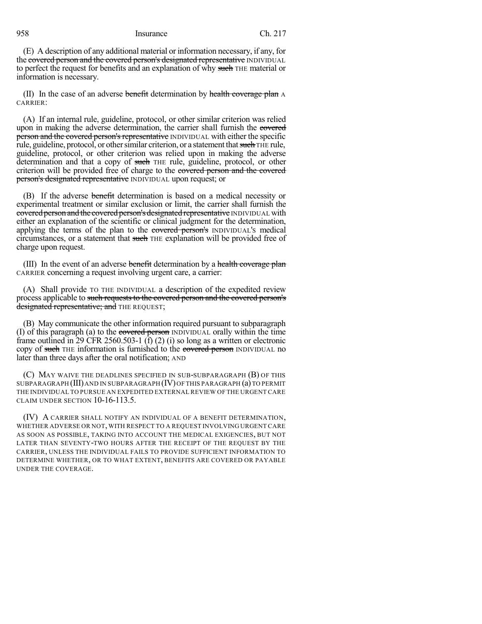(E) A description of any additional material or information necessary, if any, for the covered person and the covered person's designated representative INDIVIDUAL to perfect the request for benefits and an explanation of why such THE material or information is necessary.

(II) In the case of an adverse benefit determination by health coverage plan A CARRIER:

(A) If an internal rule, guideline, protocol, or other similar criterion was relied upon in making the adverse determination, the carrier shall furnish the covered person and the covered person's representative INDIVIDUAL with either the specific rule, guideline, protocol, or other similar criterion, or a statement that such THE rule, guideline, protocol, or other criterion was relied upon in making the adverse determination and that a copy of such THE rule, guideline, protocol, or other criterion will be provided free of charge to the covered person and the covered person's designated representative INDIVIDUAL upon request; or

(B) If the adverse benefit determination is based on a medical necessity or experimental treatment or similar exclusion or limit, the carrier shall furnish the covered person and the covered person's designated representative INDIVIDUAL with either an explanation of the scientific or clinical judgment for the determination, applying the terms of the plan to the covered person's INDIVIDUAL's medical circumstances, or a statement that such THE explanation will be provided free of charge upon request.

(III) In the event of an adverse benefit determination by a health coverage plan CARRIER concerning a request involving urgent care, a carrier:

(A) Shall provide TO THE INDIVIDUAL a description of the expedited review process applicable to such requests to the covered person and the covered person's designated representative; and THE REQUEST;

(B) May communicate the other information required pursuant to subparagraph (I) of this paragraph (a) to the covered person INDIVIDUAL orally within the time frame outlined in 29 CFR 2560.503-1 (f) (2) (i) so long as a written or electronic copy of such THE information is furnished to the covered person INDIVIDUAL no later than three days after the oral notification; AND

(C) MAY WAIVE THE DEADLINES SPECIFIED IN SUB-SUBPARAGRAPH (B) OF THIS SUBPARAGRAPH (III)AND IN SUBPARAGRAPH (IV)OF THIS PARAGRAPH (a) TO PERMIT THE INDIVIDUAL TO PURSUE AN EXPEDITED EXTERNAL REVIEW OF THE URGENT CARE CLAIM UNDER SECTION 10-16-113.5.

(IV) A CARRIER SHALL NOTIFY AN INDIVIDUAL OF A BENEFIT DETERMINATION, WHETHER ADVERSE OR NOT, WITH RESPECT TO A REQUEST INVOLVING URGENT CARE AS SOON AS POSSIBLE, TAKING INTO ACCOUNT THE MEDICAL EXIGENCIES, BUT NOT LATER THAN SEVENTY-TWO HOURS AFTER THE RECEIPT OF THE REQUEST BY THE CARRIER, UNLESS THE INDIVIDUAL FAILS TO PROVIDE SUFFICIENT INFORMATION TO DETERMINE WHETHER, OR TO WHAT EXTENT, BENEFITS ARE COVERED OR PAYABLE UNDER THE COVERAGE.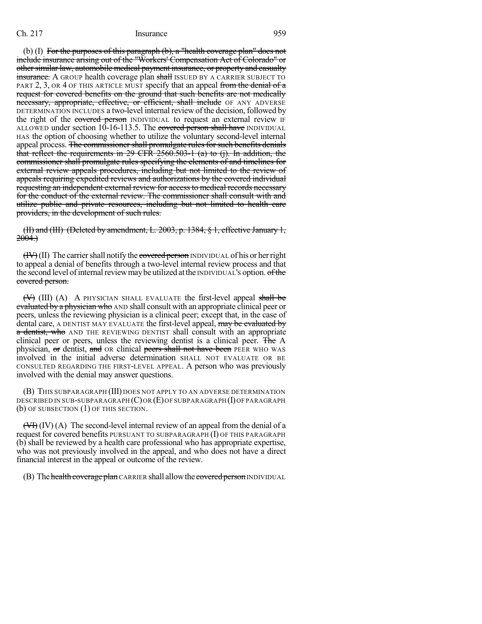(b) (I) For the purposes of this paragraph (b), a "health coverage plan" does not include insurance arising out of the "Workers' Compensation Act of Colorado" or other similar law, automobile medical payment insurance, or property and casualty insurance. A GROUP health coverage plan shall ISSUED BY A CARRIER SUBJECT TO PART 2, 3, OR 4 OF THIS ARTICLE MUST specify that an appeal from the denial of  $\alpha$ request for covered benefits on the ground that such benefits are not medically necessary, appropriate, effective, or efficient, shall include OF ANY ADVERSE DETERMINATION INCLUDES a two-level internal review of the decision, followed by the right of the covered person INDIVIDUAL to request an external review IF ALLOWED under section 10-16-113.5. The covered person shall have INDIVIDUAL HAS the option of choosing whether to utilize the voluntary second-level internal appeal process. The commissioner shall promulgate rules for such benefits denials that reflect the requirements in 29 CFR 2560.503-1 (a) to (j). In addition, the commissioner shall promulgate rules specifying the elements of and timelines for external review appeals procedures, including but not limited to the review of appeals requiring expedited reviews and authorizations by the covered individual requesting an independent external review for access to medical records necessary for the conduct of the external review. The commissioner shall consult with and utilize public and private resources, including but not limited to health care providers, in the development of such rules.

(II) and (III) (Deleted by amendment, L. 2003, p. 1384, § 1, effective January 1,  $2004.)$ 

 $(HY)(II)$  The carrier shall notify the covered person INDIVIDUAL of his or her right to appeal a denial of benefits through a two-level internal review process and that the second level of internal review may be utilized at the INDIVIDUAL's option. of the covered person.

 $(\forall)$  (III) (A) A PHYSICIAN SHALL EVALUATE the first-level appeal shall be evaluated by a physician who AND shall consult with an appropriate clinical peer or peers, unless the reviewing physician is a clinical peer; except that, in the case of dental care, A DENTIST MAY EVALUATE the first-level appeal, may be evaluated by a dentist, who AND THE REVIEWING DENTIST shall consult with an appropriate clinical peer or peers, unless the reviewing dentist is a clinical peer. The A physician, or dentist, and OR clinical peers shall not have been PEER WHO WAS involved in the initial adverse determination SHALL NOT EVALUATE OR BE CONSULTED REGARDING THE FIRST-LEVEL APPEAL. A person who was previously involved with the denial may answer questions.

(B) THIS SUBPARAGRAPH (III) DOES NOT APPLY TO AN ADVERSE DETERMINATION DESCRIBED IN SUB-SUBPARAGRAPH (C)OR (E)OF SUBPARAGRAPH (I)OF PARAGRAPH (b) OF SUBSECTION (1) OF THIS SECTION.

 $(\forall \exists Y)$  (IV) (A) The second-level internal review of an appeal from the denial of a request for covered benefits PURSUANT TO SUBPARAGRAPH (I) OF THIS PARAGRAPH (b) shall be reviewed by a health care professional who has appropriate expertise, who was not previously involved in the appeal, and who does not have a direct financial interest in the appeal or outcome of the review.

(B) The health coverage plan CARRIER shall allow the covered person INDIVIDUAL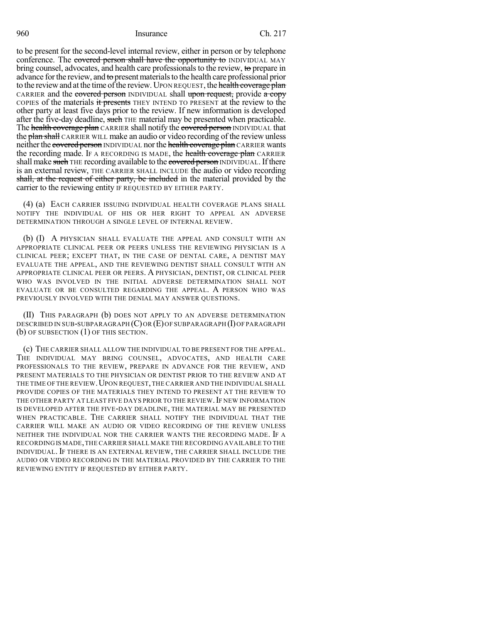to be present for the second-level internal review, either in person or by telephone conference. The covered person shall have the opportunity to INDIVIDUAL MAY bring counsel, advocates, and health care professionals to the review, to prepare in advance for the review, and to present materials to the health care professional prior to the review and at the time of the review. UPON REQUEST, the health coverage plan CARRIER and the covered person INDIVIDUAL shall upon request, provide a copy COPIES of the materials it presents THEY INTEND TO PRESENT at the review to the other party at least five days prior to the review. If new information is developed after the five-day deadline, such THE material may be presented when practicable. The health coverage plan CARRIER shall notify the covered person INDIVIDUAL that the plan shall CARRIER WILL make an audio or video recording of the review unless neither the covered person INDIVIDUAL nor the health coverage plan CARRIER wants the recording made. IF A RECORDING IS MADE, the health coverage plan CARRIER shall make such THE recording available to the covered person INDIVIDUAL. If there is an external review, THE CARRIER SHALL INCLUDE the audio or video recording shall, at the request of either party, be included in the material provided by the carrier to the reviewing entity IF REQUESTED BY EITHER PARTY.

(4) (a) EACH CARRIER ISSUING INDIVIDUAL HEALTH COVERAGE PLANS SHALL NOTIFY THE INDIVIDUAL OF HIS OR HER RIGHT TO APPEAL AN ADVERSE DETERMINATION THROUGH A SINGLE LEVEL OF INTERNAL REVIEW.

(b) (I) A PHYSICIAN SHALL EVALUATE THE APPEAL AND CONSULT WITH AN APPROPRIATE CLINICAL PEER OR PEERS UNLESS THE REVIEWING PHYSICIAN IS A CLINICAL PEER; EXCEPT THAT, IN THE CASE OF DENTAL CARE, A DENTIST MAY EVALUATE THE APPEAL, AND THE REVIEWING DENTIST SHALL CONSULT WITH AN APPROPRIATE CLINICAL PEER OR PEERS. A PHYSICIAN, DENTIST, OR CLINICAL PEER WHO WAS INVOLVED IN THE INITIAL ADVERSE DETERMINATION SHALL NOT EVALUATE OR BE CONSULTED REGARDING THE APPEAL. A PERSON WHO WAS PREVIOUSLY INVOLVED WITH THE DENIAL MAY ANSWER QUESTIONS.

(II) THIS PARAGRAPH (b) DOES NOT APPLY TO AN ADVERSE DETERMINATION DESCRIBED IN SUB-SUBPARAGRAPH (C)OR (E)OF SUBPARAGRAPH (I)OF PARAGRAPH (b) OF SUBSECTION (1) OF THIS SECTION.

(c) THE CARRIER SHALL ALLOW THE INDIVIDUAL TO BE PRESENT FOR THE APPEAL. THE INDIVIDUAL MAY BRING COUNSEL, ADVOCATES, AND HEALTH CARE PROFESSIONALS TO THE REVIEW, PREPARE IN ADVANCE FOR THE REVIEW, AND PRESENT MATERIALS TO THE PHYSICIAN OR DENTIST PRIOR TO THE REVIEW AND AT THE TIME OF THE REVIEW. UPON REQUEST, THE CARRIER AND THE INDIVIDUAL SHALL PROVIDE COPIES OF THE MATERIALS THEY INTEND TO PRESENT AT THE REVIEW TO THE OTHER PARTY AT LEAST FIVE DAYS PRIOR TO THE REVIEW. IF NEW INFORMATION IS DEVELOPED AFTER THE FIVE-DAY DEADLINE, THE MATERIAL MAY BE PRESENTED WHEN PRACTICABLE. THE CARRIER SHALL NOTIFY THE INDIVIDUAL THAT THE CARRIER WILL MAKE AN AUDIO OR VIDEO RECORDING OF THE REVIEW UNLESS NEITHER THE INDIVIDUAL NOR THE CARRIER WANTS THE RECORDING MADE. IF A RECORDING IS MADE,THE CARRIER SHALL MAKE THE RECORDING AVAILABLE TO THE INDIVIDUAL. IF THERE IS AN EXTERNAL REVIEW, THE CARRIER SHALL INCLUDE THE AUDIO OR VIDEO RECORDING IN THE MATERIAL PROVIDED BY THE CARRIER TO THE REVIEWING ENTITY IF REQUESTED BY EITHER PARTY.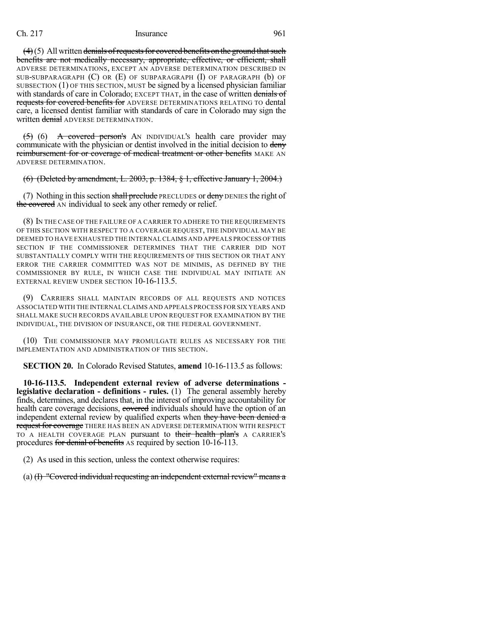$(4)(5)$  All written denials of requests for covered benefits on the ground that such benefits are not medically necessary, appropriate, effective, or efficient, shall ADVERSE DETERMINATIONS, EXCEPT AN ADVERSE DETERMINATION DESCRIBED IN SUB-SUBPARAGRAPH (C) OR (E) OF SUBPARAGRAPH (I) OF PARAGRAPH (b) OF SUBSECTION (1) OF THIS SECTION, MUST be signed by a licensed physician familiar with standards of care in Colorado; EXCEPT THAT, in the case of written denials of requests for covered benefits for ADVERSE DETERMINATIONS RELATING TO dental care, a licensed dentist familiar with standards of care in Colorado may sign the written denial ADVERSE DETERMINATION.

 $(5)$  (6) A covered person's AN INDIVIDUAL's health care provider may communicate with the physician or dentist involved in the initial decision to deny reimbursement for or coverage of medical treatment or other benefits MAKE AN ADVERSE DETERMINATION.

(6) (Deleted by amendment, L. 2003, p. 1384, § 1, effective January 1, 2004.)

(7) Nothing in this section shall preclude PRECLUDES or deny DENIES the right of the covered AN individual to seek any other remedy or relief.

(8) IN THE CASE OF THE FAILURE OF A CARRIER TO ADHERE TO THE REQUIREMENTS OF THIS SECTION WITH RESPECT TO A COVERAGE REQUEST, THE INDIVIDUAL MAY BE DEEMED TO HAVE EXHAUSTED THE INTERNAL CLAIMS AND APPEALS PROCESS OFTHIS SECTION IF THE COMMISSIONER DETERMINES THAT THE CARRIER DID NOT SUBSTANTIALLY COMPLY WITH THE REQUIREMENTS OF THIS SECTION OR THAT ANY ERROR THE CARRIER COMMITTED WAS NOT DE MINIMIS, AS DEFINED BY THE COMMISSIONER BY RULE, IN WHICH CASE THE INDIVIDUAL MAY INITIATE AN EXTERNAL REVIEW UNDER SECTION 10-16-113.5.

(9) CARRIERS SHALL MAINTAIN RECORDS OF ALL REQUESTS AND NOTICES ASSOCIATED WITH THE INTERNALCLAIMS AND APPEALS PROCESS FOR SIX YEARS AND SHALL MAKE SUCH RECORDS AVAILABLE UPON REQUEST FOR EXAMINATION BY THE INDIVIDUAL, THE DIVISION OF INSURANCE, OR THE FEDERAL GOVERNMENT.

(10) THE COMMISSIONER MAY PROMULGATE RULES AS NECESSARY FOR THE IMPLEMENTATION AND ADMINISTRATION OF THIS SECTION.

**SECTION 20.** In Colorado Revised Statutes, **amend** 10-16-113.5 as follows:

**10-16-113.5. Independent external review of adverse determinations legislative declaration - definitions - rules.** (1) The general assembly hereby finds, determines, and declares that, in the interest of improving accountability for health care coverage decisions, covered individuals should have the option of an independent external review by qualified experts when they have been denied a request for coverage THERE HAS BEEN AN ADVERSE DETERMINATION WITH RESPECT TO A HEALTH COVERAGE PLAN pursuant to their health plan's A CARRIER's procedures for denial of benefits AS required by section 10-16-113.

(2) As used in this section, unless the context otherwise requires:

(a) (I) "Covered individual requesting an independent external review" means a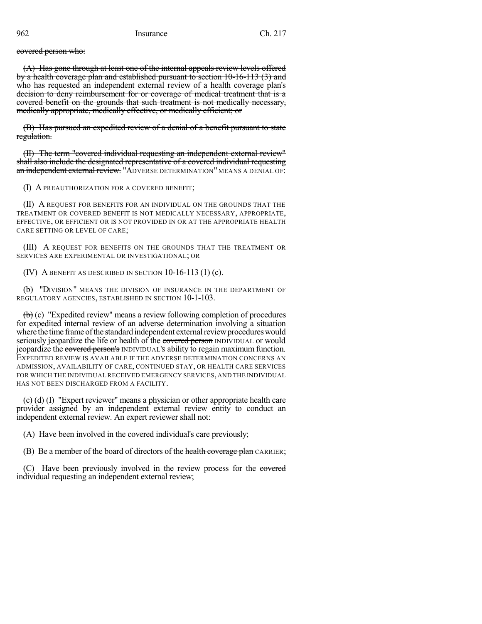covered person who:

(A) Has gone through at least one of the internal appeals review levels offered by a health coverage plan and established pursuant to section 10-16-113 (3) and who has requested an independent external review of a health coverage plan's decision to deny reimbursement for or coverage of medical treatment that is a covered benefit on the grounds that such treatment is not medically necessary, medically appropriate, medically effective, or medically efficient; or

(B) Has pursued an expedited review of a denial of a benefit pursuant to state regulation.

(II) The term "covered individual requesting an independent external review" shall also include the designated representative of a covered individual requesting an independent external review. "ADVERSE DETERMINATION" MEANS A DENIAL OF:

(I) A PREAUTHORIZATION FOR A COVERED BENEFIT;

(II) A REQUEST FOR BENEFITS FOR AN INDIVIDUAL ON THE GROUNDS THAT THE TREATMENT OR COVERED BENEFIT IS NOT MEDICALLY NECESSARY, APPROPRIATE, EFFECTIVE, OR EFFICIENT OR IS NOT PROVIDED IN OR AT THE APPROPRIATE HEALTH CARE SETTING OR LEVEL OF CARE;

(III) A REQUEST FOR BENEFITS ON THE GROUNDS THAT THE TREATMENT OR SERVICES ARE EXPERIMENTAL OR INVESTIGATIONAL; OR

(IV) A BENEFIT AS DESCRIBED IN SECTION  $10-16-113(1)$  (c).

(b) "DIVISION" MEANS THE DIVISION OF INSURANCE IN THE DEPARTMENT OF REGULATORY AGENCIES, ESTABLISHED IN SECTION 10-1-103.

(b) (c) "Expedited review" means a review following completion of procedures for expedited internal review of an adverse determination involving a situation where the time frame of the standard independent external review procedures would seriously jeopardize the life or health of the covered person INDIVIDUAL or would jeopardize the covered person's INDIVIDUAL'S ability to regain maximum function. EXPEDITED REVIEW IS AVAILABLE IF THE ADVERSE DETERMINATION CONCERNS AN ADMISSION, AVAILABILITY OF CARE, CONTINUED STAY, OR HEALTH CARE SERVICES FOR WHICH THE INDIVIDUAL RECEIVED EMERGENCY SERVICES, AND THE INDIVIDUAL HAS NOT BEEN DISCHARGED FROM A FACILITY.

(c) (d) (I) "Expert reviewer" means a physician or other appropriate health care provider assigned by an independent external review entity to conduct an independent external review. An expert reviewer shall not:

(A) Have been involved in the covered individual's care previously;

(B) Be a member of the board of directors of the health coverage plan CARRIER;

(C) Have been previously involved in the review process for the covered individual requesting an independent external review;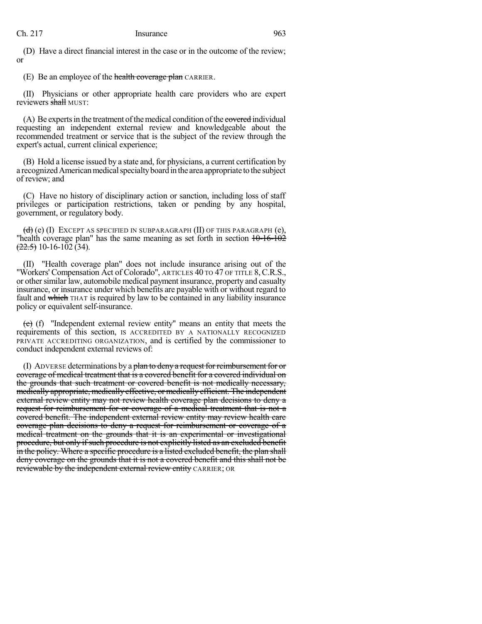(D) Have a direct financial interest in the case or in the outcome of the review; or

(E) Be an employee of the health coverage plan CARRIER.

(II) Physicians or other appropriate health care providers who are expert reviewers shall MUST:

(A) Be experts in the treatment of the medical condition of the experiment equivalently requesting an independent external review and knowledgeable about the recommended treatment or service that is the subject of the review through the expert's actual, current clinical experience;

(B) Hold a license issued by a state and, for physicians, a current certification by a recognized American medical specialty board in the area appropriate to the subject of review; and

(C) Have no history of disciplinary action or sanction, including loss of staff privileges or participation restrictions, taken or pending by any hospital, government, or regulatory body.

 $(d)$  (e) (I) EXCEPT AS SPECIFIED IN SUBPARAGRAPH (II) OF THIS PARAGRAPH (e), "health coverage plan" has the same meaning as set forth in section  $10-16-102$  $(22.5)$  10-16-102 (34).

(II) "Health coverage plan" does not include insurance arising out of the "Workers' Compensation Act of Colorado", ARTICLES 40 TO 47 OF TITLE 8,C.R.S., or other similar law, automobile medical payment insurance, property and casualty insurance, or insurance under which benefits are payable with or without regard to fault and which THAT is required by law to be contained in any liability insurance policy or equivalent self-insurance.

(e) (f) "Independent external review entity" means an entity that meets the requirements of this section, IS ACCREDITED BY A NATIONALLY RECOGNIZED PRIVATE ACCREDITING ORGANIZATION, and is certified by the commissioner to conduct independent external reviews of:

(I) ADVERSE determinations by a plan to deny a request for reimbursement for or coverage of medical treatment that is a covered benefit for a covered individual on the grounds that such treatment or covered benefit is not medically necessary, medically appropriate, medically effective, or medically efficient. The independent external review entity may not review health coverage plan decisions to deny a request for reimbursement for or coverage of a medical treatment that is not a covered benefit. The independent external review entity may review health care coverage plan decisions to deny a request for reimbursement or coverage of a medical treatment on the grounds that it is an experimental or investigational procedure, but only ifsuch procedure is not explicitly listed as an excluded benefit in the policy. Where a specific procedure is a listed excluded benefit, the plan shall deny coverage on the grounds that it is not a covered benefit and this shall not be reviewable by the independent external review entity CARRIER; OR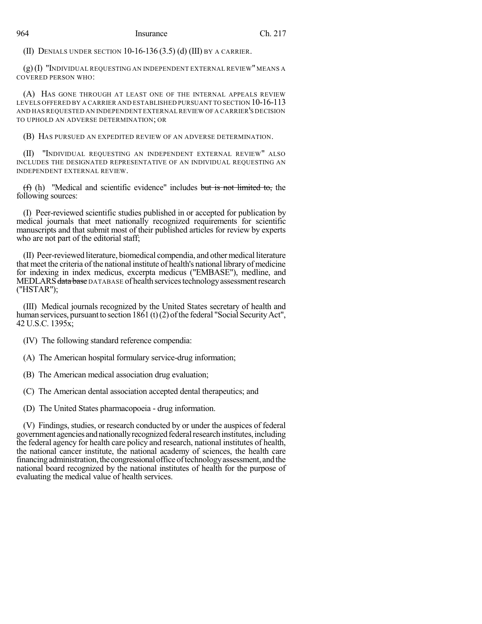(II) DENIALS UNDER SECTION  $10-16-136(3.5)$  (d) (III) by a carrier.

(g)(I) "INDIVIDUAL REQUESTING AN INDEPENDENT EXTERNAL REVIEW" MEANS A COVERED PERSON WHO:

(A) HAS GONE THROUGH AT LEAST ONE OF THE INTERNAL APPEALS REVIEW LEVELS OFFERED BY A CARRIER AND ESTABLISHED PURSUANT TO SECTION 10-16-113 AND HAS REQUESTED AN INDEPENDENT EXTERNAL REVIEW OF A CARRIER'S DECISION TO UPHOLD AN ADVERSE DETERMINATION; OR

(B) HAS PURSUED AN EXPEDITED REVIEW OF AN ADVERSE DETERMINATION.

(II) "INDIVIDUAL REQUESTING AN INDEPENDENT EXTERNAL REVIEW" ALSO INCLUDES THE DESIGNATED REPRESENTATIVE OF AN INDIVIDUAL REQUESTING AN INDEPENDENT EXTERNAL REVIEW.

 $(f)$  (h) "Medical and scientific evidence" includes but is not limited to, the following sources:

(I) Peer-reviewed scientific studies published in or accepted for publication by medical journals that meet nationally recognized requirements for scientific manuscripts and that submit most of their published articles for review by experts who are not part of the editorial staff;

(II) Peer-reviewed literature, biomedical compendia, and othermedical literature that meet the criteria of the national institute of health's national library of medicine for indexing in index medicus, excerpta medicus ("EMBASE"), medline, and MEDLARS data base DATABASE of health services technology assessment research ("HSTAR");

(III) Medical journals recognized by the United States secretary of health and human services, pursuant to section 1861 (t)(2) of the federal "Social Security Act", 42 U.S.C. 1395x;

(IV) The following standard reference compendia:

(A) The American hospital formulary service-drug information;

(B) The American medical association drug evaluation;

(C) The American dental association accepted dental therapeutics; and

(D) The United States pharmacopoeia - drug information.

(V) Findings, studies, or research conducted by or under the auspices of federal government agencies andnationallyrecognizedfederalresearchinstitutes,including the federal agency for health care policy and research, national institutes of health, the national cancer institute, the national academy of sciences, the health care financing administration, the congressional office of technology assessment, and the national board recognized by the national institutes of health for the purpose of evaluating the medical value of health services.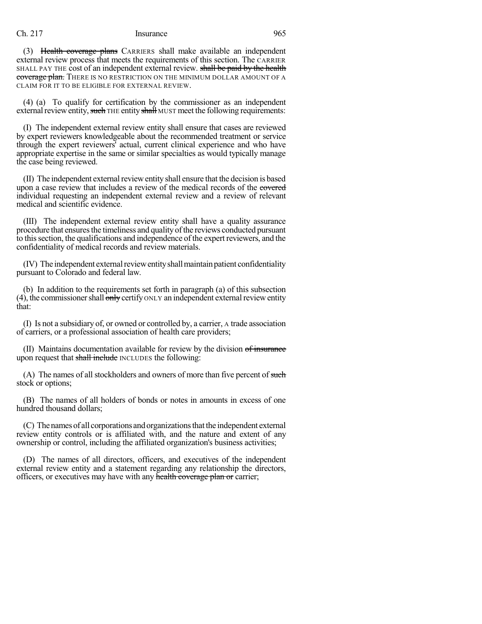(3) Health coverage plans CARRIERS shall make available an independent external review process that meets the requirements of this section. The CARRIER SHALL PAY THE cost of an independent external review. shall be paid by the health coverage plan. THERE IS NO RESTRICTION ON THE MINIMUM DOLLAR AMOUNT OF A CLAIM FOR IT TO BE ELIGIBLE FOR EXTERNAL REVIEW.

(4) (a) To qualify for certification by the commissioner as an independent external review entity, such THE entity shall MUST meet the following requirements:

(I) The independent external review entity shall ensure that cases are reviewed by expert reviewers knowledgeable about the recommended treatment or service through the expert reviewers' actual, current clinical experience and who have appropriate expertise in the same or similar specialties as would typically manage the case being reviewed.

 $(II)$  The independent external review entity shall ensure that the decision is based upon a case review that includes a review of the medical records of the covered individual requesting an independent external review and a review of relevant medical and scientific evidence.

(III) The independent external review entity shall have a quality assurance procedure that ensures the timeliness and quality of the reviews conducted pursuant to thissection, the qualifications and independence of the expert reviewers, and the confidentiality of medical records and review materials.

(IV) The independent external review entity shall maintain patient confidentiality pursuant to Colorado and federal law.

(b) In addition to the requirements set forth in paragraph (a) of this subsection (4), the commissioner shall  $\overline{only}$  certify ONLY an independent external review entity that:

(I) Is not a subsidiary of, or owned or controlled by, a carrier, A trade association of carriers, or a professional association of health care providers;

(II) Maintains documentation available for review by the division of insurance upon request that shall include INCLUDES the following:

 $(A)$  The names of all stockholders and owners of more than five percent of such stock or options;

(B) The names of all holders of bonds or notes in amounts in excess of one hundred thousand dollars;

(C) The names of all corporations and organizations that the independent external review entity controls or is affiliated with, and the nature and extent of any ownership or control, including the affiliated organization's business activities;

(D) The names of all directors, officers, and executives of the independent external review entity and a statement regarding any relationship the directors, officers, or executives may have with any health coverage plan or carrier;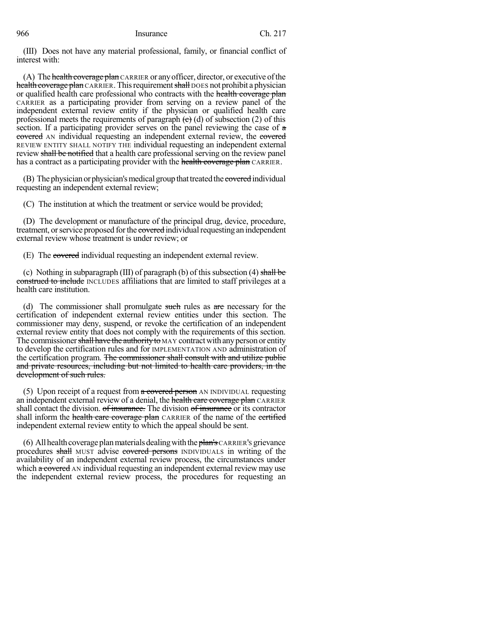(III) Does not have any material professional, family, or financial conflict of interest with:

(A) The health coverage plan CARRIER or any officer, director, or executive of the health coverage plan CARRIER. This requirement shall DOES not prohibit a physician or qualified health care professional who contracts with the health coverage plan CARRIER as a participating provider from serving on a review panel of the independent external review entity if the physician or qualified health care professional meets the requirements of paragraph  $(e)$  (d) of subsection (2) of this section. If a participating provider serves on the panel reviewing the case of  $\alpha$ covered AN individual requesting an independent external review, the covered REVIEW ENTITY SHALL NOTIFY THE individual requesting an independent external review shall be notified that a health care professional serving on the review panel has a contract as a participating provider with the health coverage plan CARRIER.

(B) The physician or physician's medical group that treated the covered individual requesting an independent external review;

(C) The institution at which the treatment or service would be provided;

(D) The development or manufacture of the principal drug, device, procedure, treatment, or service proposed for the covered individual requesting an independent external review whose treatment is under review; or

(E) The covered individual requesting an independent external review.

(c) Nothing in subparagraph (III) of paragraph (b) of this subsection (4) shall be construed to include INCLUDES affiliations that are limited to staff privileges at a health care institution.

(d) The commissioner shall promulgate such rules as are necessary for the certification of independent external review entities under this section. The commissioner may deny, suspend, or revoke the certification of an independent external review entity that does not comply with the requirements of this section. The commissioner shall have the authority to MAY contract with any person or entity to develop the certification rules and for IMPLEMENTATION AND administration of the certification program. The commissioner shall consult with and utilize public and private resources, including but not limited to health care providers, in the development of such rules.

(5) Upon receipt of a request from a covered person AN INDIVIDUAL requesting an independent external review of a denial, the health care coverage plan CARRIER shall contact the division. of insurance. The division of insurance or its contractor shall inform the health care coverage plan CARRIER of the name of the certified independent external review entity to which the appeal should be sent.

(6) All health coverage plan materials dealing with the  $\frac{1}{2}$  CARRIER's grievance procedures shall MUST advise covered persons INDIVIDUALS in writing of the availability of an independent external review process, the circumstances under which a covered AN individual requesting an independent external review may use the independent external review process, the procedures for requesting an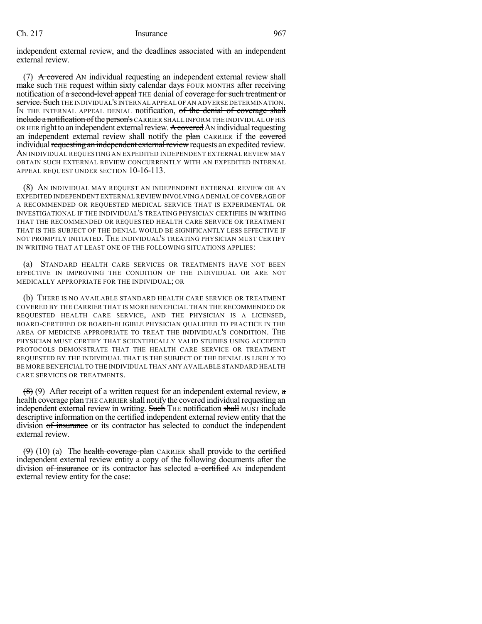independent external review, and the deadlines associated with an independent external review.

(7) A covered AN individual requesting an independent external review shall make such THE request within sixty calendar days FOUR MONTHS after receiving notification of a second-level appeal THE denial of coverage for such treatment or service. Such THE INDIVIDUAL'S INTERNAL APPEAL OF AN ADVERSE DETERMINATION. IN THE INTERNAL APPEAL DENIAL notification, of the denial of coverage shall include a notification of the person's CARRIER SHALL INFORM THE INDIVIDUAL OF HIS OR HER right to an independent external review. A covered AN individual requesting an independent external review shall notify the plan CARRIER if the covered individual requesting an independent external review requests an expedited review. AN INDIVIDUAL REQUESTING AN EXPEDITED INDEPENDENT EXTERNAL REVIEW MAY OBTAIN SUCH EXTERNAL REVIEW CONCURRENTLY WITH AN EXPEDITED INTERNAL APPEAL REQUEST UNDER SECTION 10-16-113.

(8) AN INDIVIDUAL MAY REQUEST AN INDEPENDENT EXTERNAL REVIEW OR AN EXPEDITED INDEPENDENT EXTERNALREVIEW INVOLVING A DENIAL OF COVERAGE OF A RECOMMENDED OR REQUESTED MEDICAL SERVICE THAT IS EXPERIMENTAL OR INVESTIGATIONAL IF THE INDIVIDUAL'S TREATING PHYSICIAN CERTIFIES IN WRITING THAT THE RECOMMENDED OR REQUESTED HEALTH CARE SERVICE OR TREATMENT THAT IS THE SUBJECT OF THE DENIAL WOULD BE SIGNIFICANTLY LESS EFFECTIVE IF NOT PROMPTLY INITIATED. THE INDIVIDUAL'S TREATING PHYSICIAN MUST CERTIFY IN WRITING THAT AT LEAST ONE OF THE FOLLOWING SITUATIONS APPLIES:

(a) STANDARD HEALTH CARE SERVICES OR TREATMENTS HAVE NOT BEEN EFFECTIVE IN IMPROVING THE CONDITION OF THE INDIVIDUAL OR ARE NOT MEDICALLY APPROPRIATE FOR THE INDIVIDUAL; OR

(b) THERE IS NO AVAILABLE STANDARD HEALTH CARE SERVICE OR TREATMENT COVERED BY THE CARRIER THAT IS MORE BENEFICIAL THAN THE RECOMMENDED OR REQUESTED HEALTH CARE SERVICE, AND THE PHYSICIAN IS A LICENSED, BOARD-CERTIFIED OR BOARD-ELIGIBLE PHYSICIAN QUALIFIED TO PRACTICE IN THE AREA OF MEDICINE APPROPRIATE TO TREAT THE INDIVIDUAL'S CONDITION. THE PHYSICIAN MUST CERTIFY THAT SCIENTIFICALLY VALID STUDIES USING ACCEPTED PROTOCOLS DEMONSTRATE THAT THE HEALTH CARE SERVICE OR TREATMENT REQUESTED BY THE INDIVIDUAL THAT IS THE SUBJECT OF THE DENIAL IS LIKELY TO BE MORE BENEFICIAL TO THE INDIVIDUAL THAN ANY AVAILABLE STANDARD HEALTH CARE SERVICES OR TREATMENTS.

 $(8)$  (9) After receipt of a written request for an independent external review, a health coverage plan THE CARRIER shall notify the covered individual requesting an independent external review in writing. Such THE notification shall MUST include descriptive information on the certified independent external review entity that the division of insurance or its contractor has selected to conduct the independent external review.

 $(9)$  (10) (a) The health coverage plan CARRIER shall provide to the certified independent external review entity a copy of the following documents after the division of insurance or its contractor has selected a certified AN independent external review entity for the case: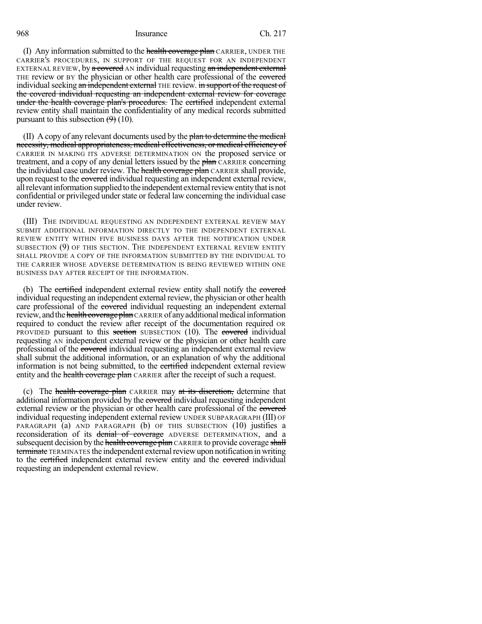(I) Any information submitted to the health coverage plan CARRIER, UNDER THE CARRIER'S PROCEDURES, IN SUPPORT OF THE REQUEST FOR AN INDEPENDENT EXTERNAL REVIEW, by a covered AN individual requesting an independent external THE review or BY the physician or other health care professional of the e<del>overed</del> individual seeking an independent external THE review. in support of the request of the covered individual requesting an independent external review for coverage under the health coverage plan's procedures. The certified independent external review entity shall maintain the confidentiality of any medical records submitted pursuant to this subsection  $(9)$  (10).

(II) A copy of any relevant documents used by the plan to determine the medical necessity, medical appropriateness, medical effectiveness, or medical efficiency of CARRIER IN MAKING ITS ADVERSE DETERMINATION ON the proposed service or treatment, and a copy of any denial letters issued by the plan CARRIER concerning the individual case under review. The health coverage plan CARRIER shall provide, upon request to the covered individual requesting an independent external review, all relevant information supplied to the independent external review entity that is not confidential or privileged under state or federal law concerning the individual case under review.

(III) THE INDIVIDUAL REQUESTING AN INDEPENDENT EXTERNAL REVIEW MAY SUBMIT ADDITIONAL INFORMATION DIRECTLY TO THE INDEPENDENT EXTERNAL REVIEW ENTITY WITHIN FIVE BUSINESS DAYS AFTER THE NOTIFICATION UNDER SUBSECTION (9) OF THIS SECTION. THE INDEPENDENT EXTERNAL REVIEW ENTITY SHALL PROVIDE A COPY OF THE INFORMATION SUBMITTED BY THE INDIVIDUAL TO THE CARRIER WHOSE ADVERSE DETERMINATION IS BEING REVIEWED WITHIN ONE BUSINESS DAY AFTER RECEIPT OF THE INFORMATION.

(b) The certified independent external review entity shall notify the covered individual requesting an independent external review, the physician or other health care professional of the covered individual requesting an independent external review, and the health coverage plan CARRIER of any additional medical information required to conduct the review after receipt of the documentation required OR PROVIDED pursuant to this section SUBSECTION (10). The covered individual requesting AN independent external review or the physician or other health care professional of the covered individual requesting an independent external review shall submit the additional information, or an explanation of why the additional information is not being submitted, to the extraction independent external review entity and the health coverage plan CARRIER after the receipt of such a request.

(c) The health coverage plan CARRIER may at its discretion, determine that additional information provided by the covered individual requesting independent external review or the physician or other health care professional of the covered individual requesting independent external review UNDER SUBPARAGRAPH (III) OF PARAGRAPH (a) AND PARAGRAPH (b) OF THIS SUBSECTION (10) justifies a reconsideration of its denial of coverage ADVERSE DETERMINATION, and a subsequent decision by the health coverage plan CARRIER to provide coverage shall terminate TERMINATES the independent external review upon notification in writing to the certified independent external review entity and the covered individual requesting an independent external review.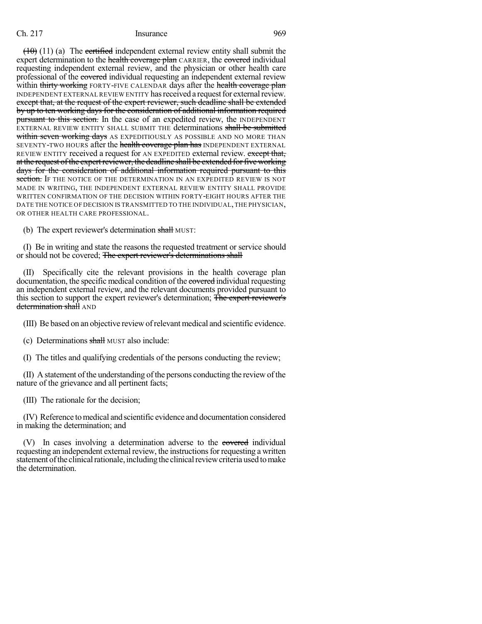$(10)(11)(a)$  The certified independent external review entity shall submit the expert determination to the health coverage plan CARRIER, the covered individual requesting independent external review, and the physician or other health care professional of the covered individual requesting an independent external review within thirty working FORTY-FIVE CALENDAR days after the health coverage plan INDEPENDENT EXTERNAL REVIEW ENTITY has received a request for external review. except that, at the request of the expert reviewer, such deadline shall be extended by up to ten working days for the consideration of additional information required pursuant to this section. In the case of an expedited review, the INDEPENDENT EXTERNAL REVIEW ENTITY SHALL SUBMIT THE determinations shall be submitted within seven working days AS EXPEDITIOUSLY AS POSSIBLE AND NO MORE THAN SEVENTY-TWO HOURS after the health coverage plan has INDEPENDENT EXTERNAL REVIEW ENTITY received a request for AN EXPEDITED external review. except that, at the request of the expert reviewer, the deadline shall be extended for five working days for the consideration of additional information required pursuant to this section. If the notice of the determination in an expedited review is not MADE IN WRITING, THE INDEPENDENT EXTERNAL REVIEW ENTITY SHALL PROVIDE WRITTEN CONFIRMATION OF THE DECISION WITHIN FORTY-EIGHT HOURS AFTER THE DATE THE NOTICE OF DECISION IS TRANSMITTED TO THE INDIVIDUAL,THE PHYSICIAN, OR OTHER HEALTH CARE PROFESSIONAL.

(b) The expert reviewer's determination shall MUST:

(I) Be in writing and state the reasons the requested treatment or service should or should not be covered; The expert reviewer's determinations shall

(II) Specifically cite the relevant provisions in the health coverage plan documentation, the specific medical condition of the experiment individual requesting an independent external review, and the relevant documents provided pursuant to this section to support the expert reviewer's determination; The expert reviewer's determination shall AND

(III) Be based on an objective reviewofrelevant medical and scientific evidence.

(c) Determinations shall MUST also include:

(I) The titles and qualifying credentials of the persons conducting the review;

(II) A statement of the understanding of the persons conducting the review of the nature of the grievance and all pertinent facts;

(III) The rationale for the decision;

(IV) Reference tomedical and scientific evidence and documentation considered in making the determination; and

(V) In cases involving a determination adverse to the covered individual requesting an independent external review, the instructions for requesting a written statement of the clinical rationale, including the clinical review criteria used to make the determination.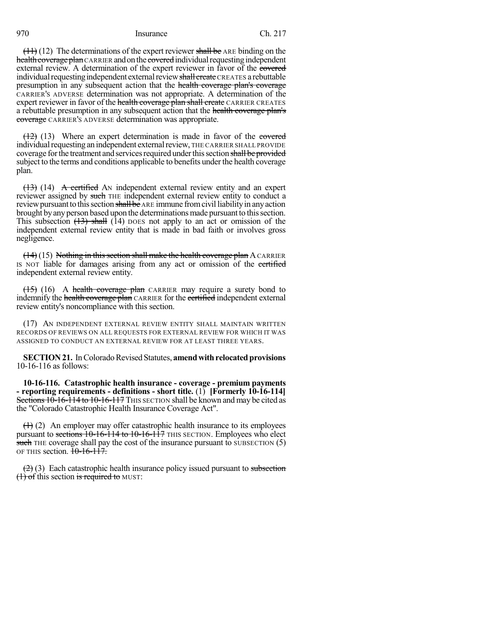$(11)$  (12) The determinations of the expert reviewer shall be ARE binding on the health coverage plan CARRIER and on the covered individual requesting independent external review. A determination of the expert reviewer in favor of the covered individual requesting independent external review shall create CREATES a rebuttable presumption in any subsequent action that the health coverage plan's coverage CARRIER'S ADVERSE determination was not appropriate. A determination of the expert reviewer in favor of the health coverage plan shall create CARRIER CREATES a rebuttable presumption in any subsequent action that the health coverage plan's coverage CARRIER's ADVERSE determination was appropriate.

 $(12)$  (13) Where an expert determination is made in favor of the covered individual requesting an independent external review, THE CARRIER SHALL PROVIDE coverage for the treatment and services required under this section shall be provided subject to the terms and conditions applicable to benefits under the health coverage plan.

(13) (14) A certified AN independent external review entity and an expert reviewer assigned by such THE independent external review entity to conduct a review pursuant to this section shall be ARE immune from civil liability in any action brought by any person based upon the determinations made pursuant to this section. This subsection  $(13)$  shall  $(14)$  poes not apply to an act or omission of the independent external review entity that is made in bad faith or involves gross negligence.

 $(14)(15)$  Nothing in this section shall make the health coverage plan A CARRIER IS NOT liable for damages arising from any act or omission of the certified independent external review entity.

 $(15)$  (16) A health coverage plan CARRIER may require a surety bond to indemnify the health coverage plan CARRIER for the certified independent external review entity's noncompliance with this section.

(17) AN INDEPENDENT EXTERNAL REVIEW ENTITY SHALL MAINTAIN WRITTEN RECORDS OF REVIEWS ON ALL REQUESTS FOR EXTERNAL REVIEW FOR WHICH IT WAS ASSIGNED TO CONDUCT AN EXTERNAL REVIEW FOR AT LEAST THREE YEARS.

**SECTION 21.** In Colorado Revised Statutes, **amend with relocated provisions** 10-16-116 as follows:

**10-16-116. Catastrophic health insurance - coverage - premium payments - reporting requirements - definitions - short title.** (1) **[Formerly 10-16-114]** Sections 10-16-114 to 10-16-117 THIS SECTION shall be known and may be cited as the "Colorado Catastrophic Health Insurance Coverage Act".

 $(1)$  (2) An employer may offer catastrophic health insurance to its employees pursuant to sections  $10-16-114$  to  $10-16-117$  THIS SECTION. Employees who elect such THE coverage shall pay the cost of the insurance pursuant to SUBSECTION (5) OF THIS section.  $10-16-117$ .

 $(2)$  (3) Each catastrophic health insurance policy issued pursuant to subsection  $(1)$  of this section is required to MUST: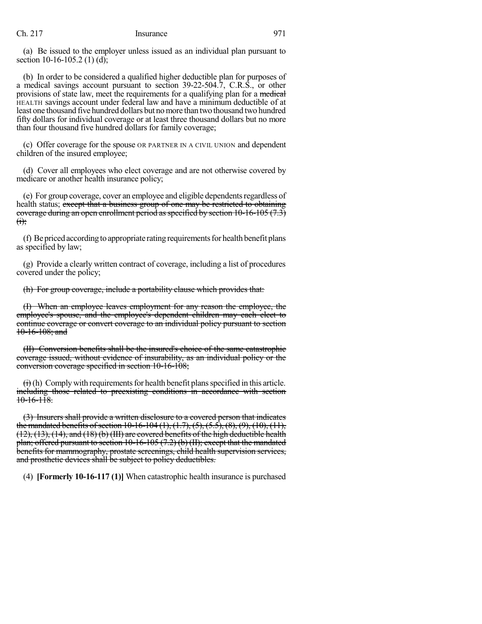(a) Be issued to the employer unless issued as an individual plan pursuant to section 10-16-105.2 (1) (d);

(b) In order to be considered a qualified higher deductible plan for purposes of a medical savings account pursuant to section 39-22-504.7, C.R.S., or other provisions of state law, meet the requirements for a qualifying plan for a medical HEALTH savings account under federal law and have a minimum deductible of at least one thousand five hundred dollars but no more than two thousand two hundred fifty dollars for individual coverage or at least three thousand dollars but no more than four thousand five hundred dollars for family coverage;

(c) Offer coverage for the spouse OR PARTNER IN A CIVIL UNION and dependent children of the insured employee;

(d) Cover all employees who elect coverage and are not otherwise covered by medicare or another health insurance policy;

(e) For group coverage, cover an employee and eligible dependentsregardless of health status; except that a business group of one may be restricted to obtaining coverage during an open enrollment period as specified by section  $10-16-105$  (7.3)  $<sub>ij</sub>$ ;</sub>

(f) Be priced according to appropriate rating requirements for health benefit plans as specified by law;

(g) Provide a clearly written contract of coverage, including a list of procedures covered under the policy;

(h) For group coverage, include a portability clause which provides that:

(I) When an employee leaves employment for any reason the employee, the employee's spouse, and the employee's dependent children may each elect to continue coverage or convert coverage to an individual policy pursuant to section 10-16-108; and

(II) Conversion benefits shall be the insured's choice of the same catastrophic coverage issued, without evidence of insurability, as an individual policy or the conversion coverage specified in section 10-16-108;

 $\leftrightarrow$  (h) Comply with requirements for health benefit plans specified in this article. including those related to preexisting conditions in accordance with section  $10-16-118$ .

(3) Insurers shall provide a written disclosure to a covered person that indicates the mandated benefits of section 10-16-104 (1), (1.7), (5), (5.5), (8), (9), (10), (11), (12), (13), (14), and (18) (b) (III) are covered benefits of the high deductible health plan; offered pursuant to section 10-16-105 (7.2) (b) (II); except that the mandated benefits for mammography, prostate screenings, child health supervision services, and prosthetic devices shall be subject to policy deductibles.

(4) **[Formerly 10-16-117 (1)]** When catastrophic health insurance is purchased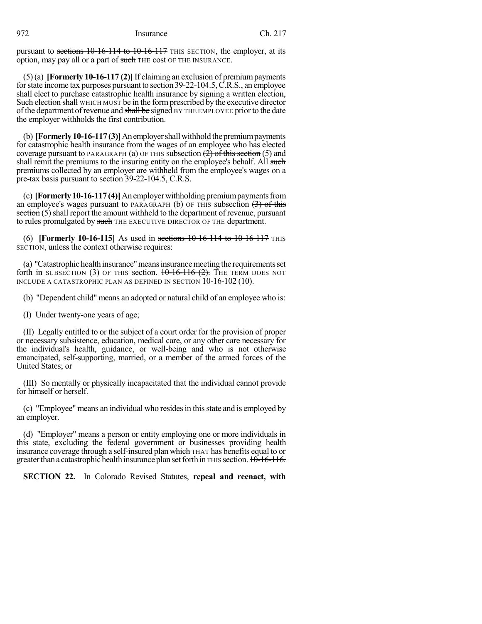pursuant to sections 10-16-114 to 10-16-117 THIS SECTION, the employer, at its option, may pay all or a part of such THE cost OF THE INSURANCE.

(5)(a) **[Formerly 10-16-117 (2)]** If claiming an exclusion of premiumpayments forstate income tax purposes pursuant to section 39-22-104.5,C.R.S., an employee shall elect to purchase catastrophic health insurance by signing a written election, Such election shall WHICH MUST be in the form prescribed by the executive director of the department of revenue and shall be signed BY THE EMPLOYEE prior to the date the employer withholds the first contribution.

(b) **[Formerly 10-16-117(3)]** An employer shall withhold the premium payments for catastrophic health insurance from the wages of an employee who has elected coverage pursuant to PARAGRAPH (a) OF THIS subsection  $(2)$  of this section (5) and shall remit the premiums to the insuring entity on the employee's behalf. All such premiums collected by an employer are withheld from the employee's wages on a pre-tax basis pursuant to section 39-22-104.5, C.R.S.

(c) **[Formerly 10-16-117(4)]** An employer withholding premium payments from an employee's wages pursuant to PARAGRAPH (b) OF THIS subsection  $(3)$  of this  $\frac{\mathsf{section}(5)}{\mathsf{shell}}$  report the amount withheld to the department of revenue, pursuant to rules promulgated by such THE EXECUTIVE DIRECTOR OF THE department.

(6) **[Formerly 10-16-115]** As used in sections 10-16-114 to 10-16-117 THIS SECTION, unless the context otherwise requires:

(a) "Catastrophic healthinsurance" means insurance meeting the requirements set forth in SUBSECTION (3) OF THIS section.  $10-16-116$  (2). THE TERM DOES NOT INCLUDE A CATASTROPHIC PLAN AS DEFINED IN SECTION 10-16-102 (10).

(b) "Dependent child" means an adopted or natural child of an employee who is:

(I) Under twenty-one years of age;

(II) Legally entitled to or the subject of a court order for the provision of proper or necessary subsistence, education, medical care, or any other care necessary for the individual's health, guidance, or well-being and who is not otherwise emancipated, self-supporting, married, or a member of the armed forces of the United States; or

(III) So mentally or physically incapacitated that the individual cannot provide for himself or herself.

(c) "Employee" means an individual who residesin thisstate and is employed by an employer.

(d) "Employer" means a person or entity employing one or more individuals in this state, excluding the federal government or businesses providing health insurance coverage through a self-insured plan which THAT has benefits equal to or greater than a catastrophic health insurance plan set forth in THIS section. 10-16-116.

**SECTION 22.** In Colorado Revised Statutes, **repeal and reenact, with**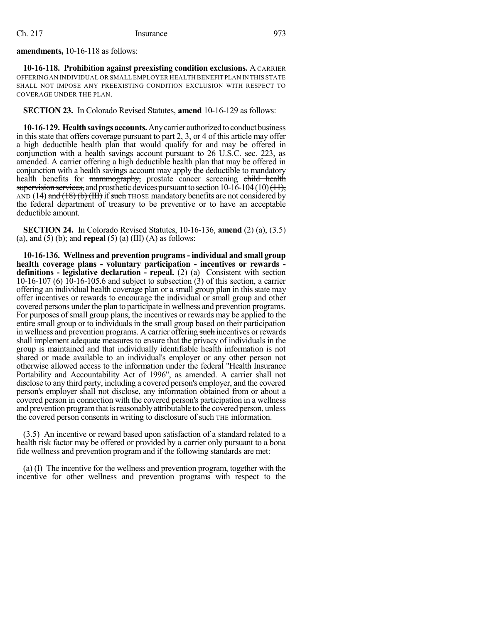### **amendments,** 10-16-118 as follows:

**10-16-118. Prohibition against preexisting condition exclusions.** A CARRIER OFFERING AN INDIVIDUAL OR SMALL EMPLOYER HEALTH BENEFIT PLAN IN THIS STATE SHALL NOT IMPOSE ANY PREEXISTING CONDITION EXCLUSION WITH RESPECT TO COVERAGE UNDER THE PLAN.

**SECTION 23.** In Colorado Revised Statutes, **amend** 10-16-129 as follows:

**10-16-129. Health savings accounts.** Any carrier authorized to conduct business in this state that offers coverage pursuant to part 2, 3, or 4 of this article may offer a high deductible health plan that would qualify for and may be offered in conjunction with a health savings account pursuant to 26 U.S.C. sec. 223, as amended. A carrier offering a high deductible health plan that may be offered in conjunction with a health savings account may apply the deductible to mandatory health benefits for mammography, prostate cancer screening child health supervision services, and prosthetic devices pursuant to section  $10-16-104(10)(11)$ , AND (14) and  $(18)$  (b) (HI) if such THOSE mandatory benefits are not considered by the federal department of treasury to be preventive or to have an acceptable deductible amount.

**SECTION 24.** In Colorado Revised Statutes, 10-16-136, **amend** (2) (a), (3.5) (a), and (5) (b); and **repeal** (5) (a) (III) (A) as follows:

**10-16-136. Wellness and prevention programs- individual and small group health coverage plans - voluntary participation - incentives or rewards definitions - legislative declaration - repeal.** (2) (a) Consistent with section  $10-16-107(6)$  10-16-105.6 and subject to subsection (3) of this section, a carrier offering an individual health coverage plan or a small group plan in this state may offer incentives or rewards to encourage the individual or small group and other covered persons under the plan to participate in wellness and prevention programs. For purposes of small group plans, the incentives or rewards may be applied to the entire small group or to individuals in the small group based on their participation in wellness and prevention programs. A carrier offering such incentives or rewards shall implement adequate measures to ensure that the privacy of individuals in the group is maintained and that individually identifiable health information is not shared or made available to an individual's employer or any other person not otherwise allowed access to the information under the federal "Health Insurance Portability and Accountability Act of 1996", as amended. A carrier shall not disclose to any third party, including a covered person's employer, and the covered person's employer shall not disclose, any information obtained from or about a covered person in connection with the covered person's participation in a wellness and prevention program that is reasonably attributable to the covered person, unless the covered person consents in writing to disclosure of such THE information.

(3.5) An incentive or reward based upon satisfaction of a standard related to a health risk factor may be offered or provided by a carrier only pursuant to a bona fide wellness and prevention program and if the following standards are met:

(a) (I) The incentive for the wellness and prevention program, together with the incentive for other wellness and prevention programs with respect to the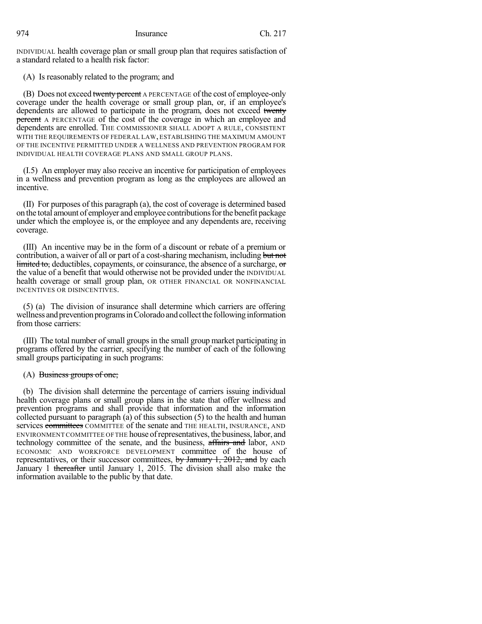INDIVIDUAL health coverage plan or small group plan that requires satisfaction of a standard related to a health risk factor:

(A) Is reasonably related to the program; and

(B) Does not exceed twenty percent A PERCENTAGE of the cost of employee-only coverage under the health coverage or small group plan, or, if an employee's dependents are allowed to participate in the program, does not exceed twenty percent A PERCENTAGE of the cost of the coverage in which an employee and dependents are enrolled. THE COMMISSIONER SHALL ADOPT A RULE, CONSISTENT WITH THE REQUIREMENTS OF FEDERAL LAW, ESTABLISHING THE MAXIMUM AMOUNT OF THE INCENTIVE PERMITTED UNDER A WELLNESS AND PREVENTION PROGRAM FOR INDIVIDUAL HEALTH COVERAGE PLANS AND SMALL GROUP PLANS.

(I.5) An employer may also receive an incentive for participation of employees in a wellness and prevention program as long as the employees are allowed an incentive.

(II) For purposes of this paragraph (a), the cost of coverage is determined based on the total amount of employer and employee contributionsforthe benefit package under which the employee is, or the employee and any dependents are, receiving coverage.

(III) An incentive may be in the form of a discount or rebate of a premium or contribution, a waiver of all or part of a cost-sharing mechanism, including but not limited to, deductibles, copayments, or coinsurance, the absence of a surcharge, or the value of a benefit that would otherwise not be provided under the INDIVIDUAL health coverage or small group plan, OR OTHER FINANCIAL OR NONFINANCIAL INCENTIVES OR DISINCENTIVES.

(5) (a) The division of insurance shall determine which carriers are offering wellness and prevention programs in Colorado and collect the following information from those carriers:

(III) The total number ofsmall groupsin the small group market participating in programs offered by the carrier, specifying the number of each of the following small groups participating in such programs:

# $(A)$  Business groups of one;

(b) The division shall determine the percentage of carriers issuing individual health coverage plans or small group plans in the state that offer wellness and prevention programs and shall provide that information and the information collected pursuant to paragraph (a) of this subsection (5) to the health and human services committees COMMITTEE of the senate and THE HEALTH, INSURANCE, AND ENVIRONMENT COMMITTEE OF THE house ofrepresentatives, thebusiness, labor, and technology committee of the senate, and the business, affairs and labor, AND ECONOMIC AND WORKFORCE DEVELOPMENT committee of the house of representatives, or their successor committees, by January 1, 2012, and by each January 1 thereafter until January 1, 2015. The division shall also make the information available to the public by that date.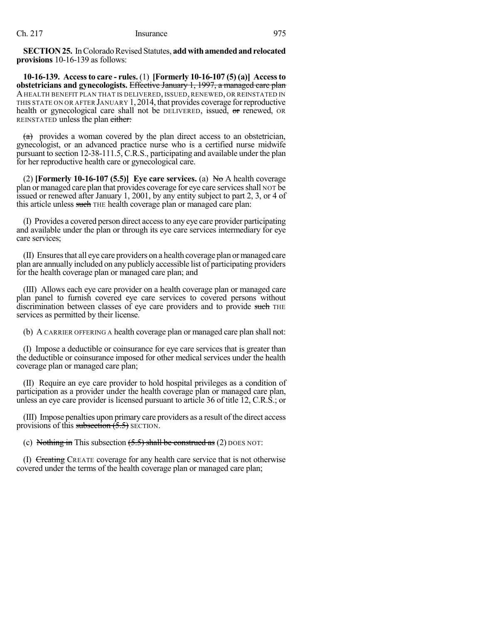**SECTION 25.** In Colorado Revised Statutes, add with amended and relocated **provisions** 10-16-139 as follows:

**10-16-139. Accessto care - rules.** (1) **[Formerly 10-16-107 (5) (a)] Accessto obstetricians and gynecologists.** Effective January 1, 1997, a managed care plan AHEALTH BENEFIT PLAN THAT IS DELIVERED, ISSUED, RENEWED, OR REINSTATED IN THIS STATE ON OR AFTER JANUARY 1, 2014, that provides coverage for reproductive health or gynecological care shall not be DELIVERED, issued, or renewed, OR REINSTATED unless the plan either:

 $(a)$  provides a woman covered by the plan direct access to an obstetrician, gynecologist, or an advanced practice nurse who is a certified nurse midwife pursuant to section 12-38-111.5, C.R.S., participating and available under the plan for her reproductive health care or gynecological care.

(2) **[Formerly 10-16-107 (5.5)] Eye care services.** (a) No A health coverage plan or managed care plan that provides coverage for eye care services shall NOT be issued or renewed after January 1, 2001, by any entity subject to part 2, 3, or 4 of this article unless such THE health coverage plan or managed care plan:

(I) Provides a covered person direct accessto any eye care provider participating and available under the plan or through its eye care services intermediary for eye care services;

(II) Ensuresthat all eye care providers on a health coverage plan ormanaged care plan are annually included on any publicly accessible list of participating providers for the health coverage plan or managed care plan; and

(III) Allows each eye care provider on a health coverage plan or managed care plan panel to furnish covered eye care services to covered persons without discrimination between classes of eye care providers and to provide such THE services as permitted by their license.

(b) A CARRIER OFFERING A health coverage plan or managed care plan shall not:

(I) Impose a deductible or coinsurance for eye care services that is greater than the deductible or coinsurance imposed for other medical services under the health coverage plan or managed care plan;

(II) Require an eye care provider to hold hospital privileges as a condition of participation as a provider under the health coverage plan or managed care plan, unless an eye care provider is licensed pursuant to article 36 of title 12, C.R.S.; or

(III) Impose penalties upon primary care providers as a result of the direct access provisions of this subsection  $(5.5)$  SECTION.

(c) Nothing in This subsection  $(5.5)$  shall be construed as  $(2)$  DOES NOT:

(I) Creating CREATE coverage for any health care service that is not otherwise covered under the terms of the health coverage plan or managed care plan;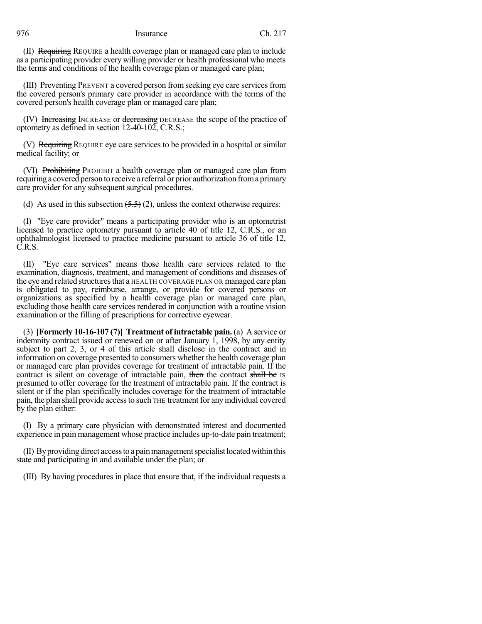(II) Requiring REQUIRE a health coverage plan or managed care plan to include as a participating provider every willing provider or health professional who meets the terms and conditions of the health coverage plan or managed care plan;

(III) Preventing PREVENT a covered person from seeking eye care services from the covered person's primary care provider in accordance with the terms of the covered person's health coverage plan or managed care plan;

(IV) Increasing INCREASE or decreasing DECREASE the scope of the practice of optometry as defined in section 12-40-102, C.R.S.;

(V) Requiring REQUIRE eye care services to be provided in a hospital or similar medical facility; or

(VI) Prohibiting PROHIBIT a health coverage plan or managed care plan from requiring a covered person to receive a referral or prior authorization froma primary care provider for any subsequent surgical procedures.

(d) As used in this subsection  $(5.5)(2)$ , unless the context otherwise requires:

(I) "Eye care provider" means a participating provider who is an optometrist licensed to practice optometry pursuant to article 40 of title 12, C.R.S., or an ophthalmologist licensed to practice medicine pursuant to article 36 of title 12, C.R.S.

(II) "Eye care services" means those health care services related to the examination, diagnosis, treatment, and management of conditions and diseases of the eye and related structures that a HEALTH COVERAGE PLAN OR managed care plan is obligated to pay, reimburse, arrange, or provide for covered persons or organizations as specified by a health coverage plan or managed care plan, excluding those health care services rendered in conjunction with a routine vision examination or the filling of prescriptions for corrective eyewear.

(3) **[Formerly 10-16-107 (7)] Treatment of intractable pain.** (a) A service or indemnity contract issued or renewed on or after January 1, 1998, by any entity subject to part 2, 3, or 4 of this article shall disclose in the contract and in information on coverage presented to consumers whether the health coverage plan or managed care plan provides coverage for treatment of intractable pain. If the contract is silent on coverage of intractable pain, then the contract shall be IS presumed to offer coverage for the treatment of intractable pain. If the contract is silent or if the plan specifically includes coverage for the treatment of intractable pain, the plan shall provide access to such THE treatment for any individual covered by the plan either:

(I) By a primary care physician with demonstrated interest and documented experience in pain management whose practice includes up-to-date pain treatment;

(II) Byproviding direct accessto a painmanagementspecialistlocatedwithinthis state and participating in and available under the plan; or

(III) By having procedures in place that ensure that, if the individual requests a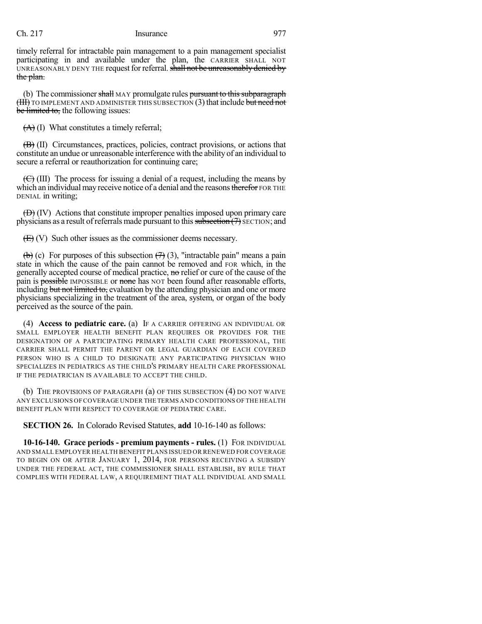timely referral for intractable pain management to a pain management specialist participating in and available under the plan, the CARRIER SHALL NOT UNREASONABLY DENY THE request for referral. shall not be unreasonably denied by the plan.

(b) The commissioner shall MAY promulgate rules pursuant to this subparagraph (HI) TO IMPLEMENT AND ADMINISTER THIS SUBSECTION (3) that include but need not be limited to, the following issues:

 $(A)$  (I) What constitutes a timely referral;

(B) (II) Circumstances, practices, policies, contract provisions, or actions that constitute an undue or unreasonable interference with the ability of an individual to secure a referral or reauthorization for continuing care;

 $(\bigoplus)$  (III) The process for issuing a denial of a request, including the means by which an individual may receive notice of a denial and the reasons therefor FOR THE DENIAL in writing;

(D) (IV) Actions that constitute improper penalties imposed upon primary care physicians as a result of referrals made pursuant to this subsection  $(7)$  SECTION; and

(E) (V) Such other issues as the commissioner deems necessary.

(b) (c) For purposes of this subsection  $(7)$  (3), "intractable pain" means a pain state in which the cause of the pain cannot be removed and FOR which, in the generally accepted course of medical practice, no relief or cure of the cause of the pain is **possible** IMPOSSIBLE or none has NOT been found after reasonable efforts, including but not limited to, evaluation by the attending physician and one or more physicians specializing in the treatment of the area, system, or organ of the body perceived as the source of the pain.

(4) **Access to pediatric care.** (a) IF A CARRIER OFFERING AN INDIVIDUAL OR SMALL EMPLOYER HEALTH BENEFIT PLAN REQUIRES OR PROVIDES FOR THE DESIGNATION OF A PARTICIPATING PRIMARY HEALTH CARE PROFESSIONAL, THE CARRIER SHALL PERMIT THE PARENT OR LEGAL GUARDIAN OF EACH COVERED PERSON WHO IS A CHILD TO DESIGNATE ANY PARTICIPATING PHYSICIAN WHO SPECIALIZES IN PEDIATRICS AS THE CHILD'S PRIMARY HEALTH CARE PROFESSIONAL IF THE PEDIATRICIAN IS AVAILABLE TO ACCEPT THE CHILD.

(b) THE PROVISIONS OF PARAGRAPH (a) OF THIS SUBSECTION (4) DO NOT WAIVE ANY EXCLUSIONS OF COVERAGE UNDER THE TERMS AND CONDITIONS OF THE HEALTH BENEFIT PLAN WITH RESPECT TO COVERAGE OF PEDIATRIC CARE.

**SECTION 26.** In Colorado Revised Statutes, **add** 10-16-140 as follows:

**10-16-140. Grace periods - premium payments - rules.** (1) FOR INDIVIDUAL AND SMALL EMPLOYER HEALTH BENEFIT PLANS ISSUED OR RENEWED FOR COVERAGE TO BEGIN ON OR AFTER JANUARY 1, 2014, FOR PERSONS RECEIVING A SUBSIDY UNDER THE FEDERAL ACT, THE COMMISSIONER SHALL ESTABLISH, BY RULE THAT COMPLIES WITH FEDERAL LAW, A REQUIREMENT THAT ALL INDIVIDUAL AND SMALL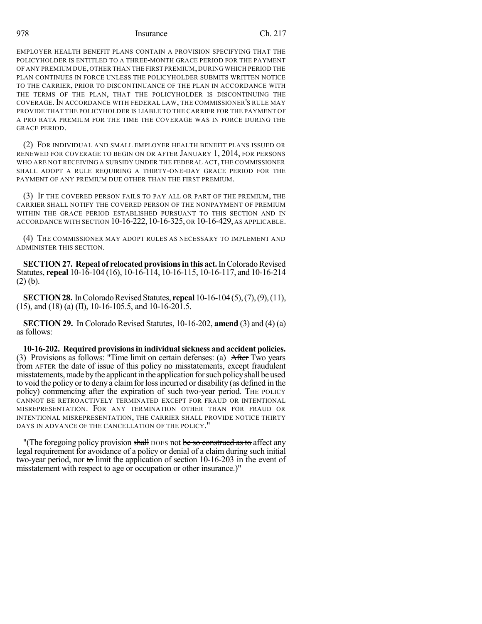EMPLOYER HEALTH BENEFIT PLANS CONTAIN A PROVISION SPECIFYING THAT THE POLICYHOLDER IS ENTITLED TO A THREE-MONTH GRACE PERIOD FOR THE PAYMENT OF ANY PREMIUM DUE,OTHER THAN THE FIRST PREMIUM, DURING WHICH PERIOD THE PLAN CONTINUES IN FORCE UNLESS THE POLICYHOLDER SUBMITS WRITTEN NOTICE TO THE CARRIER, PRIOR TO DISCONTINUANCE OF THE PLAN IN ACCORDANCE WITH THE TERMS OF THE PLAN, THAT THE POLICYHOLDER IS DISCONTINUING THE COVERAGE.IN ACCORDANCE WITH FEDERAL LAW, THE COMMISSIONER'S RULE MAY PROVIDE THAT THE POLICYHOLDER IS LIABLE TO THE CARRIER FOR THE PAYMENT OF A PRO RATA PREMIUM FOR THE TIME THE COVERAGE WAS IN FORCE DURING THE GRACE PERIOD.

(2) FOR INDIVIDUAL AND SMALL EMPLOYER HEALTH BENEFIT PLANS ISSUED OR RENEWED FOR COVERAGE TO BEGIN ON OR AFTER JANUARY 1, 2014, FOR PERSONS WHO ARE NOT RECEIVING A SUBSIDY UNDER THE FEDERAL ACT, THE COMMISSIONER SHALL ADOPT A RULE REQUIRING A THIRTY-ONE-DAY GRACE PERIOD FOR THE PAYMENT OF ANY PREMIUM DUE OTHER THAN THE FIRST PREMIUM.

(3) IF THE COVERED PERSON FAILS TO PAY ALL OR PART OF THE PREMIUM, THE CARRIER SHALL NOTIFY THE COVERED PERSON OF THE NONPAYMENT OF PREMIUM WITHIN THE GRACE PERIOD ESTABLISHED PURSUANT TO THIS SECTION AND IN ACCORDANCE WITH SECTION 10-16-222, 10-16-325, OR 10-16-429, AS APPLICABLE.

(4) THE COMMISSIONER MAY ADOPT RULES AS NECESSARY TO IMPLEMENT AND ADMINISTER THIS SECTION.

**SECTION 27. Repeal of relocated provisions in this act.** In Colorado Revised Statutes, **repeal** 10-16-104 (16), 10-16-114, 10-16-115, 10-16-117, and 10-16-214 (2) (b).

**SECTION 28.** In Colorado Revised Statutes, **repeal** 10-16-104(5), (7), (9), (11),  $(15)$ , and  $(18)$  (a) (II), 10-16-105.5, and 10-16-201.5.

**SECTION 29.** In Colorado Revised Statutes, 10-16-202, **amend** (3) and (4) (a) as follows:

**10-16-202. Required provisionsin individualsickness and accident policies.** (3) Provisions as follows: "Time limit on certain defenses: (a) After Two years from AFTER the date of issue of this policy no misstatements, except fraudulent misstatements, made by the applicant in the application for such policy shall be used to void the policy or to deny a claimforlossincurred or disability (as defined in the policy) commencing after the expiration of such two-year period. THE POLICY CANNOT BE RETROACTIVELY TERMINATED EXCEPT FOR FRAUD OR INTENTIONAL MISREPRESENTATION. FOR ANY TERMINATION OTHER THAN FOR FRAUD OR INTENTIONAL MISREPRESENTATION, THE CARRIER SHALL PROVIDE NOTICE THIRTY DAYS IN ADVANCE OF THE CANCELLATION OF THE POLICY."

"(The foregoing policy provision shall DOES not be so construed as to affect any legal requirement for avoidance of a policy or denial of a claim during such initial two-year period, nor to limit the application of section 10-16-203 in the event of misstatement with respect to age or occupation or other insurance.)"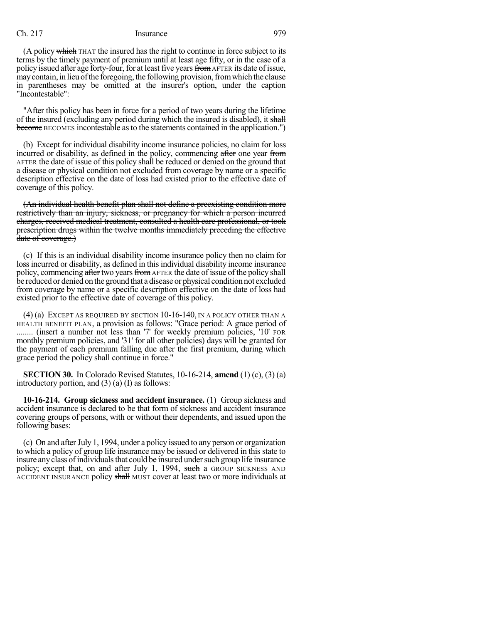(A policy which THAT the insured has the right to continue in force subject to its terms by the timely payment of premium until at least age fifty, or in the case of a policy issued after age forty-four, for at least five years from AFTER its date of issue, may contain, in lieu of the foregoing, the following provision, from which the clause in parentheses may be omitted at the insurer's option, under the caption "Incontestable":

"After this policy has been in force for a period of two years during the lifetime of the insured (excluding any period during which the insured is disabled), it shall become BECOMES incontestable as to the statements contained in the application.")

(b) Except for individual disability income insurance policies, no claim for loss incurred or disability, as defined in the policy, commencing after one year from AFTER the date of issue of this policy shall be reduced or denied on the ground that a disease or physical condition not excluded from coverage by name or a specific description effective on the date of loss had existed prior to the effective date of coverage of this policy.

(An individual health benefit plan shall not define a preexisting condition more restrictively than an injury, sickness, or pregnancy for which a person incurred charges, received medical treatment, consulted a health care professional, or took prescription drugs within the twelve months immediately preceding the effective date of coverage.)

(c) If this is an individual disability income insurance policy then no claim for loss incurred or disability, as defined in this individual disability income insurance policy, commencing after two years from AFTER the date of issue of the policy shall be reduced or denied on the ground that a disease or physical condition not excluded from coverage by name or a specific description effective on the date of loss had existed prior to the effective date of coverage of this policy.

(4) (a) EXCEPT AS REQUIRED BY SECTION 10-16-140, IN A POLICY OTHER THAN A HEALTH BENEFIT PLAN, a provision as follows: "Grace period: A grace period of ........ (insert a number not less than '7' for weekly premium policies, '10' FOR monthly premium policies, and '31' for all other policies) days will be granted for the payment of each premium falling due after the first premium, during which grace period the policy shall continue in force."

**SECTION 30.** In Colorado Revised Statutes, 10-16-214, **amend** (1) (c), (3) (a) introductory portion, and (3) (a) (I) as follows:

**10-16-214. Group sickness and accident insurance.** (1) Group sickness and accident insurance is declared to be that form of sickness and accident insurance covering groups of persons, with or without their dependents, and issued upon the following bases:

(c) On and afterJuly 1, 1994, under a policy issued to any person or organization to which a policy of group life insurance may be issued or delivered in thisstate to insure any class of individuals that could be insured under such group life insurance policy; except that, on and after July 1, 1994, such a GROUP SICKNESS AND ACCIDENT INSURANCE policy shall MUST cover at least two or more individuals at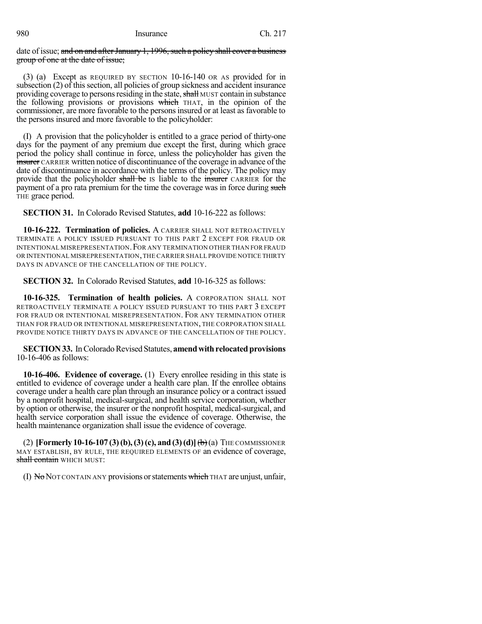date of issue; and on and after January 1, 1996, such a policy shall cover a business group of one at the date of issue;

(3) (a) Except as REQUIRED BY SECTION 10-16-140 OR AS provided for in subsection (2) of this section, all policies of group sickness and accident insurance providing coverage to persons residing in the state, shall MUST contain in substance the following provisions or provisions which THAT, in the opinion of the commissioner, are more favorable to the persons insured or at least as favorable to the persons insured and more favorable to the policyholder:

(I) A provision that the policyholder is entitled to a grace period of thirty-one days for the payment of any premium due except the first, during which grace period the policy shall continue in force, unless the policyholder has given the insurer CARRIER written notice of discontinuance of the coverage in advance of the date of discontinuance in accordance with the terms of the policy. The policy may provide that the policyholder shall be IS liable to the insurer CARRIER for the payment of a pro rata premium for the time the coverage was in force during such THE grace period.

**SECTION 31.** In Colorado Revised Statutes, **add** 10-16-222 as follows:

**10-16-222. Termination of policies.** A CARRIER SHALL NOT RETROACTIVELY TERMINATE A POLICY ISSUED PURSUANT TO THIS PART 2 EXCEPT FOR FRAUD OR INTENTIONAL MISREPRESENTATION. FOR ANY TERMINATION OTHER THAN FOR FRAUD OR INTENTIONAL MISREPRESENTATION,THE CARRIER SHALL PROVIDE NOTICE THIRTY DAYS IN ADVANCE OF THE CANCELLATION OF THE POLICY.

**SECTION 32.** In Colorado Revised Statutes, **add** 10-16-325 as follows:

**10-16-325. Termination of health policies.** A CORPORATION SHALL NOT RETROACTIVELY TERMINATE A POLICY ISSUED PURSUANT TO THIS PART 3 EXCEPT FOR FRAUD OR INTENTIONAL MISREPRESENTATION. FOR ANY TERMINATION OTHER THAN FOR FRAUD OR INTENTIONAL MISREPRESENTATION, THE CORPORATION SHALL PROVIDE NOTICE THIRTY DAYS IN ADVANCE OF THE CANCELLATION OF THE POLICY.

**SECTION 33.** In Colorado Revised Statutes, amend with relocated provisions 10-16-406 as follows:

**10-16-406. Evidence of coverage.** (1) Every enrollee residing in this state is entitled to evidence of coverage under a health care plan. If the enrollee obtains coverage under a health care plan through an insurance policy or a contract issued by a nonprofit hospital, medical-surgical, and health service corporation, whether by option or otherwise, the insurer or the nonprofit hospital, medical-surgical, and health service corporation shall issue the evidence of coverage. Otherwise, the health maintenance organization shall issue the evidence of coverage.

(2) **[Formerly 10-16-107 (3)(b),(3)(c), and (3)(d)]**(b)(a) THE COMMISSIONER MAY ESTABLISH, BY RULE, THE REQUIRED ELEMENTS OF an evidence of coverage, shall contain WHICH MUST:

(I) No NOT CONTAIN ANY provisions or statements which THAT are unjust, unfair,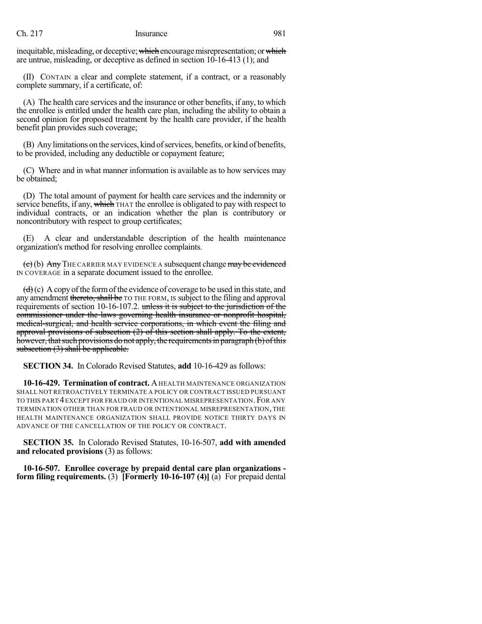inequitable, misleading, or deceptive; which encourage misrepresentation; or which are untrue, misleading, or deceptive as defined in section 10-16-413 (1); and

(II) CONTAIN a clear and complete statement, if a contract, or a reasonably complete summary, if a certificate, of:

(A) The health care services and the insurance or other benefits, if any, to which the enrollee is entitled under the health care plan, including the ability to obtain a second opinion for proposed treatment by the health care provider, if the health benefit plan provides such coverage;

(B) Any limitations on the services, kind of services, benefits, or kind of benefits, to be provided, including any deductible or copayment feature;

(C) Where and in what manner information is available as to how services may be obtained;

(D) The total amount of payment for health care services and the indemnity or service benefits, if any, which THAT the enrollee is obligated to pay with respect to individual contracts, or an indication whether the plan is contributory or noncontributory with respect to group certificates;

(E) A clear and understandable description of the health maintenance organization's method for resolving enrollee complaints.

 $\left( e \right)$ (b) Any THE CARRIER MAY EVIDENCE A subsequent change may be evidenced IN COVERAGE in a separate document issued to the enrollee.

 $(d)(c)$  A copy of the form of the evidence of coverage to be used in this state, and any amendment thereto, shall be TO THE FORM, IS subject to the filing and approval requirements of section 10-16-107.2. unless it is subject to the jurisdiction of the commissioner under the laws governing health insurance or nonprofit hospital, medical-surgical, and health service corporations, in which event the filing and approval provisions of subsection (2) of this section shall apply. To the extent, however, that such provisions do not apply, the requirements in paragraph (b) of this subsection  $(3)$  shall be applicable.

**SECTION 34.** In Colorado Revised Statutes, **add** 10-16-429 as follows:

**10-16-429. Termination of contract.** AHEALTH MAINTENANCE ORGANIZATION SHALL NOT RETROACTIVELY TERMINATE A POLICY OR CONTRACT ISSUED PURSUANT TO THIS PART 4 EXCEPT FOR FRAUD OR INTENTIONAL MISREPRESENTATION. FOR ANY TERMINATION OTHER THAN FOR FRAUD OR INTENTIONAL MISREPRESENTATION, THE HEALTH MAINTENANCE ORGANIZATION SHALL PROVIDE NOTICE THIRTY DAYS IN ADVANCE OF THE CANCELLATION OF THE POLICY OR CONTRACT.

**SECTION 35.** In Colorado Revised Statutes, 10-16-507, **add with amended and relocated provisions** (3) as follows:

**10-16-507. Enrollee coverage by prepaid dental care plan organizations form filing requirements.** (3) **[Formerly 10-16-107 (4)]** (a) For prepaid dental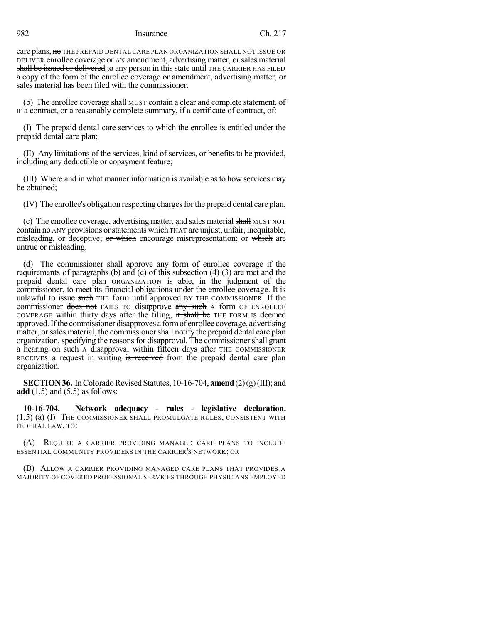care plans, no THE PREPAID DENTAL CARE PLAN ORGANIZATION SHALL NOT ISSUE OR DELIVER enrollee coverage or AN amendment, advertising matter, orsales material shall be issued or delivered to any person in this state until THE CARRIER HAS FILED a copy of the form of the enrollee coverage or amendment, advertising matter, or sales material has been filed with the commissioner.

(b) The enrollee coverage shall MUST contain a clear and complete statement,  $\sigma f$ IF a contract, or a reasonably complete summary, if a certificate of contract, of:

(I) The prepaid dental care services to which the enrollee is entitled under the prepaid dental care plan;

(II) Any limitations of the services, kind of services, or benefits to be provided, including any deductible or copayment feature;

(III) Where and in what manner information is available asto how services may be obtained;

(IV) The enrollee's obligation respecting chargesforthe prepaid dental care plan.

(c) The enrollee coverage, advertising matter, and sales material shall MUST NOT contain  $\theta$  ANY provisions or statements which THAT are unjust, unfair, inequitable, misleading, or deceptive; or which encourage misrepresentation; or which are untrue or misleading.

(d) The commissioner shall approve any form of enrollee coverage if the requirements of paragraphs (b) and (c) of this subsection  $(4)$  (3) are met and the prepaid dental care plan ORGANIZATION is able, in the judgment of the commissioner, to meet its financial obligations under the enrollee coverage. It is unlawful to issue such THE form until approved BY THE COMMISSIONER. If the commissioner does not FAILS TO disapprove any such A form OF ENROLLEE COVERAGE within thirty days after the filing, it shall be THE FORM IS deemed approved.Ifthe commissioner disapproves a formof enrollee coverage, advertising matter, or sales material, the commissioner shall notify the prepaid dental care plan organization, specifying the reasons for disapproval. The commissioner shall grant a hearing on such A disapproval within fifteen days after THE COMMISSIONER RECEIVES a request in writing is received from the prepaid dental care plan organization.

**SECTION 36.** In Colorado Revised Statutes,  $10-16-704$ , **amend**  $(2)(g)(III)$ ; and **add** (1.5) and (5.5) as follows:

**10-16-704. Network adequacy - rules - legislative declaration.** (1.5) (a) (I) THE COMMISSIONER SHALL PROMULGATE RULES, CONSISTENT WITH FEDERAL LAW, TO:

(A) REQUIRE A CARRIER PROVIDING MANAGED CARE PLANS TO INCLUDE ESSENTIAL COMMUNITY PROVIDERS IN THE CARRIER'S NETWORK; OR

(B) ALLOW A CARRIER PROVIDING MANAGED CARE PLANS THAT PROVIDES A MAJORITY OF COVERED PROFESSIONAL SERVICES THROUGH PHYSICIANS EMPLOYED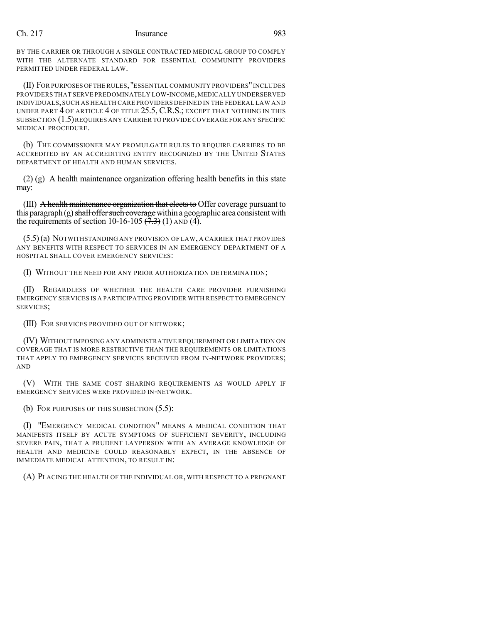BY THE CARRIER OR THROUGH A SINGLE CONTRACTED MEDICAL GROUP TO COMPLY WITH THE ALTERNATE STANDARD FOR ESSENTIAL COMMUNITY PROVIDERS PERMITTED UNDER FEDERAL LAW.

(II) FOR PURPOSES OFTHE RULES,"ESSENTIAL COMMUNITY PROVIDERS"INCLUDES PROVIDERS THAT SERVE PREDOMINATELY LOW-INCOME,MEDICALLY UNDERSERVED INDIVIDUALS,SUCH AS HEALTH CARE PROVIDERS DEFINED IN THE FEDERAL LAW AND UNDER PART 4 OF ARTICLE 4 OF TITLE 25.5, C.R.S.; EXCEPT THAT NOTHING IN THIS SUBSECTION (1.5)REQUIRES ANY CARRIER TO PROVIDE COVERAGE FOR ANY SPECIFIC MEDICAL PROCEDURE.

(b) THE COMMISSIONER MAY PROMULGATE RULES TO REQUIRE CARRIERS TO BE ACCREDITED BY AN ACCREDITING ENTITY RECOGNIZED BY THE UNITED STATES DEPARTMENT OF HEALTH AND HUMAN SERVICES.

 $(2)$  (g) A health maintenance organization offering health benefits in this state may:

(III)  $\overline{A}$  health maintenance organization that elects to Offer coverage pursuant to this paragraph  $(g)$  shall offer such coverage within a geographic area consistent with the requirements of section 10-16-105  $(\overline{7},3)$  (1) AND (4).

(5.5)(a) NOTWITHSTANDING ANY PROVISION OF LAW, A CARRIER THAT PROVIDES ANY BENEFITS WITH RESPECT TO SERVICES IN AN EMERGENCY DEPARTMENT OF A HOSPITAL SHALL COVER EMERGENCY SERVICES:

(I) WITHOUT THE NEED FOR ANY PRIOR AUTHORIZATION DETERMINATION;

(II) REGARDLESS OF WHETHER THE HEALTH CARE PROVIDER FURNISHING EMERGENCY SERVICES IS A PARTICIPATING PROVIDER WITH RESPECT TO EMERGENCY SERVICES;

(III) FOR SERVICES PROVIDED OUT OF NETWORK;

(IV) WITHOUT IMPOSING ANY ADMINISTRATIVE REQUIREMENT OR LIMITATION ON COVERAGE THAT IS MORE RESTRICTIVE THAN THE REQUIREMENTS OR LIMITATIONS THAT APPLY TO EMERGENCY SERVICES RECEIVED FROM IN-NETWORK PROVIDERS; AND

(V) WITH THE SAME COST SHARING REQUIREMENTS AS WOULD APPLY IF EMERGENCY SERVICES WERE PROVIDED IN-NETWORK.

(b) FOR PURPOSES OF THIS SUBSECTION (5.5):

(I) "EMERGENCY MEDICAL CONDITION" MEANS A MEDICAL CONDITION THAT MANIFESTS ITSELF BY ACUTE SYMPTOMS OF SUFFICIENT SEVERITY, INCLUDING SEVERE PAIN, THAT A PRUDENT LAYPERSON WITH AN AVERAGE KNOWLEDGE OF HEALTH AND MEDICINE COULD REASONABLY EXPECT, IN THE ABSENCE OF IMMEDIATE MEDICAL ATTENTION, TO RESULT IN:

(A) PLACING THE HEALTH OF THE INDIVIDUAL OR, WITH RESPECT TO A PREGNANT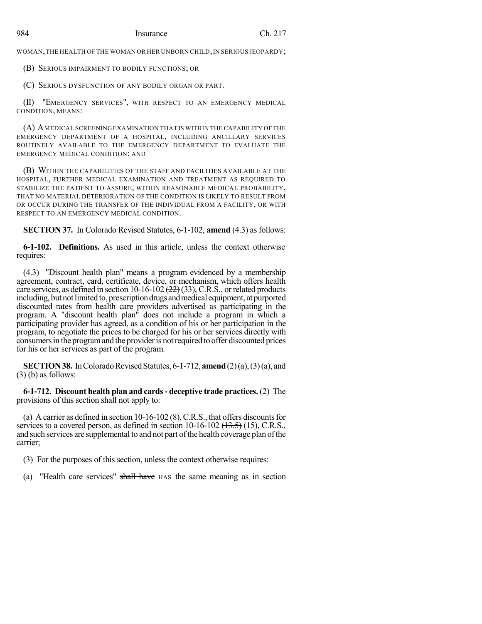WOMAN, THE HEALTH OF THE WOMAN OR HER UNBORN CHILD, IN SERIOUS JEOPARDY;

(B) SERIOUS IMPAIRMENT TO BODILY FUNCTIONS; OR

(C) SERIOUS DYSFUNCTION OF ANY BODILY ORGAN OR PART.

(II) "EMERGENCY SERVICES", WITH RESPECT TO AN EMERGENCY MEDICAL CONDITION, MEANS:

(A) AMEDICAL SCREENINGEXAMINATION THAT IS WITHIN THE CAPABILITY OF THE EMERGENCY DEPARTMENT OF A HOSPITAL, INCLUDING ANCILLARY SERVICES ROUTINELY AVAILABLE TO THE EMERGENCY DEPARTMENT TO EVALUATE THE EMERGENCY MEDICAL CONDITION; AND

(B) WITHIN THE CAPABILITIES OF THE STAFF AND FACILITIES AVAILABLE AT THE HOSPITAL, FURTHER MEDICAL EXAMINATION AND TREATMENT AS REQUIRED TO STABILIZE THE PATIENT TO ASSURE, WITHIN REASONABLE MEDICAL PROBABILITY, THAT NO MATERIAL DETERIORATION OF THE CONDITION IS LIKELY TO RESULT FROM OR OCCUR DURING THE TRANSFER OF THE INDIVIDUAL FROM A FACILITY, OR WITH RESPECT TO AN EMERGENCY MEDICAL CONDITION.

**SECTION 37.** In Colorado Revised Statutes, 6-1-102, **amend** (4.3) as follows:

**6-1-102. Definitions.** As used in this article, unless the context otherwise requires:

(4.3) "Discount health plan" means a program evidenced by a membership agreement, contract, card, certificate, device, or mechanism, which offers health care services, as defined in section  $10-16-102$   $(22)$   $(33)$ , C.R.S., or related products including, but not limited to, prescription drugs and medical equipment, at purported discounted rates from health care providers advertised as participating in the program. A "discount health plan" does not include a program in which a participating provider has agreed, as a condition of his or her participation in the program, to negotiate the prices to be charged for his or her services directly with consumersin the programand the provideris notrequired to offer discounted prices for his or her services as part of the program.

**SECTION 38.** In Colorado Revised Statutes, 6-1-712, **amend**  $(2)(a)$ ,  $(3)(a)$ , and  $(3)$  (b) as follows:

**6-1-712. Discount health plan and cards- deceptive trade practices.** (2) The provisions of this section shall not apply to:

(a) A carrier as defined in section  $10-16-102$  (8), C.R.S., that offers discounts for services to a covered person, as defined in section  $10\n-16\n-102$   $(13.5)\n-15$ , C.R.S., and such services are supplemental to and not part of the health coverage plan of the carrier;

(3) For the purposes of this section, unless the context otherwise requires:

(a) "Health care services" shall have HAS the same meaning as in section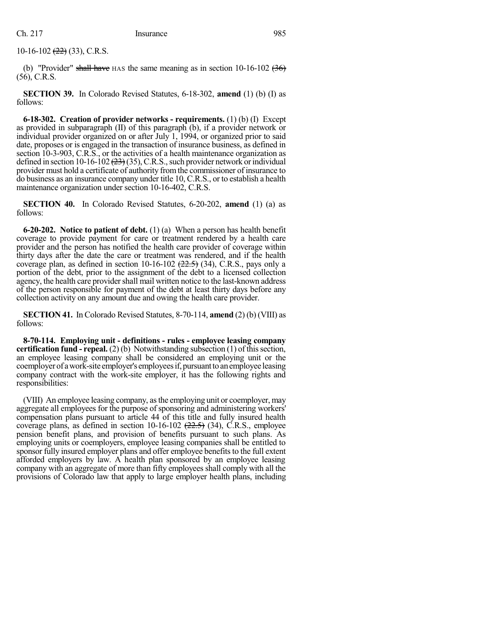$10-16-102$   $(22)$   $(33)$ , C.R.S.

(b) "Provider" shall have HAS the same meaning as in section  $10\n-16\n-102$  (36) (56), C.R.S.

**SECTION 39.** In Colorado Revised Statutes, 6-18-302, **amend** (1) (b) (I) as follows:

**6-18-302. Creation of provider networks - requirements.** (1) (b) (I) Except as provided in subparagraph (II) of this paragraph (b), if a provider network or individual provider organized on or after July 1, 1994, or organized prior to said date, proposes or is engaged in the transaction of insurance business, as defined in section 10-3-903, C.R.S., or the activities of a health maintenance organization as defined in section 10-16-102  $(23)(35)$ , C.R.S., such provider network or individual provider must hold a certificate of authority fromthe commissioner of insurance to do business as an insurance company under title 10, C.R.S., or to establish a health maintenance organization under section 10-16-402, C.R.S.

**SECTION 40.** In Colorado Revised Statutes, 6-20-202, **amend** (1) (a) as follows:

**6-20-202. Notice to patient of debt.** (1) (a) When a person has health benefit coverage to provide payment for care or treatment rendered by a health care provider and the person has notified the health care provider of coverage within thirty days after the date the care or treatment was rendered, and if the health coverage plan, as defined in section 10-16-102  $(22.5)$  (34), C.R.S., pays only a portion of the debt, prior to the assignment of the debt to a licensed collection agency, the health care provider shall mail written notice to the last-known address of the person responsible for payment of the debt at least thirty days before any collection activity on any amount due and owing the health care provider.

**SECTION 41.** In Colorado Revised Statutes, 8-70-114, **amend** (2) (b) (VIII) as follows:

**8-70-114. Employing unit - definitions - rules - employee leasing company certification fund - repeal.** (2) (b) Notwithstanding subsection (1) of this section, an employee leasing company shall be considered an employing unit or the coemployer of a work-site employer's employees if, pursuant to an employee leasing company contract with the work-site employer, it has the following rights and responsibilities:

(VIII) An employee leasing company, asthe employing unit or coemployer, may aggregate all employees for the purpose of sponsoring and administering workers' compensation plans pursuant to article 44 of this title and fully insured health coverage plans, as defined in section  $10-16-102$   $(22.5)$   $(34)$ , C.R.S., employee pension benefit plans, and provision of benefits pursuant to such plans. As employing units or coemployers, employee leasing companies shall be entitled to sponsor fully insured employer plans and offer employee benefits to the full extent afforded employers by law. A health plan sponsored by an employee leasing company with an aggregate of more than fifty employees shall comply with all the provisions of Colorado law that apply to large employer health plans, including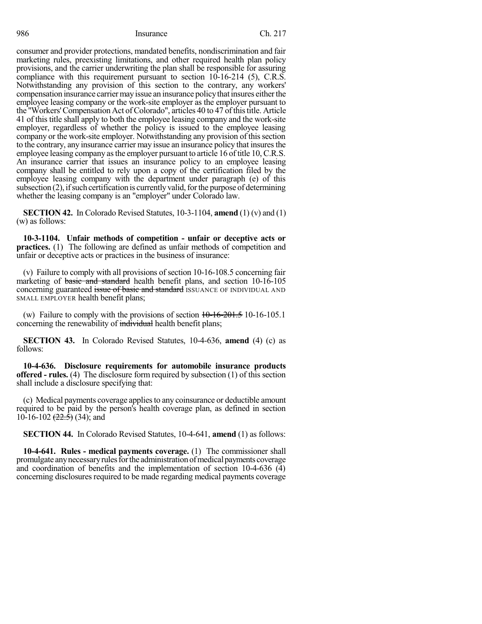consumer and provider protections, mandated benefits, nondiscrimination and fair marketing rules, preexisting limitations, and other required health plan policy provisions, and the carrier underwriting the plan shall be responsible for assuring compliance with this requirement pursuant to section 10-16-214 (5), C.R.S. Notwithstanding any provision of this section to the contrary, any workers' compensation insurance carrier may issue an insurance policy that insures either the employee leasing company or the work-site employer as the employer pursuant to the "Workers' Compensation Act of Colorado", articles 40 to 47 of this title. Article 41 of this title shall apply to both the employee leasing company and the work-site employer, regardless of whether the policy is issued to the employee leasing company or the work-site employer. Notwithstanding any provision of this section to the contrary, any insurance carrier may issue an insurance policy that insuresthe employee leasing company asthe employer pursuant to article 16 of title 10, C.R.S. An insurance carrier that issues an insurance policy to an employee leasing company shall be entitled to rely upon a copy of the certification filed by the employee leasing company with the department under paragraph (e) of this  $subsection (2)$ , if such certification is currently valid, for the purpose of determining whether the leasing company is an "employer" under Colorado law.

**SECTION 42.** In Colorado Revised Statutes, 10-3-1104, **amend** (1) (v) and (1) (w) as follows:

**10-3-1104. Unfair methods of competition - unfair or deceptive acts or practices.** (1) The following are defined as unfair methods of competition and unfair or deceptive acts or practices in the business of insurance:

(v) Failure to comply with all provisions of section 10-16-108.5 concerning fair marketing of basic and standard health benefit plans, and section 10-16-105 concerning guaranteed issue of basic and standard ISSUANCE OF INDIVIDUAL AND SMALL EMPLOYER health benefit plans;

(w) Failure to comply with the provisions of section  $10-16-201.5$  10-16-105.1 concerning the renewability of individual health benefit plans;

**SECTION 43.** In Colorado Revised Statutes, 10-4-636, **amend** (4) (c) as follows:

**10-4-636. Disclosure requirements for automobile insurance products offered - rules.** (4) The disclosure form required by subsection (1) of this section shall include a disclosure specifying that:

(c) Medical payments coverage appliesto any coinsurance or deductible amount required to be paid by the person's health coverage plan, as defined in section 10-16-102  $(22.5)$  (34); and

**SECTION 44.** In Colorado Revised Statutes, 10-4-641, **amend** (1) as follows:

**10-4-641. Rules - medical payments coverage.** (1) The commissioner shall promulgate any necessary rules for the administration of medical payments coverage and coordination of benefits and the implementation of section  $10-4-636$  (4) concerning disclosures required to be made regarding medical payments coverage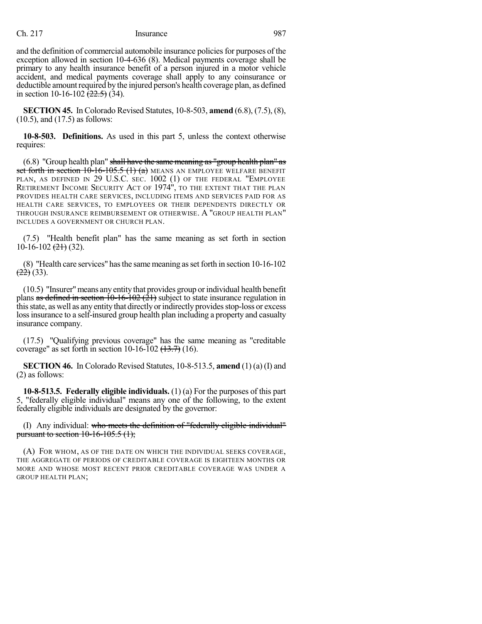and the definition of commercial automobile insurance policies for purposes of the exception allowed in section 10-4-636 (8). Medical payments coverage shall be primary to any health insurance benefit of a person injured in a motor vehicle accident, and medical payments coverage shall apply to any coinsurance or deductible amount required by the injured person's health coverage plan, as defined in section 10-16-102  $\sqrt{22.5}$  (34).

**SECTION 45.** In Colorado Revised Statutes, 10-8-503, **amend** (6.8), (7.5), (8), (10.5), and (17.5) as follows:

**10-8-503. Definitions.** As used in this part 5, unless the context otherwise requires:

 $(6.8)$  "Group health plan" shall have the same meaning as "group health plan" as set forth in section  $10$ -16-105.5  $(1)$   $(a)$  means an employee welfare benefit PLAN, AS DEFINED IN 29 U.S.C. SEC. 1002 (1) OF THE FEDERAL "EMPLOYEE RETIREMENT INCOME SECURITY ACT OF 1974", TO THE EXTENT THAT THE PLAN PROVIDES HEALTH CARE SERVICES, INCLUDING ITEMS AND SERVICES PAID FOR AS HEALTH CARE SERVICES, TO EMPLOYEES OR THEIR DEPENDENTS DIRECTLY OR THROUGH INSURANCE REIMBURSEMENT OR OTHERWISE. A "GROUP HEALTH PLAN" INCLUDES A GOVERNMENT OR CHURCH PLAN.

(7.5) "Health benefit plan" has the same meaning as set forth in section  $10-16-102$   $(2+)$  (32).

(8) "Health care services" hasthe same meaning asset forth in section 10-16-102  $\left( \frac{22}{2} \right)$  (33).

(10.5) "Insurer"means any entity that provides group orindividual health benefit plans as defined in section  $10-16-102$  ( $21$ ) subject to state insurance regulation in this state, as well as any entity that directly or indirectly provides stop-loss or excess loss insurance to a self-insured group health plan including a property and casualty insurance company.

(17.5) "Qualifying previous coverage" has the same meaning as "creditable coverage" as set forth in section 10-16-102  $(13.7)$  (16).

**SECTION 46.** In Colorado Revised Statutes, 10-8-513.5, **amend** (1) (a) (I) and (2) as follows:

**10-8-513.5. Federally eligible individuals.** (1) (a) For the purposes of this part 5, "federally eligible individual" means any one of the following, to the extent federally eligible individuals are designated by the governor:

(I) Any individual: who meets the definition of "federally eligible individual" pursuant to section  $10-16-105.5(1)$ ;

(A) FOR WHOM, AS OF THE DATE ON WHICH THE INDIVIDUAL SEEKS COVERAGE, THE AGGREGATE OF PERIODS OF CREDITABLE COVERAGE IS EIGHTEEN MONTHS OR MORE AND WHOSE MOST RECENT PRIOR CREDITABLE COVERAGE WAS UNDER A GROUP HEALTH PLAN;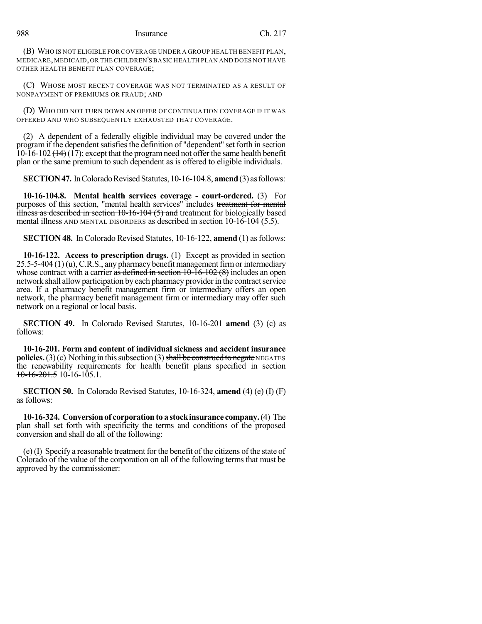(B) WHO IS NOT ELIGIBLE FOR COVERAGE UNDER A GROUP HEALTH BENEFIT PLAN, MEDICARE,MEDICAID,OR THE CHILDREN'S BASIC HEALTH PLAN AND DOES NOT HAVE OTHER HEALTH BENEFIT PLAN COVERAGE;

(C) WHOSE MOST RECENT COVERAGE WAS NOT TERMINATED AS A RESULT OF NONPAYMENT OF PREMIUMS OR FRAUD; AND

(D) WHO DID NOT TURN DOWN AN OFFER OF CONTINUATION COVERAGE IF IT WAS OFFERED AND WHO SUBSEQUENTLY EXHAUSTED THAT COVERAGE.

(2) A dependent of a federally eligible individual may be covered under the program if the dependent satisfies the definition of "dependent" set forth in section 10-16-102  $(14)$  (17); except that the program need not offer the same health benefit plan or the same premium to such dependent as is offered to eligible individuals.

**SECTION 47.** In Colorado Revised Statutes, 10-16-104.8, **amend** (3) as follows:

**10-16-104.8. Mental health services coverage - court-ordered.** (3) For purposes of this section, "mental health services" includes treatment for mental  $\frac{1}{2}$ illness as described in section 10-16-104 (5) and treatment for biologically based mental illness AND MENTAL DISORDERS as described in section 10-16-104 (5.5).

**SECTION 48.** In Colorado Revised Statutes, 10-16-122, **amend** (1) as follows:

**10-16-122. Access to prescription drugs.** (1) Except as provided in section  $25.5-5-404$  (1)(u), C.R.S., any pharmacy benefit management firm or intermediary whose contract with a carrier as defined in section  $10-\overline{16}-102$  (8) includes an open network shall allow participation by each pharmacy provider in the contract service area. If a pharmacy benefit management firm or intermediary offers an open network, the pharmacy benefit management firm or intermediary may offer such network on a regional or local basis.

**SECTION 49.** In Colorado Revised Statutes, 10-16-201 **amend** (3) (c) as follows:

**10-16-201. Form and content of individual sickness and accident insurance policies.** (3)(c) Nothing in this subsection (3) shall be construed to negate NEGATES the renewability requirements for health benefit plans specified in section  $10-16-201.5$  10-16-105.1.

**SECTION 50.** In Colorado Revised Statutes, 10-16-324, **amend** (4) (e) (I) (F) as follows:

**10-16-324. Conversionof corporationto a stockinsurance company.**(4) The plan shall set forth with specificity the terms and conditions of the proposed conversion and shall do all of the following:

(e) (I) Specify a reasonable treatment for the benefit of the citizens of the state of Colorado of the value of the corporation on all of the following terms that must be approved by the commissioner: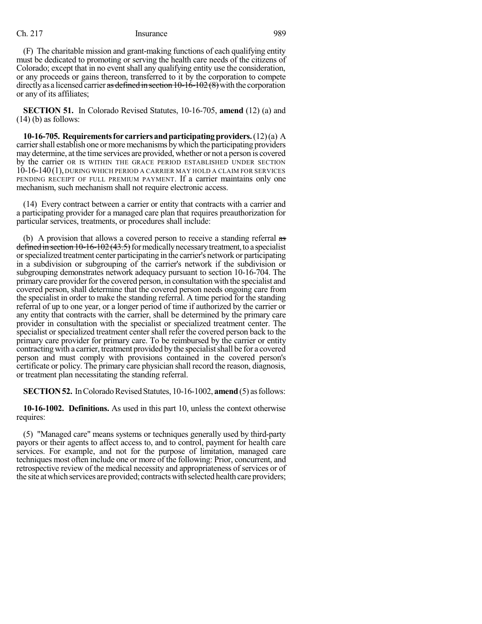(F) The charitable mission and grant-making functions of each qualifying entity must be dedicated to promoting or serving the health care needs of the citizens of Colorado; except that in no event shall any qualifying entity use the consideration, or any proceeds or gains thereon, transferred to it by the corporation to compete directly as a licensed carrier as defined in section  $10-16-102(8)$  with the corporation or any of its affiliates;

**SECTION 51.** In Colorado Revised Statutes, 10-16-705, **amend** (12) (a) and  $(14)$  (b) as follows:

**10-16-705. Requirementsfor carriersandparticipatingproviders.**(12)(a) A carrier shall establish one or more mechanisms by which the participating providers may determine, at the time services are provided, whether or not a person is covered by the carrier OR IS WITHIN THE GRACE PERIOD ESTABLISHED UNDER SECTION 10-16-140(1), DURING WHICH PERIOD A CARRIER MAY HOLD A CLAIM FOR SERVICES PENDING RECEIPT OF FULL PREMIUM PAYMENT. If a carrier maintains only one mechanism, such mechanism shall not require electronic access.

(14) Every contract between a carrier or entity that contracts with a carrier and a participating provider for a managed care plan that requires preauthorization for particular services, treatments, or procedures shall include:

(b) A provision that allows a covered person to receive a standing referral as defined in section  $10-16-102(43.5)$  for medically necessary treatment, to a specialist orspecialized treatment center participating in the carrier's network or participating in a subdivision or subgrouping of the carrier's network if the subdivision or subgrouping demonstrates network adequacy pursuant to section 10-16-704. The primary care provider for the covered person, in consultation with the specialist and covered person, shall determine that the covered person needs ongoing care from the specialist in order to make the standing referral. A time period for the standing referral of up to one year, or a longer period of time if authorized by the carrier or any entity that contracts with the carrier, shall be determined by the primary care provider in consultation with the specialist or specialized treatment center. The specialist or specialized treatment center shall refer the covered person back to the primary care provider for primary care. To be reimbursed by the carrier or entity contracting with a carrier, treatment provided bythe specialistshall be for a covered person and must comply with provisions contained in the covered person's certificate or policy. The primary care physician shall record the reason, diagnosis, or treatment plan necessitating the standing referral.

**SECTION 52.** In Colorado Revised Statutes, 10-16-1002, **amend** (5) as follows:

**10-16-1002. Definitions.** As used in this part 10, unless the context otherwise requires:

(5) "Managed care" means systems or techniques generally used by third-party payors or their agents to affect access to, and to control, payment for health care services. For example, and not for the purpose of limitation, managed care techniques most often include one or more of the following: Prior, concurrent, and retrospective review of the medical necessity and appropriateness of services or of the site at which services are provided; contracts with selected health care providers;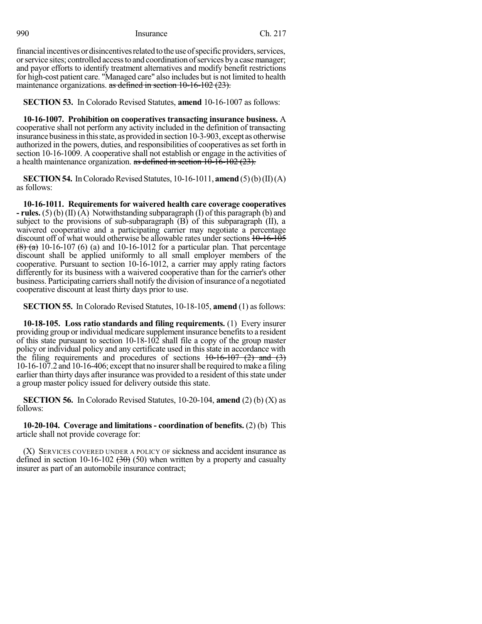financial incentives or disincentives related to the use of specific providers, services, orservice sites; controlled accessto and coordination ofservices bya casemanager; and payor efforts to identify treatment alternatives and modify benefit restrictions for high-cost patient care. "Managed care" also includes but is not limited to health maintenance organizations. as defined in section 10-16-102 (23).

**SECTION 53.** In Colorado Revised Statutes, **amend** 10-16-1007 as follows:

**10-16-1007. Prohibition on cooperatives transacting insurance business.** A cooperative shall not perform any activity included in the definition of transacting insurance business in this state, as provided in section 10-3-903, except as otherwise authorized in the powers, duties, and responsibilities of cooperatives asset forth in section 10-16-1009. A cooperative shall not establish or engage in the activities of a health maintenance organization.  $\frac{1}{x}$  as defined in section 10-16-102 (23).

**SECTION 54.** In Colorado Revised Statutes,  $10-16-1011$ , **amend** (5)(b)(II)(A) as follows:

**10-16-1011. Requirements for waivered health care coverage cooperatives - rules.** (5) (b) (II) (A) Notwithstanding subparagraph (I) of this paragraph (b) and subject to the provisions of sub-subparagraph  $(B)$  of this subparagraph  $(II)$ , a waivered cooperative and a participating carrier may negotiate a percentage discount off of what would otherwise be allowable rates under sections  $10-16-105$  $(8)$  (a) 10-16-107 (6) (a) and 10-16-1012 for a particular plan. That percentage discount shall be applied uniformly to all small employer members of the cooperative. Pursuant to section 10-16-1012, a carrier may apply rating factors differently for its business with a waivered cooperative than for the carrier's other business. Participating carriers shall notify the division of insurance of a negotiated cooperative discount at least thirty days prior to use.

**SECTION 55.** In Colorado Revised Statutes, 10-18-105, **amend** (1) as follows:

**10-18-105. Loss ratio standards and filing requirements.** (1) Every insurer providing group or individual medicare supplement insurance benefits to a resident of this state pursuant to section 10-18-102 shall file a copy of the group master policy or individual policy and any certificate used in this state in accordance with the filing requirements and procedures of sections  $10-16-107$  (2) and (3) 10-16-107.2 and 10-16-406; except that no insurershall be required tomake a filing earlier than thirty days after insurance was provided to a resident of this state under a group master policy issued for delivery outside this state.

**SECTION 56.** In Colorado Revised Statutes, 10-20-104, **amend** (2) (b) (X) as follows:

**10-20-104. Coverage and limitations - coordination of benefits.** (2) (b) This article shall not provide coverage for:

(X) SERVICES COVERED UNDER A POLICY OF sickness and accident insurance as defined in section 10-16-102  $(30)$  (50) when written by a property and casualty insurer as part of an automobile insurance contract;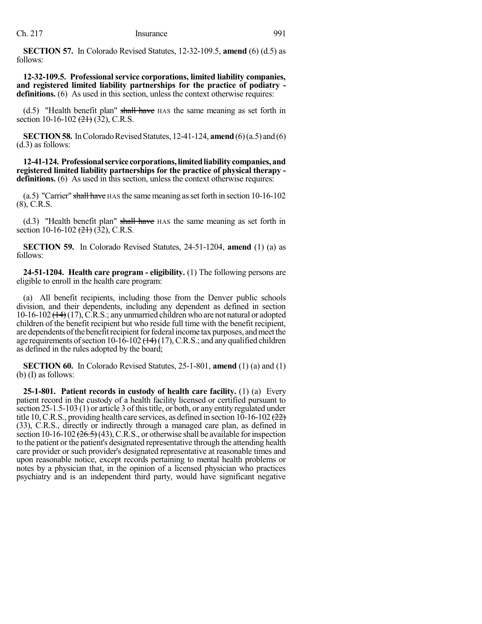**SECTION 57.** In Colorado Revised Statutes, 12-32-109.5, **amend** (6) (d.5) as follows:

**12-32-109.5. Professional service corporations, limited liability companies, and registered limited liability partnerships for the practice of podiatry**  definitions. (6) As used in this section, unless the context otherwise requires:

 $(d.5)$  "Health benefit plan" shall have HAS the same meaning as set forth in section 10-16-102  $(21)$  (32), C.R.S.

**SECTION 58.** In Colorado Revised Statutes, 12-41-124, **amend** (6)(a.5) and (6) (d.3) as follows:

**12-41-124. Professionalservice corporations,limitedliabilitycompanies, and registered limited liability partnerships for the practice of physical therapy definitions.** (6) As used in this section, unless the context otherwise requires:

(a.5) "Carrier" shall have  $HAS$  the same meaning as set forth in section 10-16-102 (8), C.R.S.

(d.3) "Health benefit plan" shall have HAS the same meaning as set forth in section 10-16-102  $(21)$  (32), C.R.S.

**SECTION 59.** In Colorado Revised Statutes, 24-51-1204, **amend** (1) (a) as follows:

**24-51-1204. Health care program - eligibility.** (1) The following persons are eligible to enroll in the health care program:

(a) All benefit recipients, including those from the Denver public schools division, and their dependents, including any dependent as defined in section 10-16-102  $(14)$  (17), C.R.S.; any unmarried children who are not natural or adopted children of the benefit recipient but who reside full time with the benefit recipient, are dependents of the benefit recipient for federal income tax purposes, and meet the age requirements of section 10-16-102  $(14)$  (17), C.R.S.; and any qualified children as defined in the rules adopted by the board;

**SECTION 60.** In Colorado Revised Statutes, 25-1-801, **amend** (1) (a) and (1) (b) (I) as follows:

**25-1-801. Patient records in custody of health care facility.** (1) (a) Every patient record in the custody of a health facility licensed or certified pursuant to section 25-1.5-103 (1) or article 3 of this title, or both, or any entity regulated under title 10, C.R.S., providing health care services, as defined in section  $10-16-102$  ( $22$ ) (33), C.R.S., directly or indirectly through a managed care plan, as defined in section 10-16-102  $(26.5)(43)$ , C.R.S., or otherwise shall be available for inspection to the patient or the patient's designated representative through the attending health care provider or such provider's designated representative at reasonable times and upon reasonable notice, except records pertaining to mental health problems or notes by a physician that, in the opinion of a licensed physician who practices psychiatry and is an independent third party, would have significant negative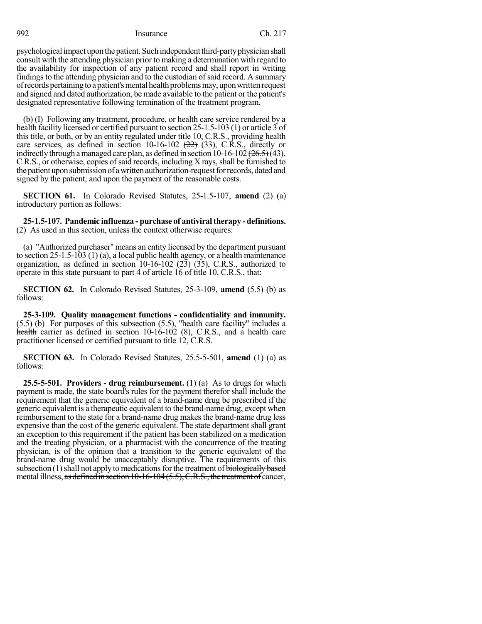psychological impact upon the patient. Such independent third-party physician shall consult with the attending physician prior to making a determination with regard to the availability for inspection of any patient record and shall report in writing findings to the attending physician and to the custodian of said record. A summary of records pertaining to a patient's mental health problems may, upon written request and signed and dated authorization, be made available to the patient or the patient's designated representative following termination of the treatment program.

(b) (I) Following any treatment, procedure, or health care service rendered by a health facility licensed or certified pursuant to section 25-1.5-103 (1) or article 3 of this title, or both, or by an entity regulated under title 10, C.R.S., providing health care services, as defined in section  $10-16-102$   $(22)$   $(33)$ , C.R.S., directly or indirectly through a managed care plan, as defined in section  $10-16-102$   $(26.5)(43)$ , C.R.S., or otherwise, copies of said records, including X rays, shall be furnished to the patient upon submission of a written authorization-request for records, dated and signed by the patient, and upon the payment of the reasonable costs.

**SECTION 61.** In Colorado Revised Statutes, 25-1.5-107, **amend** (2) (a) introductory portion as follows:

**25-1.5-107. Pandemic influenza - purchase of antiviraltherapy - definitions.** (2) As used in this section, unless the context otherwise requires:

(a) "Authorized purchaser" means an entity licensed by the department pursuant to section 25-1.5-103 (1) (a), a local public health agency, or a health maintenance organization, as defined in section 10-16-102  $(23)$  (35), C.R.S., authorized to operate in this state pursuant to part 4 of article 16 of title 10, C.R.S., that:

**SECTION 62.** In Colorado Revised Statutes, 25-3-109, **amend** (5.5) (b) as follows:

**25-3-109. Quality management functions - confidentiality and immunity.** (5.5) (b) For purposes of this subsection (5.5), "health care facility" includes a health carrier as defined in section 10-16-102 (8), C.R.S., and a health care practitioner licensed or certified pursuant to title 12, C.R.S.

**SECTION 63.** In Colorado Revised Statutes, 25.5-5-501, **amend** (1) (a) as follows:

**25.5-5-501. Providers - drug reimbursement.** (1) (a) As to drugs for which payment is made, the state board's rules for the payment therefor shall include the requirement that the generic equivalent of a brand-name drug be prescribed if the generic equivalent is a therapeutic equivalent to the brand-name drug, except when reimbursement to the state for a brand-name drug makes the brand-name drug less expensive than the cost of the generic equivalent. The state department shall grant an exception to this requirement if the patient has been stabilized on a medication and the treating physician, or a pharmacist with the concurrence of the treating physician, is of the opinion that a transition to the generic equivalent of the brand-name drug would be unacceptably disruptive. The requirements of this subsection  $(1)$  shall not apply to medications for the treatment of biologically based mental illness, as defined in section 10-16-104 (5.5), C.R.S., the treatment of cancer,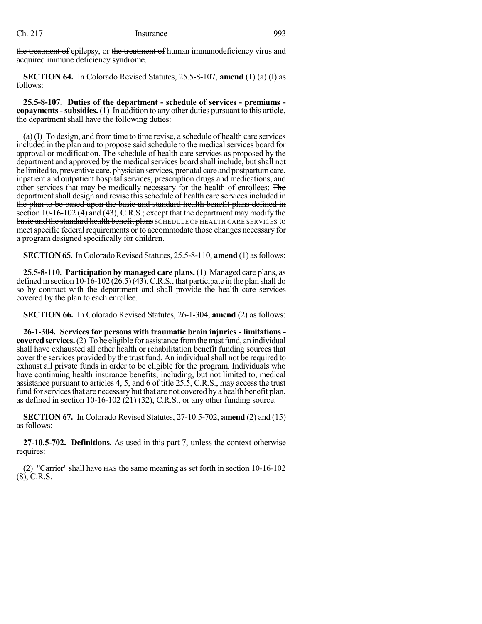the treatment of epilepsy, or the treatment of human immunodeficiency virus and acquired immune deficiency syndrome.

**SECTION 64.** In Colorado Revised Statutes, 25.5-8-107, **amend** (1) (a) (I) as follows:

**25.5-8-107. Duties of the department - schedule of services - premiums copayments-subsidies.** (1) In addition to any other duties pursuant to this article, the department shall have the following duties:

(a) (I) To design, and fromtime to time revise, a schedule of health care services included in the plan and to propose said schedule to the medical services board for approval or modification. The schedule of health care services as proposed by the department and approved by the medical services board shall include, but shall not be limited to, preventive care, physicianservices, prenatal care and postpartumcare, inpatient and outpatient hospital services, prescription drugs and medications, and other services that may be medically necessary for the health of enrollees; The department shall design and revise this schedule of health care services included in the plan to be based upon the basic and standard health benefit plans defined in section  $10-16-102$  (4) and (43), C.R.S.; except that the department may modify the basic and the standard health benefit plans SCHEDULE OF HEALTH CARE SERVICES to meet specific federal requirements or to accommodate those changes necessary for a program designed specifically for children.

**SECTION 65.** In Colorado Revised Statutes, 25.5-8-110, **amend** (1) as follows:

**25.5-8-110. Participation by managed care plans.** (1) Managed care plans, as defined in section 10-16-102  $(\overline{26.5})$  (43), C.R.S., that participate in the plan shall do so by contract with the department and shall provide the health care services covered by the plan to each enrollee.

**SECTION 66.** In Colorado Revised Statutes, 26-1-304, **amend** (2) as follows:

**26-1-304. Services for persons with traumatic brain injuries - limitations covered services.** (2) To be eligible for assistance from the trust fund, an individual shall have exhausted all other health or rehabilitation benefit funding sources that cover the services provided by the trust fund. An individual shall not be required to exhaust all private funds in order to be eligible for the program. Individuals who have continuing health insurance benefits, including, but not limited to, medical assistance pursuant to articles 4, 5, and 6 of title 25.5, C.R.S., may access the trust fund for services that are necessary but that are not covered by a health benefit plan, as defined in section 10-16-102  $(21)$  (32), C.R.S., or any other funding source.

**SECTION 67.** In Colorado Revised Statutes, 27-10.5-702, **amend** (2) and (15) as follows:

**27-10.5-702. Definitions.** As used in this part 7, unless the context otherwise requires:

(2) "Carrier" shall have HAS the same meaning as set forth in section 10-16-102 (8), C.R.S.